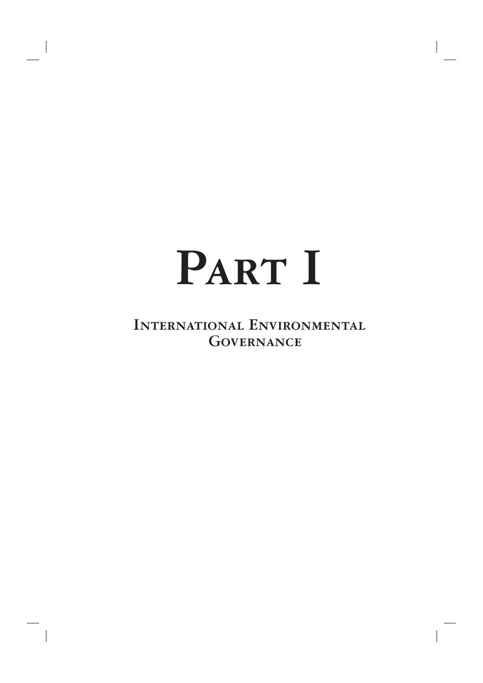# **Part I**

**International Environmental Governance**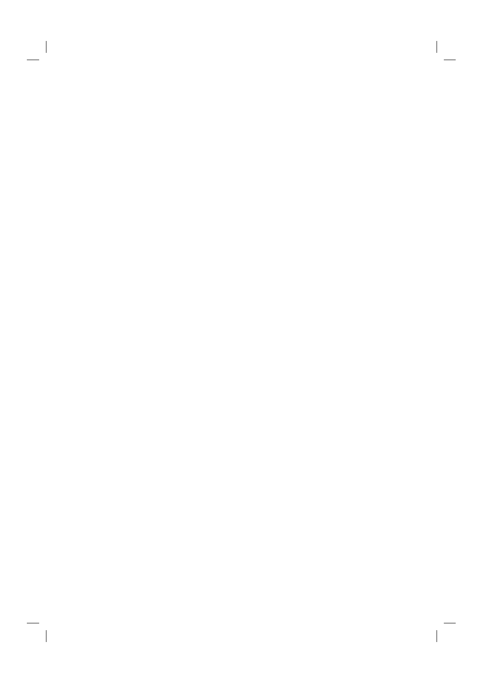$\frac{1}{\sqrt{2}} \int_{-\infty}^{\infty} \frac{1}{\sqrt{2}} \, d \mu \, d \mu$  $\frac{1}{2}$  $\begin{array}{c} - \\ | \end{array}$  $\frac{1}{\sqrt{2}}$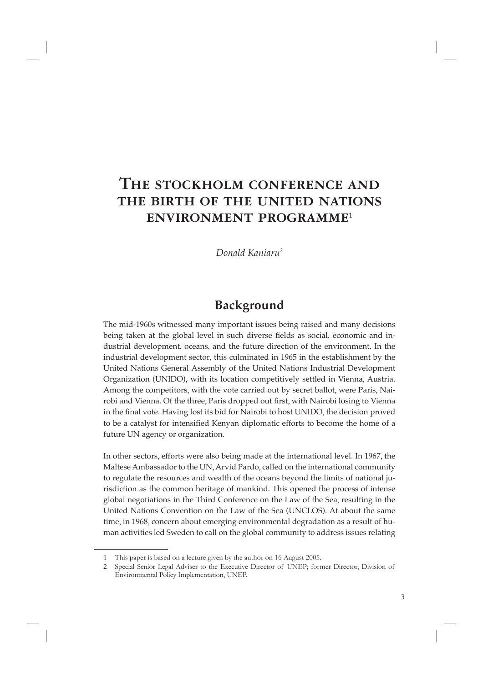## **The stockholm conference and the birth of the united nations environment programme**<sup>1</sup>

*Donald Kaniaru2*

## **Background**

The mid-1960s witnessed many important issues being raised and many decisions being taken at the global level in such diverse fields as social, economic and industrial development, oceans, and the future direction of the environment. In the industrial development sector, this culminated in 1965 in the establishment by the United Nations General Assembly of the United Nations Industrial Development Organization (UNIDO)**,** with its location competitively settled in Vienna, Austria. Among the competitors, with the vote carried out by secret ballot, were Paris, Nairobi and Vienna. Of the three, Paris dropped out first, with Nairobi losing to Vienna in the final vote. Having lost its bid for Nairobi to host UNIDO, the decision proved to be a catalyst for intensified Kenyan diplomatic efforts to become the home of a future UN agency or organization.

In other sectors, efforts were also being made at the international level. In 1967, the Maltese Ambassador to the UN, Arvid Pardo, called on the international community to regulate the resources and wealth of the oceans beyond the limits of national jurisdiction as the common heritage of mankind. This opened the process of intense global negotiations in the Third Conference on the Law of the Sea, resulting in the United Nations Convention on the Law of the Sea (UNCLOS). At about the same time, in 1968, concern about emerging environmental degradation as a result of human activities led Sweden to call on the global community to address issues relating

<sup>1</sup> This paper is based on a lecture given by the author on 16 August 2005.

Special Senior Legal Adviser to the Executive Director of UNEP; former Director, Division of Environmental Policy Implementation, UNEP.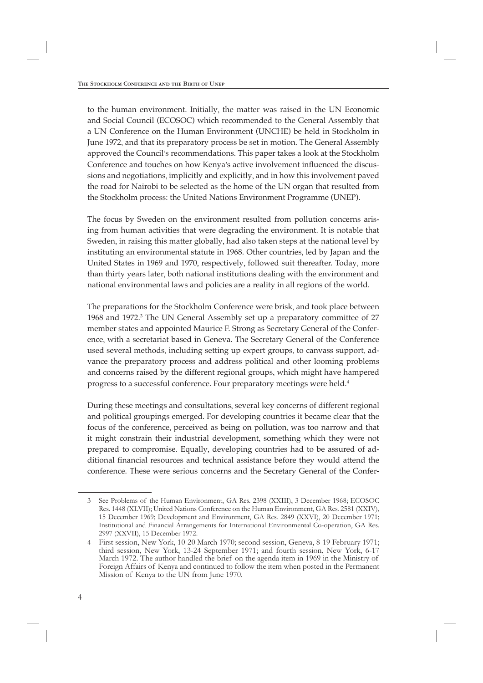to the human environment. Initially, the matter was raised in the UN Economic and Social Council (ECOSOC) which recommended to the General Assembly that a UN Conference on the Human Environment (UNCHE) be held in Stockholm in June 1972, and that its preparatory process be set in motion. The General Assembly approved the Council's recommendations. This paper takes a look at the Stockholm Conference and touches on how Kenya's active involvement influenced the discussions and negotiations, implicitly and explicitly, and in how this involvement paved the road for Nairobi to be selected as the home of the UN organ that resulted from the Stockholm process: the United Nations Environment Programme (UNEP).

The focus by Sweden on the environment resulted from pollution concerns arising from human activities that were degrading the environment. It is notable that Sweden, in raising this matter globally, had also taken steps at the national level by instituting an environmental statute in 1968. Other countries, led by Japan and the United States in 1969 and 1970, respectively, followed suit thereafter. Today, more than thirty years later, both national institutions dealing with the environment and national environmental laws and policies are a reality in all regions of the world.

The preparations for the Stockholm Conference were brisk, and took place between 1968 and 1972.<sup>3</sup> The UN General Assembly set up a preparatory committee of 27 member states and appointed Maurice F. Strong as Secretary General of the Conference, with a secretariat based in Geneva. The Secretary General of the Conference used several methods, including setting up expert groups, to canvass support, advance the preparatory process and address political and other looming problems and concerns raised by the different regional groups, which might have hampered progress to a successful conference. Four preparatory meetings were held.<sup>4</sup>

During these meetings and consultations, several key concerns of different regional and political groupings emerged. For developing countries it became clear that the focus of the conference, perceived as being on pollution, was too narrow and that it might constrain their industrial development, something which they were not prepared to compromise. Equally, developing countries had to be assured of additional financial resources and technical assistance before they would attend the conference. These were serious concerns and the Secretary General of the Confer-

<sup>3</sup> See Problems of the Human Environment, GA Res. 2398 (XXIII), 3 December 1968; ECOSOC Res. 1448 (XLVII); United Nations Conference on the Human Environment, GA Res. 2581 (XXIV), 15 December 1969; Development and Environment, GA Res. 2849 (XXVI), 20 December 1971; Institutional and Financial Arrangements for International Environmental Co-operation, GA Res. 2997 (XXVII), 15 December 1972.

<sup>4</sup> First session, New York, 10-20 March 1970; second session, Geneva, 8-19 February 1971; third session, New York, 13-24 September 1971; and fourth session, New York, 6-17 March 1972. The author handled the brief on the agenda item in 1969 in the Ministry of Foreign Affairs of Kenya and continued to follow the item when posted in the Permanent Mission of Kenya to the UN from June 1970.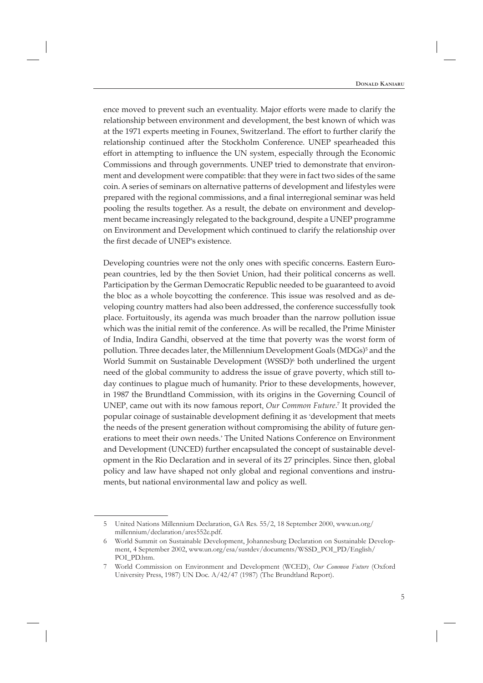ence moved to prevent such an eventuality. Major efforts were made to clarify the relationship between environment and development, the best known of which was at the 1971 experts meeting in Founex, Switzerland. The effort to further clarify the relationship continued after the Stockholm Conference. UNEP spearheaded this effort in attempting to influence the UN system, especially through the Economic Commissions and through governments. UNEP tried to demonstrate that environment and development were compatible: that they were in fact two sides of the same coin. A series of seminars on alternative patterns of development and lifestyles were prepared with the regional commissions, and a final interregional seminar was held pooling the results together. As a result, the debate on environment and development became increasingly relegated to the background, despite a UNEP programme on Environment and Development which continued to clarify the relationship over the first decade of UNEP's existence.

Developing countries were not the only ones with specific concerns. Eastern European countries, led by the then Soviet Union, had their political concerns as well. Participation by the German Democratic Republic needed to be guaranteed to avoid the bloc as a whole boycotting the conference. This issue was resolved and as developing country matters had also been addressed, the conference successfully took place. Fortuitously, its agenda was much broader than the narrow pollution issue which was the initial remit of the conference. As will be recalled, the Prime Minister of India, Indira Gandhi, observed at the time that poverty was the worst form of pollution. Three decades later, the Millennium Development Goals (MDGs)<sup>5</sup> and the World Summit on Sustainable Development (WSSD)<sup>6</sup> both underlined the urgent need of the global community to address the issue of grave poverty, which still today continues to plague much of humanity. Prior to these developments, however, in 1987 the Brundtland Commission, with its origins in the Governing Council of UNEP, came out with its now famous report, Our Common Future.<sup>7</sup> It provided the popular coinage of sustainable development defining it as 'development that meets the needs of the present generation without compromising the ability of future generations to meet their own needs.' The United Nations Conference on Environment and Development (UNCED) further encapsulated the concept of sustainable development in the Rio Declaration and in several of its 27 principles. Since then, global policy and law have shaped not only global and regional conventions and instruments, but national environmental law and policy as well.

<sup>5</sup> United Nations Millennium Declaration, GA Res. 55/2, 18 September 2000, www.un.org/ millennium/declaration/ares552e.pdf.

<sup>6</sup> World Summit on Sustainable Development, Johannesburg Declaration on Sustainable Development, 4 September 2002, www.un.org/esa/sustdev/documents/WSSD\_POI\_PD/English/ POI\_PD.htm.

<sup>7</sup> World Commission on Environment and Development (WCED), *Our Common Future* (Oxford University Press, 1987) UN Doc. A/42/47 (1987) (The Brundtland Report).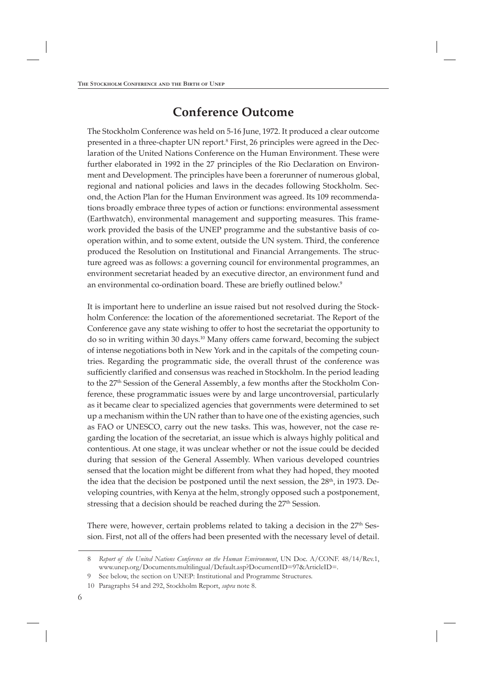## **Conference Outcome**

The Stockholm Conference was held on 5-16 June, 1972. It produced a clear outcome presented in a three-chapter UN report.<sup>8</sup> First, 26 principles were agreed in the Declaration of the United Nations Conference on the Human Environment. These were further elaborated in 1992 in the 27 principles of the Rio Declaration on Environment and Development. The principles have been a forerunner of numerous global, regional and national policies and laws in the decades following Stockholm. Second, the Action Plan for the Human Environment was agreed. Its 109 recommendations broadly embrace three types of action or functions: environmental assessment (Earthwatch), environmental management and supporting measures. This framework provided the basis of the UNEP programme and the substantive basis of cooperation within, and to some extent, outside the UN system. Third, the conference produced the Resolution on Institutional and Financial Arrangements. The structure agreed was as follows: a governing council for environmental programmes, an environment secretariat headed by an executive director, an environment fund and an environmental co-ordination board. These are briefly outlined below.<sup>9</sup>

It is important here to underline an issue raised but not resolved during the Stockholm Conference: the location of the aforementioned secretariat. The Report of the Conference gave any state wishing to offer to host the secretariat the opportunity to do so in writing within 30 days.10 Many offers came forward, becoming the subject of intense negotiations both in New York and in the capitals of the competing countries. Regarding the programmatic side, the overall thrust of the conference was sufficiently clarified and consensus was reached in Stockholm. In the period leading to the 27<sup>th</sup> Session of the General Assembly, a few months after the Stockholm Conference, these programmatic issues were by and large uncontroversial, particularly as it became clear to specialized agencies that governments were determined to set up a mechanism within the UN rather than to have one of the existing agencies, such as FAO or UNESCO, carry out the new tasks. This was, however, not the case regarding the location of the secretariat, an issue which is always highly political and contentious. At one stage, it was unclear whether or not the issue could be decided during that session of the General Assembly. When various developed countries sensed that the location might be different from what they had hoped, they mooted the idea that the decision be postponed until the next session, the  $28<sup>th</sup>$ , in 1973. Developing countries, with Kenya at the helm, strongly opposed such a postponement, stressing that a decision should be reached during the 27<sup>th</sup> Session.

There were, however, certain problems related to taking a decision in the 27<sup>th</sup> Session. First, not all of the offers had been presented with the necessary level of detail.

<sup>8</sup> *Report of the United Nations Conference on the Human Environment*, UN Doc. A/CONF. 48/14/Rev.1, www.unep.org/Documents.multilingual/Default.asp?DocumentID=97&ArticleID=.

See below, the section on UNEP: Institutional and Programme Structures.

<sup>10</sup> Paragraphs 54 and 292, Stockholm Report, *supra* note 8.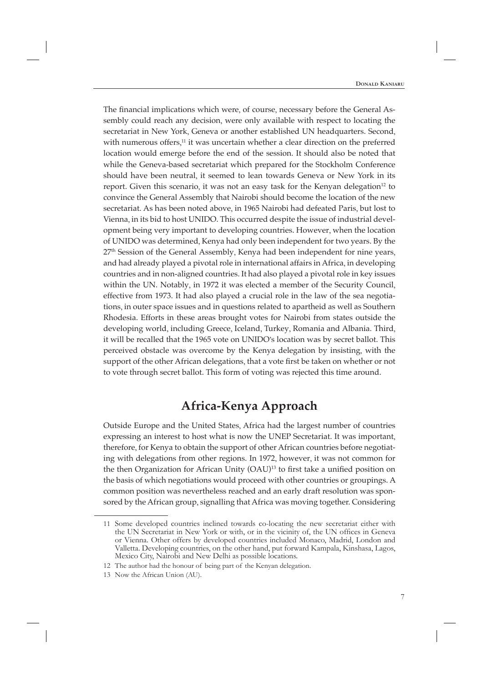**Donald Kaniaru**

The financial implications which were, of course, necessary before the General Assembly could reach any decision, were only available with respect to locating the secretariat in New York, Geneva or another established UN headquarters. Second, with numerous offers,<sup>11</sup> it was uncertain whether a clear direction on the preferred location would emerge before the end of the session. It should also be noted that while the Geneva-based secretariat which prepared for the Stockholm Conference should have been neutral, it seemed to lean towards Geneva or New York in its report. Given this scenario, it was not an easy task for the Kenyan delegation<sup>12</sup> to convince the General Assembly that Nairobi should become the location of the new secretariat. As has been noted above, in 1965 Nairobi had defeated Paris, but lost to Vienna, in its bid to host UNIDO. This occurred despite the issue of industrial development being very important to developing countries. However, when the location of UNIDO was determined, Kenya had only been independent for two years. By the 27<sup>th</sup> Session of the General Assembly, Kenya had been independent for nine years, and had already played a pivotal role in international affairs in Africa, in developing countries and in non-aligned countries. It had also played a pivotal role in key issues within the UN. Notably, in 1972 it was elected a member of the Security Council, effective from 1973. It had also played a crucial role in the law of the sea negotiations, in outer space issues and in questions related to apartheid as well as Southern Rhodesia. Efforts in these areas brought votes for Nairobi from states outside the developing world, including Greece, Iceland, Turkey, Romania and Albania. Third, it will be recalled that the 1965 vote on UNIDO's location was by secret ballot. This perceived obstacle was overcome by the Kenya delegation by insisting, with the support of the other African delegations, that a vote first be taken on whether or not to vote through secret ballot. This form of voting was rejected this time around.

## **Africa-Kenya Approach**

Outside Europe and the United States, Africa had the largest number of countries expressing an interest to host what is now the UNEP Secretariat. It was important, therefore, for Kenya to obtain the support of other African countries before negotiating with delegations from other regions. In 1972, however, it was not common for the then Organization for African Unity (OAU)<sup>13</sup> to first take a unified position on the basis of which negotiations would proceed with other countries or groupings. A common position was nevertheless reached and an early draft resolution was sponsored by the African group, signalling that Africa was moving together. Considering

<sup>11</sup> Some developed countries inclined towards co-locating the new secretariat either with the UN Secretariat in New York or with, or in the vicinity of, the UN offices in Geneva or Vienna. Other offers by developed countries included Monaco, Madrid, London and Valletta. Developing countries, on the other hand, put forward Kampala, Kinshasa, Lagos, Mexico City, Nairobi and New Delhi as possible locations.

<sup>12</sup> The author had the honour of being part of the Kenyan delegation.

<sup>13</sup> Now the African Union (AU).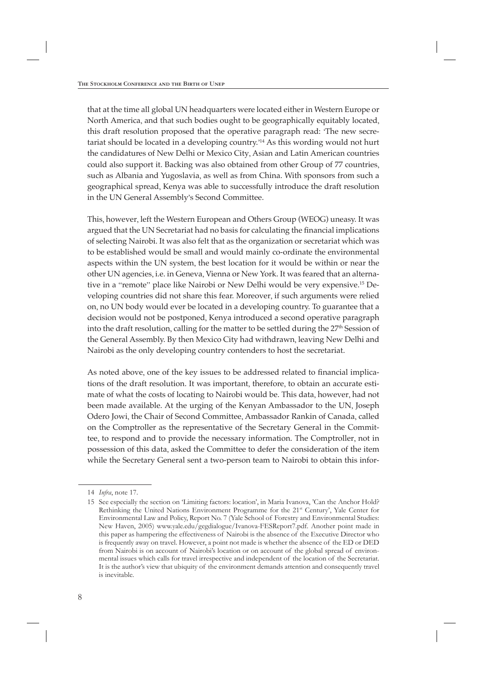that at the time all global UN headquarters were located either in Western Europe or North America, and that such bodies ought to be geographically equitably located, this draft resolution proposed that the operative paragraph read: 'The new secretariat should be located in a developing country.' 14 As this wording would not hurt the candidatures of New Delhi or Mexico City, Asian and Latin American countries could also support it. Backing was also obtained from other Group of 77 countries, such as Albania and Yugoslavia, as well as from China. With sponsors from such a geographical spread, Kenya was able to successfully introduce the draft resolution in the UN General Assembly's Second Committee.

This, however, left the Western European and Others Group (WEOG) uneasy. It was argued that the UN Secretariat had no basis for calculating the financial implications of selecting Nairobi. It was also felt that as the organization or secretariat which was to be established would be small and would mainly co-ordinate the environmental aspects within the UN system, the best location for it would be within or near the other UN agencies, i.e. in Geneva, Vienna or New York. It was feared that an alternative in a "remote" place like Nairobi or New Delhi would be very expensive.15 Developing countries did not share this fear. Moreover, if such arguments were relied on, no UN body would ever be located in a developing country. To guarantee that a decision would not be postponed, Kenya introduced a second operative paragraph into the draft resolution, calling for the matter to be settled during the 27<sup>th</sup> Session of the General Assembly. By then Mexico City had withdrawn, leaving New Delhi and Nairobi as the only developing country contenders to host the secretariat.

As noted above, one of the key issues to be addressed related to financial implications of the draft resolution. It was important, therefore, to obtain an accurate estimate of what the costs of locating to Nairobi would be. This data, however, had not been made available. At the urging of the Kenyan Ambassador to the UN, Joseph Odero Jowi, the Chair of Second Committee, Ambassador Rankin of Canada, called on the Comptroller as the representative of the Secretary General in the Committee, to respond and to provide the necessary information. The Comptroller, not in possession of this data, asked the Committee to defer the consideration of the item while the Secretary General sent a two-person team to Nairobi to obtain this infor-

<sup>14</sup> *Infra*, note 17.

<sup>15</sup> See especially the section on 'Limiting factors: location', in Maria Ivanova, 'Can the Anchor Hold? Rethinking the United Nations Environment Programme for the 21st Century', Yale Center for Environmental Law and Policy, Report No. 7 (Yale School of Forestry and Environmental Studies: New Haven, 2005) www.yale.edu/gegdialogue/Ivanova-FESReport7.pdf. Another point made in this paper as hampering the effectiveness of Nairobi is the absence of the Executive Director who is frequently away on travel. However, a point not made is whether the absence of the ED or DED from Nairobi is on account of Nairobi's location or on account of the global spread of environmental issues which calls for travel irrespective and independent of the location of the Secretariat. It is the author's view that ubiquity of the environment demands attention and consequently travel is inevitable.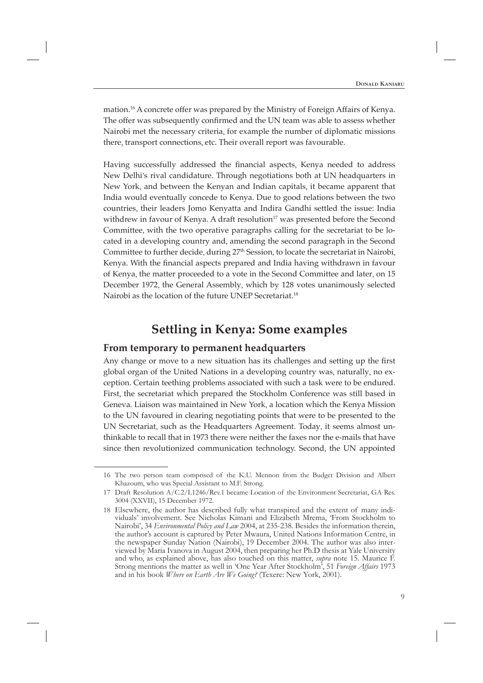mation.16 A concrete offer was prepared by the Ministry of Foreign Affairs of Kenya. The offer was subsequently confirmed and the UN team was able to assess whether Nairobi met the necessary criteria, for example the number of diplomatic missions there, transport connections, etc. Their overall report was favourable.

Having successfully addressed the financial aspects, Kenya needed to address New Delhi's rival candidature. Through negotiations both at UN headquarters in New York, and between the Kenyan and Indian capitals, it became apparent that India would eventually concede to Kenya. Due to good relations between the two countries, their leaders Jomo Kenyatta and Indira Gandhi settled the issue: India withdrew in favour of Kenya. A draft resolution<sup>17</sup> was presented before the Second Committee, with the two operative paragraphs calling for the secretariat to be located in a developing country and, amending the second paragraph in the Second Committee to further decide, during 27<sup>th</sup> Session, to locate the secretariat in Nairobi, Kenya. With the financial aspects prepared and India having withdrawn in favour of Kenya, the matter proceeded to a vote in the Second Committee and later, on 15 December 1972, the General Assembly, which by 128 votes unanimously selected Nairobi as the location of the future UNEP Secretariat.<sup>18</sup>

## **Settling in Kenya: Some examples**

#### **From temporary to permanent headquarters**

Any change or move to a new situation has its challenges and setting up the first global organ of the United Nations in a developing country was, naturally, no exception. Certain teething problems associated with such a task were to be endured. First, the secretariat which prepared the Stockholm Conference was still based in Geneva. Liaison was maintained in New York, a location which the Kenya Mission to the UN favoured in clearing negotiating points that were to be presented to the UN Secretariat, such as the Headquarters Agreement. Today, it seems almost unthinkable to recall that in 1973 there were neither the faxes nor the e-mails that have since then revolutionized communication technology. Second, the UN appointed

<sup>16</sup> The two person team comprised of the K.U. Mennon from the Budget Division and Albert Khazoum, who was Special Assistant to M.F. Strong.

<sup>17</sup> Draft Resolution A/C.2/L1246/Rev.1 became Location of the Environment Secretariat, GA Res. 3004 (XXVII), 15 December 1972.

<sup>18</sup> Elsewhere, the author has described fully what transpired and the extent of many individuals' involvement. See Nicholas Kimani and Elizabeth Mrema, 'From Stockholm to Nairobi', 34 *Environmental Policy and Law* 2004, at 235-238. Besides the information therein, the author's account is captured by Peter Mwaura, United Nations Information Centre, in the newspaper Sunday Nation (Nairobi), 19 December 2004. The author was also interviewed by Maria Ivanova in August 2004, then preparing her Ph.D thesis at Yale University and who, as explained above, has also touched on this matter, *supra* note 15. Maurice F. Strong mentions the matter as well in 'One Year After Stockholm', 51 *Foreign Affairs* 1973 and in his book *Where on Earth Are We Going?* (Texere: New York, 2001).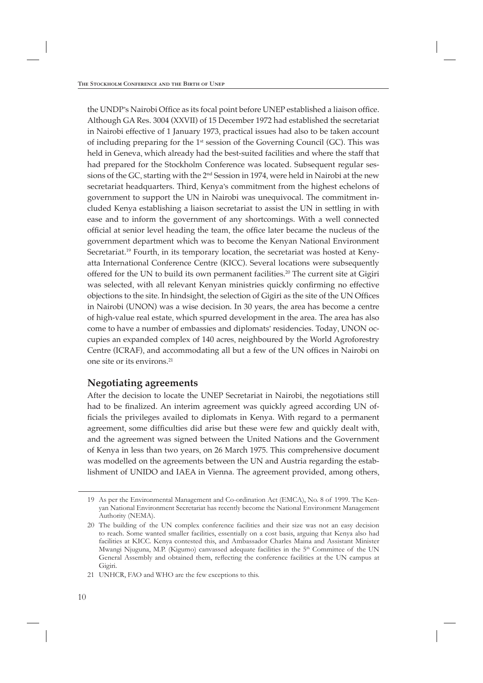the UNDP's Nairobi Office as its focal point before UNEP established a liaison office. Although GA Res. 3004 (XXVII) of 15 December 1972 had established the secretariat in Nairobi effective of 1 January 1973, practical issues had also to be taken account of including preparing for the 1st session of the Governing Council (GC). This was held in Geneva, which already had the best-suited facilities and where the staff that had prepared for the Stockholm Conference was located. Subsequent regular sessions of the GC, starting with the 2<sup>nd</sup> Session in 1974, were held in Nairobi at the new secretariat headquarters. Third, Kenya's commitment from the highest echelons of government to support the UN in Nairobi was unequivocal. The commitment included Kenya establishing a liaison secretariat to assist the UN in settling in with ease and to inform the government of any shortcomings. With a well connected official at senior level heading the team, the office later became the nucleus of the government department which was to become the Kenyan National Environment Secretariat.<sup>19</sup> Fourth, in its temporary location, the secretariat was hosted at Kenyatta International Conference Centre (KICC). Several locations were subsequently offered for the UN to build its own permanent facilities.<sup>20</sup> The current site at Gigiri was selected, with all relevant Kenyan ministries quickly confirming no effective objections to the site. In hindsight, the selection of Gigiri as the site of the UN Offices in Nairobi (UNON) was a wise decision. In 30 years, the area has become a centre of high-value real estate, which spurred development in the area. The area has also come to have a number of embassies and diplomats' residencies. Today, UNON occupies an expanded complex of 140 acres, neighboured by the World Agroforestry Centre (ICRAF), and accommodating all but a few of the UN offices in Nairobi on one site or its environs.21

#### **Negotiating agreements**

After the decision to locate the UNEP Secretariat in Nairobi, the negotiations still had to be finalized. An interim agreement was quickly agreed according UN officials the privileges availed to diplomats in Kenya. With regard to a permanent agreement, some difficulties did arise but these were few and quickly dealt with, and the agreement was signed between the United Nations and the Government of Kenya in less than two years, on 26 March 1975. This comprehensive document was modelled on the agreements between the UN and Austria regarding the establishment of UNIDO and IAEA in Vienna. The agreement provided, among others,

<sup>19</sup> As per the Environmental Management and Co-ordination Act (EMCA), No. 8 of 1999. The Kenyan National Environment Secretariat has recently become the National Environment Management Authority (NEMA).

<sup>20</sup> The building of the UN complex conference facilities and their size was not an easy decision to reach. Some wanted smaller facilities, essentially on a cost basis, arguing that Kenya also had facilities at KICC. Kenya contested this, and Ambassador Charles Maina and Assistant Minister Mwangi Njuguna, M.P. (Kigumo) canvassed adequate facilities in the 5<sup>th</sup> Committee of the UN General Assembly and obtained them, reflecting the conference facilities at the UN campus at Gigiri.

<sup>21</sup> UNHCR, FAO and WHO are the few exceptions to this.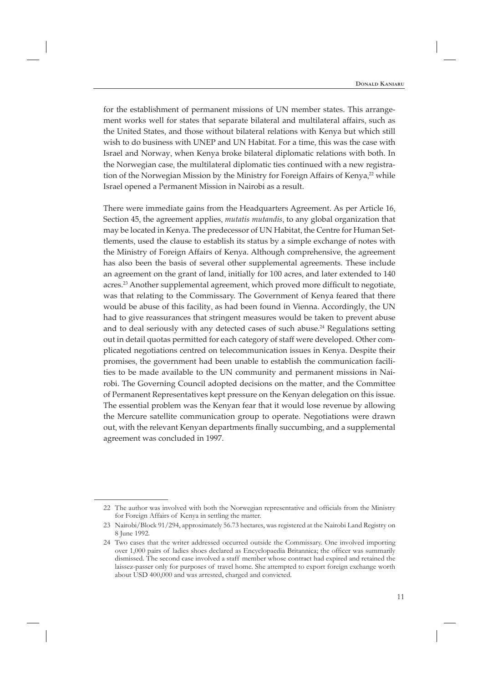for the establishment of permanent missions of UN member states. This arrangement works well for states that separate bilateral and multilateral affairs, such as the United States, and those without bilateral relations with Kenya but which still wish to do business with UNEP and UN Habitat. For a time, this was the case with Israel and Norway, when Kenya broke bilateral diplomatic relations with both. In the Norwegian case, the multilateral diplomatic ties continued with a new registration of the Norwegian Mission by the Ministry for Foreign Affairs of Kenya,<sup>22</sup> while Israel opened a Permanent Mission in Nairobi as a result.

There were immediate gains from the Headquarters Agreement. As per Article 16, Section 45, the agreement applies, *mutatis mutandis*, to any global organization that may be located in Kenya. The predecessor of UN Habitat, the Centre for Human Settlements, used the clause to establish its status by a simple exchange of notes with the Ministry of Foreign Affairs of Kenya. Although comprehensive, the agreement has also been the basis of several other supplemental agreements. These include an agreement on the grant of land, initially for 100 acres, and later extended to 140 acres.<sup>23</sup> Another supplemental agreement, which proved more difficult to negotiate, was that relating to the Commissary. The Government of Kenya feared that there would be abuse of this facility, as had been found in Vienna. Accordingly, the UN had to give reassurances that stringent measures would be taken to prevent abuse and to deal seriously with any detected cases of such abuse.<sup>24</sup> Regulations setting out in detail quotas permitted for each category of staff were developed. Other complicated negotiations centred on telecommunication issues in Kenya. Despite their promises, the government had been unable to establish the communication facilities to be made available to the UN community and permanent missions in Nairobi. The Governing Council adopted decisions on the matter, and the Committee of Permanent Representatives kept pressure on the Kenyan delegation on this issue. The essential problem was the Kenyan fear that it would lose revenue by allowing the Mercure satellite communication group to operate. Negotiations were drawn out, with the relevant Kenyan departments finally succumbing, and a supplemental agreement was concluded in 1997.

<sup>22</sup> The author was involved with both the Norwegian representative and officials from the Ministry for Foreign Affairs of Kenya in settling the matter.

<sup>23</sup> Nairobi/Block 91/294, approximately 56.73 hectares, was registered at the Nairobi Land Registry on 8 June 1992.

<sup>24</sup> Two cases that the writer addressed occurred outside the Commissary. One involved importing over 1,000 pairs of ladies shoes declared as Encyclopaedia Britannica; the officer was summarily dismissed. The second case involved a staff member whose contract had expired and retained the laissez-passer only for purposes of travel home. She attempted to export foreign exchange worth about USD 400,000 and was arrested, charged and convicted.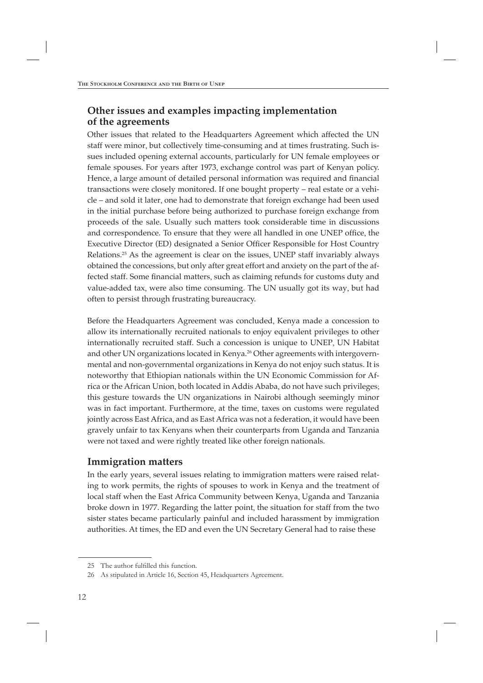#### **Other issues and examples impacting implementation of the agreements**

Other issues that related to the Headquarters Agreement which affected the UN staff were minor, but collectively time-consuming and at times frustrating. Such issues included opening external accounts, particularly for UN female employees or female spouses. For years after 1973, exchange control was part of Kenyan policy. Hence, a large amount of detailed personal information was required and financial transactions were closely monitored. If one bought property – real estate or a vehicle – and sold it later, one had to demonstrate that foreign exchange had been used in the initial purchase before being authorized to purchase foreign exchange from proceeds of the sale. Usually such matters took considerable time in discussions and correspondence. To ensure that they were all handled in one UNEP office, the Executive Director (ED) designated a Senior Officer Responsible for Host Country Relations.25 As the agreement is clear on the issues, UNEP staff invariably always obtained the concessions, but only after great effort and anxiety on the part of the affected staff. Some financial matters, such as claiming refunds for customs duty and value-added tax, were also time consuming. The UN usually got its way, but had often to persist through frustrating bureaucracy.

Before the Headquarters Agreement was concluded, Kenya made a concession to allow its internationally recruited nationals to enjoy equivalent privileges to other internationally recruited staff. Such a concession is unique to UNEP, UN Habitat and other UN organizations located in Kenya.<sup>26</sup> Other agreements with intergovernmental and non-governmental organizations in Kenya do not enjoy such status. It is noteworthy that Ethiopian nationals within the UN Economic Commission for Africa or the African Union, both located in Addis Ababa, do not have such privileges; this gesture towards the UN organizations in Nairobi although seemingly minor was in fact important. Furthermore, at the time, taxes on customs were regulated jointly across East Africa, and as East Africa was not a federation, it would have been gravely unfair to tax Kenyans when their counterparts from Uganda and Tanzania were not taxed and were rightly treated like other foreign nationals.

#### **Immigration matters**

In the early years, several issues relating to immigration matters were raised relating to work permits, the rights of spouses to work in Kenya and the treatment of local staff when the East Africa Community between Kenya, Uganda and Tanzania broke down in 1977. Regarding the latter point, the situation for staff from the two sister states became particularly painful and included harassment by immigration authorities. At times, the ED and even the UN Secretary General had to raise these

<sup>25</sup> The author fulfilled this function.

<sup>26</sup> As stipulated in Article 16, Section 45, Headquarters Agreement.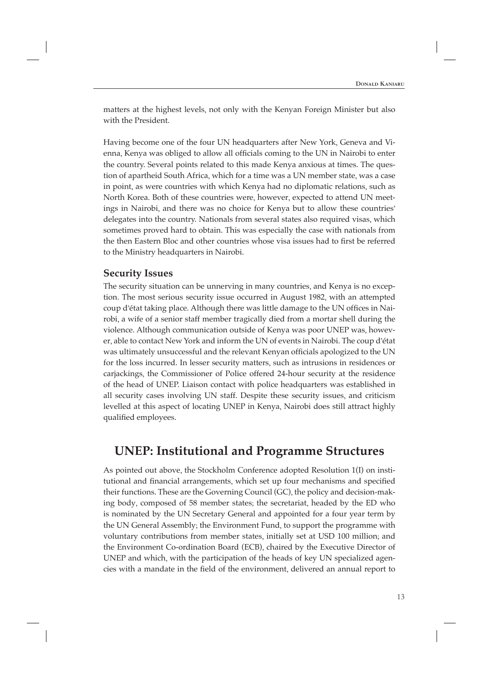matters at the highest levels, not only with the Kenyan Foreign Minister but also with the President.

Having become one of the four UN headquarters after New York, Geneva and Vienna, Kenya was obliged to allow all officials coming to the UN in Nairobi to enter the country. Several points related to this made Kenya anxious at times. The question of apartheid South Africa, which for a time was a UN member state, was a case in point, as were countries with which Kenya had no diplomatic relations, such as North Korea. Both of these countries were, however, expected to attend UN meetings in Nairobi, and there was no choice for Kenya but to allow these countries' delegates into the country. Nationals from several states also required visas, which sometimes proved hard to obtain. This was especially the case with nationals from the then Eastern Bloc and other countries whose visa issues had to first be referred to the Ministry headquarters in Nairobi.

#### **Security Issues**

The security situation can be unnerving in many countries, and Kenya is no exception. The most serious security issue occurred in August 1982, with an attempted coup d'état taking place. Although there was little damage to the UN offices in Nairobi, a wife of a senior staff member tragically died from a mortar shell during the violence. Although communication outside of Kenya was poor UNEP was, however, able to contact New York and inform the UN of events in Nairobi. The coup d'état was ultimately unsuccessful and the relevant Kenyan officials apologized to the UN for the loss incurred. In lesser security matters, such as intrusions in residences or carjackings, the Commissioner of Police offered 24-hour security at the residence of the head of UNEP. Liaison contact with police headquarters was established in all security cases involving UN staff. Despite these security issues, and criticism levelled at this aspect of locating UNEP in Kenya, Nairobi does still attract highly qualified employees.

## **UNEP: Institutional and Programme Structures**

As pointed out above, the Stockholm Conference adopted Resolution 1(I) on institutional and financial arrangements, which set up four mechanisms and specified their functions. These are the Governing Council (GC), the policy and decision-making body, composed of 58 member states; the secretariat, headed by the ED who is nominated by the UN Secretary General and appointed for a four year term by the UN General Assembly; the Environment Fund, to support the programme with voluntary contributions from member states, initially set at USD 100 million; and the Environment Co-ordination Board (ECB), chaired by the Executive Director of UNEP and which, with the participation of the heads of key UN specialized agencies with a mandate in the field of the environment, delivered an annual report to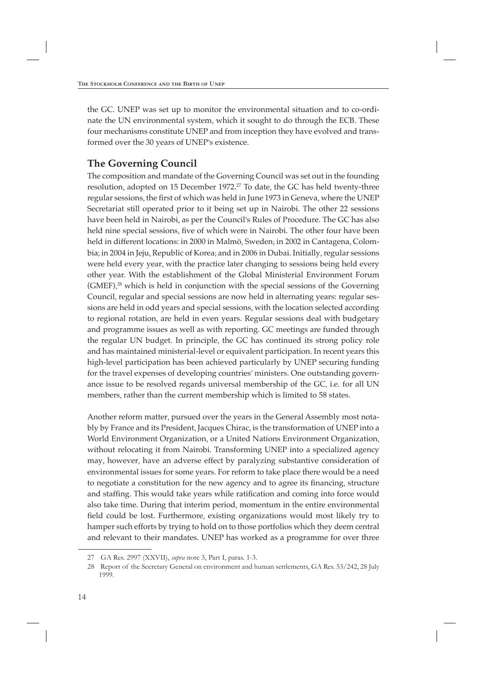the GC. UNEP was set up to monitor the environmental situation and to co-ordinate the UN environmental system, which it sought to do through the ECB. These four mechanisms constitute UNEP and from inception they have evolved and transformed over the 30 years of UNEP's existence.

#### **The Governing Council**

The composition and mandate of the Governing Council was set out in the founding resolution, adopted on 15 December 1972.<sup>27</sup> To date, the GC has held twenty-three regular sessions, the first of which was held in June 1973 in Geneva, where the UNEP Secretariat still operated prior to it being set up in Nairobi. The other 22 sessions have been held in Nairobi, as per the Council's Rules of Procedure. The GC has also held nine special sessions, five of which were in Nairobi. The other four have been held in different locations: in 2000 in Malmö, Sweden; in 2002 in Cantagena, Colombia; in 2004 in Jeju, Republic of Korea; and in 2006 in Dubai. Initially, regular sessions were held every year, with the practice later changing to sessions being held every other year. With the establishment of the Global Ministerial Environment Forum (GMEF), 28 which is held in conjunction with the special sessions of the Governing Council, regular and special sessions are now held in alternating years: regular sessions are held in odd years and special sessions, with the location selected according to regional rotation, are held in even years. Regular sessions deal with budgetary and programme issues as well as with reporting. GC meetings are funded through the regular UN budget. In principle, the GC has continued its strong policy role and has maintained ministerial-level or equivalent participation. In recent years this high-level participation has been achieved particularly by UNEP securing funding for the travel expenses of developing countries' ministers. One outstanding governance issue to be resolved regards universal membership of the GC, i.e. for all UN members, rather than the current membership which is limited to 58 states.

Another reform matter, pursued over the years in the General Assembly most notably by France and its President, Jacques Chirac, is the transformation of UNEP into a World Environment Organization, or a United Nations Environment Organization, without relocating it from Nairobi. Transforming UNEP into a specialized agency may, however, have an adverse effect by paralyzing substantive consideration of environmental issues for some years. For reform to take place there would be a need to negotiate a constitution for the new agency and to agree its financing, structure and staffing. This would take years while ratification and coming into force would also take time. During that interim period, momentum in the entire environmental field could be lost. Furthermore, existing organizations would most likely try to hamper such efforts by trying to hold on to those portfolios which they deem central and relevant to their mandates. UNEP has worked as a programme for over three

<sup>27</sup> GA Res. 2997 (XXVII), *supra* note 3, Part I, paras. 1-3.

<sup>28</sup> Report of the Secretary General on environment and human settlements, GA Res. 53/242, 28 July 1999.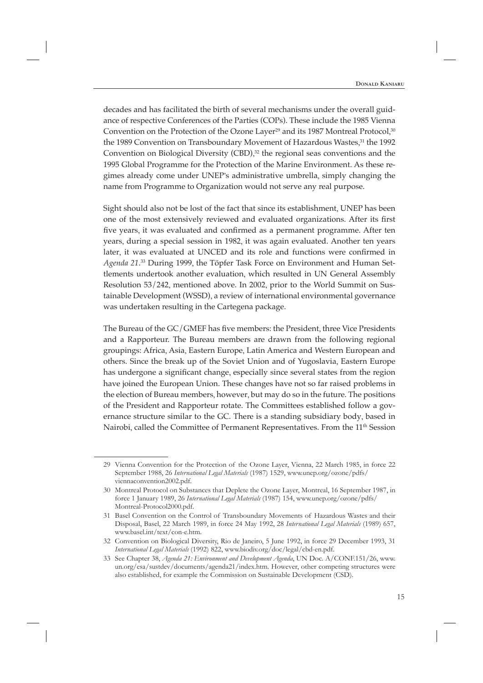decades and has facilitated the birth of several mechanisms under the overall guidance of respective Conferences of the Parties (COPs). These include the 1985 Vienna Convention on the Protection of the Ozone Layer<sup>29</sup> and its 1987 Montreal Protocol, $30$ the 1989 Convention on Transboundary Movement of Hazardous Wastes,<sup>31</sup> the 1992 Convention on Biological Diversity (CBD), 32 the regional seas conventions and the 1995 Global Programme for the Protection of the Marine Environment. As these regimes already come under UNEP's administrative umbrella, simply changing the name from Programme to Organization would not serve any real purpose.

Sight should also not be lost of the fact that since its establishment, UNEP has been one of the most extensively reviewed and evaluated organizations. After its first five years, it was evaluated and confirmed as a permanent programme. After ten years, during a special session in 1982, it was again evaluated. Another ten years later, it was evaluated at UNCED and its role and functions were confirmed in *Agenda 21*. 33 During 1999, the Töpfer Task Force on Environment and Human Settlements undertook another evaluation, which resulted in UN General Assembly Resolution 53/242, mentioned above. In 2002, prior to the World Summit on Sustainable Development (WSSD), a review of international environmental governance was undertaken resulting in the Cartegena package.

The Bureau of the GC/GMEF has five members: the President, three Vice Presidents and a Rapporteur. The Bureau members are drawn from the following regional groupings: Africa, Asia, Eastern Europe, Latin America and Western European and others. Since the break up of the Soviet Union and of Yugoslavia, Eastern Europe has undergone a significant change, especially since several states from the region have joined the European Union. These changes have not so far raised problems in the election of Bureau members, however, but may do so in the future. The positions of the President and Rapporteur rotate. The Committees established follow a governance structure similar to the GC. There is a standing subsidiary body, based in Nairobi, called the Committee of Permanent Representatives. From the 11<sup>th</sup> Session

<sup>29</sup> Vienna Convention for the Protection of the Ozone Layer, Vienna, 22 March 1985, in force 22 September 1988, 26 *International Legal Materials* (1987) 1529, www.unep.org/ozone/pdfs/ viennaconvention2002.pdf.

<sup>30</sup> Montreal Protocol on Substances that Deplete the Ozone Layer, Montreal, 16 September 1987, in force 1 January 1989, 26 *International Legal Materials* (1987) 154, www.unep.org/ozone/pdfs/ Montreal-Protocol2000.pdf.

<sup>31</sup> Basel Convention on the Control of Transboundary Movements of Hazardous Wastes and their Disposal, Basel, 22 March 1989, in force 24 May 1992, 28 *International Legal Materials* (1989) 657, www.basel.int/text/con-e.htm.

<sup>32</sup> Convention on Biological Diversity, Rio de Janeiro, 5 June 1992, in force 29 December 1993, 31 *International Legal Materials* (1992) 822, www.biodiv.org/doc/legal/cbd-en.pdf.

<sup>33</sup> See Chapter 38, *Agenda 21: Environment and Development Agenda*, UN Doc. A/CONF.151/26, www. un.org/esa/sustdev/documents/agenda21/index.htm. However, other competing structures were also established, for example the Commission on Sustainable Development (CSD).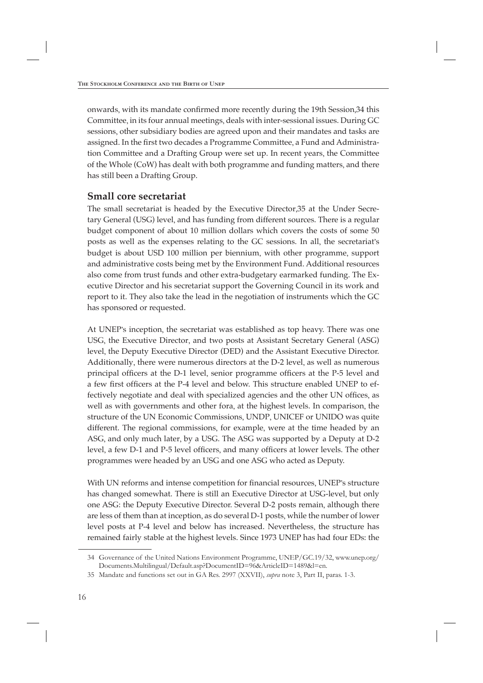onwards, with its mandate confirmed more recently during the 19th Session, 34 this Committee, in its four annual meetings, deals with inter-sessional issues. During GC sessions, other subsidiary bodies are agreed upon and their mandates and tasks are assigned. In the first two decades a Programme Committee, a Fund and Administration Committee and a Drafting Group were set up. In recent years, the Committee of the Whole (CoW) has dealt with both programme and funding matters, and there has still been a Drafting Group.

#### **Small core secretariat**

The small secretariat is headed by the Executive Director,35 at the Under Secretary General (USG) level, and has funding from different sources. There is a regular budget component of about 10 million dollars which covers the costs of some 50 posts as well as the expenses relating to the GC sessions. In all, the secretariat's budget is about USD 100 million per biennium, with other programme, support and administrative costs being met by the Environment Fund. Additional resources also come from trust funds and other extra-budgetary earmarked funding. The Executive Director and his secretariat support the Governing Council in its work and report to it. They also take the lead in the negotiation of instruments which the GC has sponsored or requested.

At UNEP's inception, the secretariat was established as top heavy. There was one USG, the Executive Director, and two posts at Assistant Secretary General (ASG) level, the Deputy Executive Director (DED) and the Assistant Executive Director. Additionally, there were numerous directors at the D-2 level, as well as numerous principal officers at the D-1 level, senior programme officers at the P-5 level and a few first officers at the P-4 level and below. This structure enabled UNEP to effectively negotiate and deal with specialized agencies and the other UN offices, as well as with governments and other fora, at the highest levels. In comparison, the structure of the UN Economic Commissions, UNDP, UNICEF or UNIDO was quite different. The regional commissions, for example, were at the time headed by an ASG, and only much later, by a USG. The ASG was supported by a Deputy at D-2 level, a few D-1 and P-5 level officers, and many officers at lower levels. The other programmes were headed by an USG and one ASG who acted as Deputy.

With UN reforms and intense competition for financial resources, UNEP's structure has changed somewhat. There is still an Executive Director at USG-level, but only one ASG: the Deputy Executive Director. Several D-2 posts remain, although there are less of them than at inception, as do several D-1 posts, while the number of lower level posts at P-4 level and below has increased. Nevertheless, the structure has remained fairly stable at the highest levels. Since 1973 UNEP has had four EDs: the

<sup>34</sup> Governance of the United Nations Environment Programme, UNEP/GC.19/32, www.unep.org/ Documents.Multilingual/Default.asp?DocumentID=96&ArticleID=1489&l=en.

<sup>35</sup> Mandate and functions set out in GA Res. 2997 (XXVII), *supra* note 3, Part II, paras. 1-3.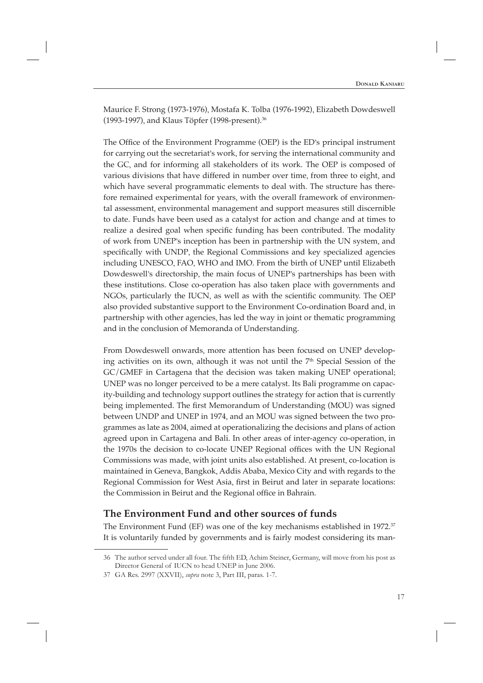Maurice F. Strong (1973-1976), Mostafa K. Tolba (1976-1992), Elizabeth Dowdeswell (1993-1997), and Klaus Töpfer (1998-present).36

The Office of the Environment Programme (OEP) is the ED's principal instrument for carrying out the secretariat's work, for serving the international community and the GC, and for informing all stakeholders of its work. The OEP is composed of various divisions that have differed in number over time, from three to eight, and which have several programmatic elements to deal with. The structure has therefore remained experimental for years, with the overall framework of environmental assessment, environmental management and support measures still discernible to date. Funds have been used as a catalyst for action and change and at times to realize a desired goal when specific funding has been contributed. The modality of work from UNEP's inception has been in partnership with the UN system, and specifically with UNDP, the Regional Commissions and key specialized agencies including UNESCO, FAO, WHO and IMO. From the birth of UNEP until Elizabeth Dowdeswell's directorship, the main focus of UNEP's partnerships has been with these institutions. Close co-operation has also taken place with governments and NGOs, particularly the IUCN, as well as with the scientific community. The OEP also provided substantive support to the Environment Co-ordination Board and, in partnership with other agencies, has led the way in joint or thematic programming and in the conclusion of Memoranda of Understanding.

From Dowdeswell onwards, more attention has been focused on UNEP developing activities on its own, although it was not until the  $7<sup>th</sup>$  Special Session of the GC/GMEF in Cartagena that the decision was taken making UNEP operational; UNEP was no longer perceived to be a mere catalyst. Its Bali programme on capacity-building and technology support outlines the strategy for action that is currently being implemented. The first Memorandum of Understanding (MOU) was signed between UNDP and UNEP in 1974, and an MOU was signed between the two programmes as late as 2004, aimed at operationalizing the decisions and plans of action agreed upon in Cartagena and Bali. In other areas of inter-agency co-operation, in the 1970s the decision to co-locate UNEP Regional offices with the UN Regional Commissions was made, with joint units also established. At present, co-location is maintained in Geneva, Bangkok, Addis Ababa, Mexico City and with regards to the Regional Commission for West Asia, first in Beirut and later in separate locations: the Commission in Beirut and the Regional office in Bahrain.

#### **The Environment Fund and other sources of funds**

The Environment Fund (EF) was one of the key mechanisms established in 1972.<sup>37</sup> It is voluntarily funded by governments and is fairly modest considering its man-

<sup>36</sup> The author served under all four. The fifth ED, Achim Steiner, Germany, will move from his post as Director General of IUCN to head UNEP in June 2006.

<sup>37</sup> GA Res. 2997 (XXVII), *supra* note 3, Part III, paras. 1-7.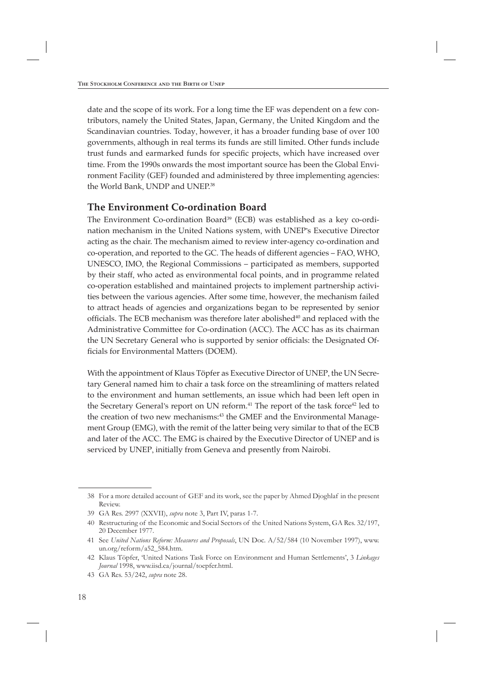date and the scope of its work. For a long time the EF was dependent on a few contributors, namely the United States, Japan, Germany, the United Kingdom and the Scandinavian countries. Today, however, it has a broader funding base of over 100 governments, although in real terms its funds are still limited. Other funds include trust funds and earmarked funds for specific projects, which have increased over time. From the 1990s onwards the most important source has been the Global Environment Facility (GEF) founded and administered by three implementing agencies: the World Bank, UNDP and UNEP.<sup>38</sup>

#### **The Environment Co-ordination Board**

The Environment Co-ordination Board<sup>39</sup> (ECB) was established as a key co-ordination mechanism in the United Nations system, with UNEP's Executive Director acting as the chair. The mechanism aimed to review inter-agency co-ordination and co-operation, and reported to the GC. The heads of different agencies – FAO, WHO, UNESCO, IMO, the Regional Commissions – participated as members, supported by their staff, who acted as environmental focal points, and in programme related co-operation established and maintained projects to implement partnership activities between the various agencies. After some time, however, the mechanism failed to attract heads of agencies and organizations began to be represented by senior officials. The ECB mechanism was therefore later abolished<sup>40</sup> and replaced with the Administrative Committee for Co-ordination (ACC). The ACC has as its chairman the UN Secretary General who is supported by senior officials: the Designated Officials for Environmental Matters (DOEM).

With the appointment of Klaus Töpfer as Executive Director of UNEP, the UN Secretary General named him to chair a task force on the streamlining of matters related to the environment and human settlements, an issue which had been left open in the Secretary General's report on UN reform.<sup>41</sup> The report of the task force<sup>42</sup> led to the creation of two new mechanisms:<sup>43</sup> the GMEF and the Environmental Management Group (EMG), with the remit of the latter being very similar to that of the ECB and later of the ACC. The EMG is chaired by the Executive Director of UNEP and is serviced by UNEP, initially from Geneva and presently from Nairobi.

<sup>38</sup> For a more detailed account of GEF and its work, see the paper by Ahmed Djoghlaf in the present Review.

<sup>39</sup> GA Res. 2997 (XXVII), *supra* note 3, Part IV, paras 1-7.

<sup>40</sup> Restructuring of the Economic and Social Sectors of the United Nations System, GA Res. 32/197, 20 December 1977.

<sup>41</sup> See *United Nations Reform: Measures and Proposals*, UN Doc. A/52/584 (10 November 1997), www. un.org/reform/a52\_584.htm.

<sup>42</sup> Klaus Töpfer, 'United Nations Task Force on Environment and Human Settlements', 3 *Linkages Journal* 1998, www.iisd.ca/journal/toepfer.html.

<sup>43</sup> GA Res. 53/242, *supra* note 28.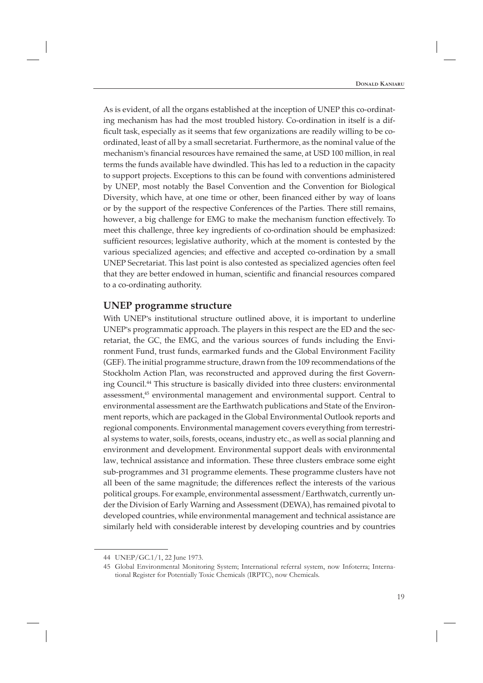As is evident, of all the organs established at the inception of UNEP this co-ordinating mechanism has had the most troubled history. Co-ordination in itself is a difficult task, especially as it seems that few organizations are readily willing to be coordinated, least of all by a small secretariat. Furthermore, as the nominal value of the mechanism's financial resources have remained the same, at USD 100 million, in real terms the funds available have dwindled. This has led to a reduction in the capacity to support projects. Exceptions to this can be found with conventions administered by UNEP, most notably the Basel Convention and the Convention for Biological Diversity, which have, at one time or other, been financed either by way of loans or by the support of the respective Conferences of the Parties. There still remains, however, a big challenge for EMG to make the mechanism function effectively. To meet this challenge, three key ingredients of co-ordination should be emphasized: sufficient resources; legislative authority, which at the moment is contested by the various specialized agencies; and effective and accepted co-ordination by a small UNEP Secretariat. This last point is also contested as specialized agencies often feel that they are better endowed in human, scientific and financial resources compared to a co-ordinating authority.

#### **UNEP programme structure**

With UNEP's institutional structure outlined above, it is important to underline UNEP's programmatic approach. The players in this respect are the ED and the secretariat, the GC, the EMG, and the various sources of funds including the Environment Fund, trust funds, earmarked funds and the Global Environment Facility (GEF). The initial programme structure, drawn from the 109 recommendations of the Stockholm Action Plan, was reconstructed and approved during the first Governing Council.44 This structure is basically divided into three clusters: environmental assessment, 45 environmental management and environmental support. Central to environmental assessment are the Earthwatch publications and State of the Environment reports, which are packaged in the Global Environmental Outlook reports and regional components. Environmental management covers everything from terrestrial systems to water, soils, forests, oceans, industry etc., as well as social planning and environment and development. Environmental support deals with environmental law, technical assistance and information. These three clusters embrace some eight sub-programmes and 31 programme elements. These programme clusters have not all been of the same magnitude; the differences reflect the interests of the various political groups. For example, environmental assessment/Earthwatch, currently under the Division of Early Warning and Assessment (DEWA), has remained pivotal to developed countries, while environmental management and technical assistance are similarly held with considerable interest by developing countries and by countries

<sup>44</sup> UNEP/GC.1/1, 22 June 1973.

<sup>45</sup> Global Environmental Monitoring System; International referral system, now Infoterra; International Register for Potentially Toxic Chemicals (IRPTC), now Chemicals.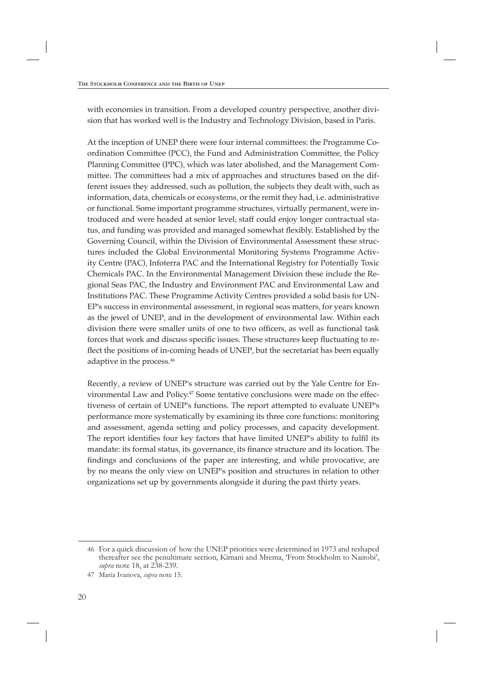with economies in transition. From a developed country perspective, another division that has worked well is the Industry and Technology Division, based in Paris.

At the inception of UNEP there were four internal committees: the Programme Coordination Committee (PCC), the Fund and Administration Committee, the Policy Planning Committee (PPC), which was later abolished, and the Management Committee. The committees had a mix of approaches and structures based on the different issues they addressed, such as pollution, the subjects they dealt with, such as information, data, chemicals or ecosystems, or the remit they had, i.e. administrative or functional. Some important programme structures, virtually permanent, were introduced and were headed at senior level; staff could enjoy longer contractual status, and funding was provided and managed somewhat flexibly. Established by the Governing Council, within the Division of Environmental Assessment these structures included the Global Environmental Monitoring Systems Programme Activity Centre (PAC), Infoterra PAC and the International Registry for Potentially Toxic Chemicals PAC. In the Environmental Management Division these include the Regional Seas PAC, the Industry and Environment PAC and Environmental Law and Institutions PAC. These Programme Activity Centres provided a solid basis for UN-EP's success in environmental assessment, in regional seas matters, for years known as the jewel of UNEP, and in the development of environmental law. Within each division there were smaller units of one to two officers, as well as functional task forces that work and discuss specific issues. These structures keep fluctuating to reflect the positions of in-coming heads of UNEP, but the secretariat has been equally adaptive in the process.46

Recently, a review of UNEP's structure was carried out by the Yale Centre for Environmental Law and Policy.<sup>47</sup> Some tentative conclusions were made on the effectiveness of certain of UNEP's functions. The report attempted to evaluate UNEP's performance more systematically by examining its three core functions: monitoring and assessment, agenda setting and policy processes, and capacity development. The report identifies four key factors that have limited UNEP's ability to fulfil its mandate: its formal status, its governance, its finance structure and its location. The findings and conclusions of the paper are interesting, and while provocative, are by no means the only view on UNEP's position and structures in relation to other organizations set up by governments alongside it during the past thirty years.

<sup>46</sup> For a quick discussion of how the UNEP priorities were determined in 1973 and reshaped thereafter see the penultimate section, Kimani and Mrema, 'From Stockholm to Nairobi', *supra* note 18, at 238-239.

<sup>47</sup> Maria Ivanova, *supra* note 15.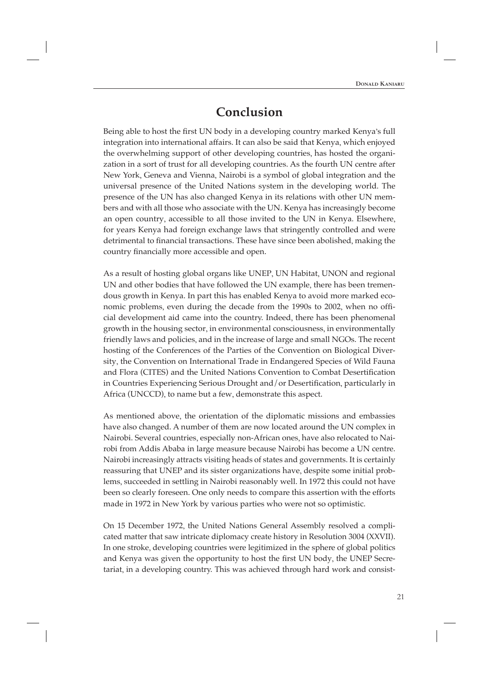## **Conclusion**

Being able to host the first UN body in a developing country marked Kenya's full integration into international affairs. It can also be said that Kenya, which enjoyed the overwhelming support of other developing countries, has hosted the organization in a sort of trust for all developing countries. As the fourth UN centre after New York, Geneva and Vienna, Nairobi is a symbol of global integration and the universal presence of the United Nations system in the developing world. The presence of the UN has also changed Kenya in its relations with other UN members and with all those who associate with the UN. Kenya has increasingly become an open country, accessible to all those invited to the UN in Kenya. Elsewhere, for years Kenya had foreign exchange laws that stringently controlled and were detrimental to financial transactions. These have since been abolished, making the country financially more accessible and open.

As a result of hosting global organs like UNEP, UN Habitat, UNON and regional UN and other bodies that have followed the UN example, there has been tremendous growth in Kenya. In part this has enabled Kenya to avoid more marked economic problems, even during the decade from the 1990s to 2002, when no official development aid came into the country. Indeed, there has been phenomenal growth in the housing sector, in environmental consciousness, in environmentally friendly laws and policies, and in the increase of large and small NGOs. The recent hosting of the Conferences of the Parties of the Convention on Biological Diversity, the Convention on International Trade in Endangered Species of Wild Fauna and Flora (CITES) and the United Nations Convention to Combat Desertification in Countries Experiencing Serious Drought and/or Desertification, particularly in Africa (UNCCD), to name but a few, demonstrate this aspect.

As mentioned above, the orientation of the diplomatic missions and embassies have also changed. A number of them are now located around the UN complex in Nairobi. Several countries, especially non-African ones, have also relocated to Nairobi from Addis Ababa in large measure because Nairobi has become a UN centre. Nairobi increasingly attracts visiting heads of states and governments. It is certainly reassuring that UNEP and its sister organizations have, despite some initial problems, succeeded in settling in Nairobi reasonably well. In 1972 this could not have been so clearly foreseen. One only needs to compare this assertion with the efforts made in 1972 in New York by various parties who were not so optimistic.

On 15 December 1972, the United Nations General Assembly resolved a complicated matter that saw intricate diplomacy create history in Resolution 3004 (XXVII). In one stroke, developing countries were legitimized in the sphere of global politics and Kenya was given the opportunity to host the first UN body, the UNEP Secretariat, in a developing country. This was achieved through hard work and consist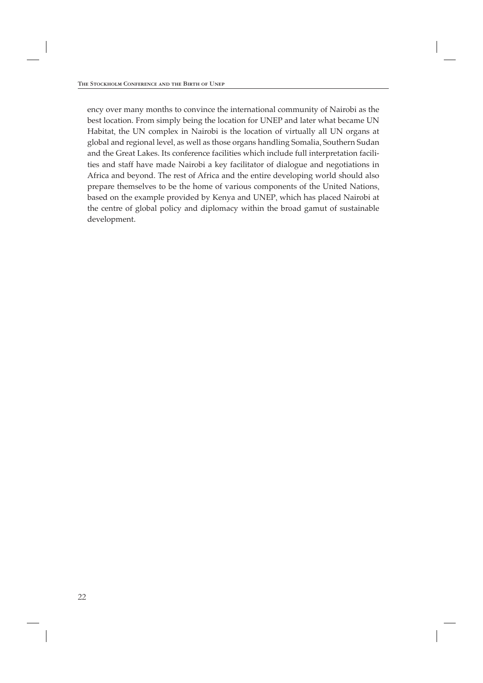ency over many months to convince the international community of Nairobi as the best location. From simply being the location for UNEP and later what became UN Habitat, the UN complex in Nairobi is the location of virtually all UN organs at global and regional level, as well as those organs handling Somalia, Southern Sudan and the Great Lakes. Its conference facilities which include full interpretation facilities and staff have made Nairobi a key facilitator of dialogue and negotiations in Africa and beyond. The rest of Africa and the entire developing world should also prepare themselves to be the home of various components of the United Nations, based on the example provided by Kenya and UNEP, which has placed Nairobi at the centre of global policy and diplomacy within the broad gamut of sustainable development.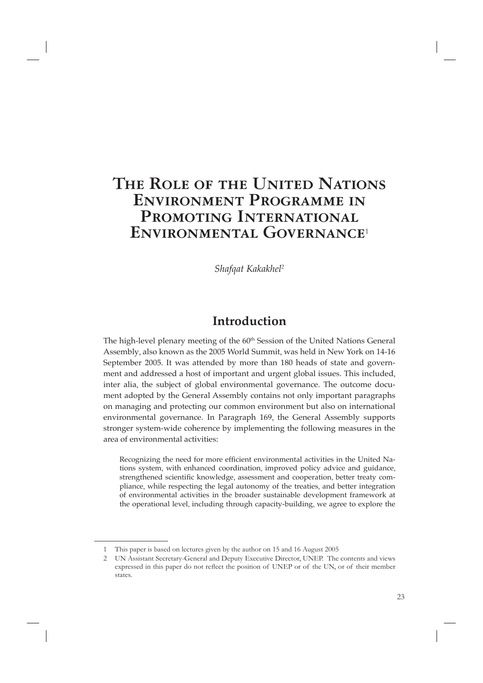# **The Role of the United Nations Environment Programme in Promoting International Environmental Governance**<sup>1</sup>

*Shafqat Kakakhel2*

## **Introduction**

The high-level plenary meeting of the 60<sup>th</sup> Session of the United Nations General Assembly, also known as the 2005 World Summit, was held in New York on 14-16 September 2005. It was attended by more than 180 heads of state and government and addressed a host of important and urgent global issues. This included, inter alia, the subject of global environmental governance. The outcome document adopted by the General Assembly contains not only important paragraphs on managing and protecting our common environment but also on international environmental governance. In Paragraph 169, the General Assembly supports stronger system-wide coherence by implementing the following measures in the area of environmental activities:

Recognizing the need for more efficient environmental activities in the United Nations system, with enhanced coordination, improved policy advice and guidance, strengthened scientific knowledge, assessment and cooperation, better treaty compliance, while respecting the legal autonomy of the treaties, and better integration of environmental activities in the broader sustainable development framework at the operational level, including through capacity-building, we agree to explore the

<sup>1</sup> This paper is based on lectures given by the author on 15 and 16 August 2005

<sup>2</sup> UN Assistant Secretary-General and Deputy Executive Director, UNEP. The contents and views expressed in this paper do not reflect the position of UNEP or of the UN, or of their member states.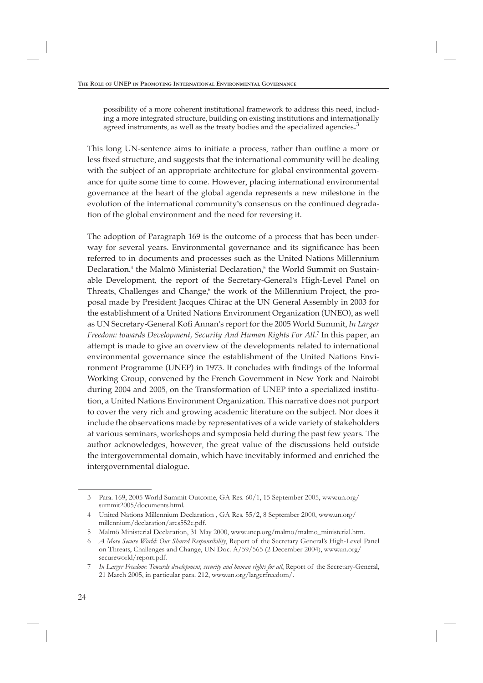possibility of a more coherent institutional framework to address this need, including a more integrated structure, building on existing institutions and internationally agreed instruments, as well as the treaty bodies and the specialized agencies.<sup>3</sup>

This long UN-sentence aims to initiate a process, rather than outline a more or less fixed structure, and suggests that the international community will be dealing with the subject of an appropriate architecture for global environmental governance for quite some time to come. However, placing international environmental governance at the heart of the global agenda represents a new milestone in the evolution of the international community's consensus on the continued degradation of the global environment and the need for reversing it.

The adoption of Paragraph 169 is the outcome of a process that has been underway for several years. Environmental governance and its significance has been referred to in documents and processes such as the United Nations Millennium Declaration, 4 the Malmö Ministerial Declaration, 5 the World Summit on Sustainable Development, the report of the Secretary-General's High-Level Panel on Threats, Challenges and Change,<sup>6</sup> the work of the Millennium Project, the proposal made by President Jacques Chirac at the UN General Assembly in 2003 for the establishment of a United Nations Environment Organization (UNEO), as well as UN Secretary-General Kofi Annan's report for the 2005 World Summit, *In Larger*  Freedom: towards Development, Security And Human Rights For All.<sup>7</sup> In this paper, an attempt is made to give an overview of the developments related to international environmental governance since the establishment of the United Nations Environment Programme (UNEP) in 1973. It concludes with findings of the Informal Working Group, convened by the French Government in New York and Nairobi during 2004 and 2005, on the Transformation of UNEP into a specialized institution, a United Nations Environment Organization. This narrative does not purport to cover the very rich and growing academic literature on the subject. Nor does it include the observations made by representatives of a wide variety of stakeholders at various seminars, workshops and symposia held during the past few years. The author acknowledges, however, the great value of the discussions held outside the intergovernmental domain, which have inevitably informed and enriched the intergovernmental dialogue.

<sup>3</sup> Para. 169, 2005 World Summit Outcome, GA Res. 60/1, 15 September 2005, www.un.org/ summit2005/documents.html.

<sup>4</sup> United Nations Millennium Declaration , GA Res. 55/2, 8 September 2000, www.un.org/ millennium/declaration/ares552e.pdf.

<sup>5</sup> Malmö Ministerial Declaration, 31 May 2000, www.unep.org/malmo/malmo\_ministerial.htm.

<sup>6</sup> *A More Secure World: Our Shared Responsibility*, Report of the Secretary General's High-Level Panel on Threats, Challenges and Change, UN Doc. A/59/565 (2 December 2004), www.un.org/ secureworld/report.pdf.

<sup>7</sup> *In Larger Freedom: Towards development, security and human rights for all*, Report of the Secretary-General, 21 March 2005, in particular para. 212, www.un.org/largerfreedom/.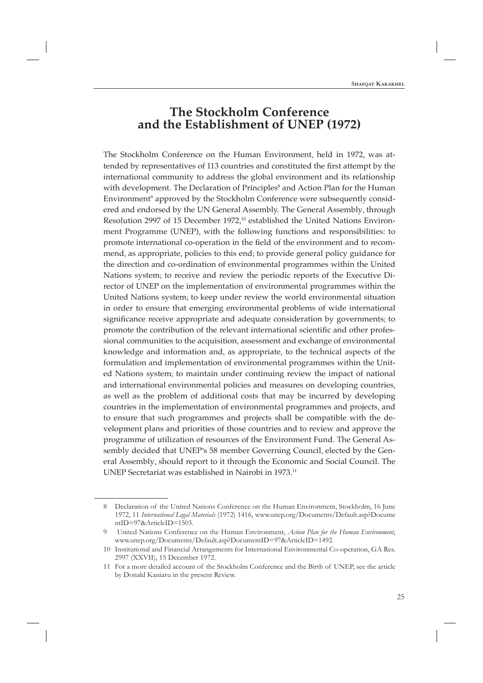## **The Stockholm Conference and the Establishment of UNEP (1972)**

The Stockholm Conference on the Human Environment, held in 1972, was attended by representatives of 113 countries and constituted the first attempt by the international community to address the global environment and its relationship with development. The Declaration of Principles<sup>8</sup> and Action Plan for the Human Environment<sup>9</sup> approved by the Stockholm Conference were subsequently considered and endorsed by the UN General Assembly. The General Assembly, through Resolution 2997 of 15 December 1972, 10 established the United Nations Environment Programme (UNEP), with the following functions and responsibilities: to promote international co-operation in the field of the environment and to recommend, as appropriate, policies to this end; to provide general policy guidance for the direction and co-ordination of environmental programmes within the United Nations system; to receive and review the periodic reports of the Executive Director of UNEP on the implementation of environmental programmes within the United Nations system; to keep under review the world environmental situation in order to ensure that emerging environmental problems of wide international significance receive appropriate and adequate consideration by governments; to promote the contribution of the relevant international scientific and other professional communities to the acquisition, assessment and exchange of environmental knowledge and information and, as appropriate, to the technical aspects of the formulation and implementation of environmental programmes within the United Nations system; to maintain under continuing review the impact of national and international environmental policies and measures on developing countries, as well as the problem of additional costs that may be incurred by developing countries in the implementation of environmental programmes and projects, and to ensure that such programmes and projects shall be compatible with the development plans and priorities of those countries and to review and approve the programme of utilization of resources of the Environment Fund. The General Assembly decided that UNEP's 58 member Governing Council, elected by the General Assembly, should report to it through the Economic and Social Council. The UNEP Secretariat was established in Nairobi in 1973.11

<sup>8</sup> Declaration of the United Nations Conference on the Human Environment, Stockholm, 16 June 1972, 11 *International Legal Materials* (1972) 1416, www.unep.org/Documents/Default.asp?Docume ntID=97&ArticleID=1503.

<sup>9</sup> United Nations Conference on the Human Environment, *Action Plan for the Human Environment*, www.unep.org/Documents/Default.asp?DocumentID=97&ArticleID=1492.

<sup>10</sup> Institutional and Financial Arrangements for International Environmental Co-operation, GA Res. 2997 (XXVII), 15 December 1972.

<sup>11</sup> For a more detailed account of the Stockholm Conference and the Birth of UNEP, see the article by Donald Kaniaru in the present Review.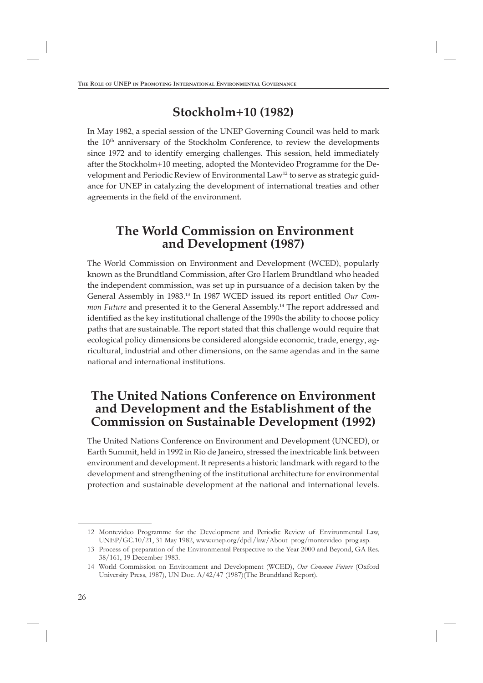## **Stockholm+10 (1982)**

In May 1982, a special session of the UNEP Governing Council was held to mark the 10<sup>th</sup> anniversary of the Stockholm Conference, to review the developments since 1972 and to identify emerging challenges. This session, held immediately after the Stockholm+10 meeting, adopted the Montevideo Programme for the Development and Periodic Review of Environmental Law12 to serve as strategic guidance for UNEP in catalyzing the development of international treaties and other agreements in the field of the environment.

## **The World Commission on Environment and Development (1987)**

The World Commission on Environment and Development (WCED), popularly known as the Brundtland Commission, after Gro Harlem Brundtland who headed the independent commission, was set up in pursuance of a decision taken by the General Assembly in 1983.13 In 1987 WCED issued its report entitled *Our Common Future* and presented it to the General Assembly.<sup>14</sup> The report addressed and identified as the key institutional challenge of the 1990s the ability to choose policy paths that are sustainable. The report stated that this challenge would require that ecological policy dimensions be considered alongside economic, trade, energy, agricultural, industrial and other dimensions, on the same agendas and in the same national and international institutions.

## **The United Nations Conference on Environment and Development and the Establishment of the Commission on Sustainable Development (1992)**

The United Nations Conference on Environment and Development (UNCED), or Earth Summit, held in 1992 in Rio de Janeiro, stressed the inextricable link between environment and development. It represents a historic landmark with regard to the development and strengthening of the institutional architecture for environmental protection and sustainable development at the national and international levels.

<sup>12</sup> Montevideo Programme for the Development and Periodic Review of Environmental Law, UNEP/GC.10/21, 31 May 1982, www.unep.org/dpdl/law/About\_prog/montevideo\_prog.asp.

<sup>13</sup> Process of preparation of the Environmental Perspective to the Year 2000 and Beyond, GA Res. 38/161, 19 December 1983.

<sup>14</sup> World Commission on Environment and Development (WCED), *Our Common Future* (Oxford University Press, 1987), UN Doc. A/42/47 (1987)(The Brundtland Report).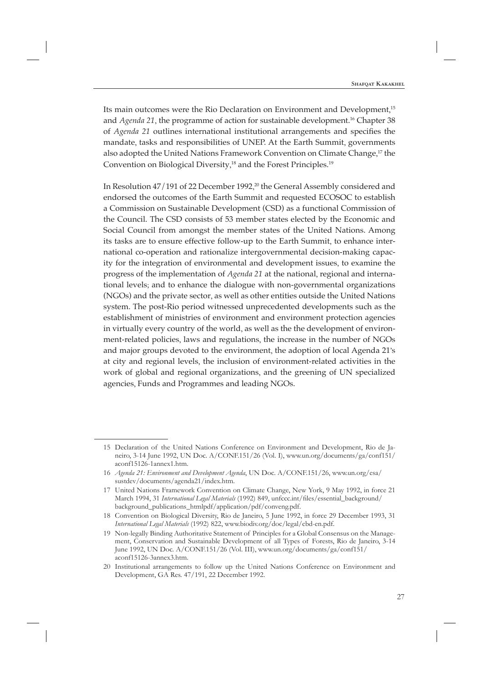Its main outcomes were the Rio Declaration on Environment and Development, 15 and *Agenda* 21, the programme of action for sustainable development.<sup>16</sup> Chapter 38 of *Agenda* 21 outlines international institutional arrangements and specifies the mandate, tasks and responsibilities of UNEP. At the Earth Summit, governments also adopted the United Nations Framework Convention on Climate Change, 17 the Convention on Biological Diversity,<sup>18</sup> and the Forest Principles.<sup>19</sup>

In Resolution 47/191 of 22 December 1992, 20 the General Assembly considered and endorsed the outcomes of the Earth Summit and requested ECOSOC to establish a Commission on Sustainable Development (CSD) as a functional Commission of the Council. The CSD consists of 53 member states elected by the Economic and Social Council from amongst the member states of the United Nations. Among its tasks are to ensure effective follow-up to the Earth Summit, to enhance international co-operation and rationalize intergovernmental decision-making capacity for the integration of environmental and development issues, to examine the progress of the implementation of *Agenda 21* at the national, regional and international levels; and to enhance the dialogue with non-governmental organizations (NGOs) and the private sector, as well as other entities outside the United Nations system. The post-Rio period witnessed unprecedented developments such as the establishment of ministries of environment and environment protection agencies in virtually every country of the world, as well as the the development of environment-related policies, laws and regulations, the increase in the number of NGOs and major groups devoted to the environment, the adoption of local Agenda 21's at city and regional levels, the inclusion of environment-related activities in the work of global and regional organizations, and the greening of UN specialized agencies, Funds and Programmes and leading NGOs.

<sup>15</sup> Declaration of the United Nations Conference on Environment and Development, Rio de Janeiro, 3-14 June 1992, UN Doc. A/CONF.151/26 (Vol. I), www.un.org/documents/ga/conf151/ aconf15126-1annex1.htm.

<sup>16</sup> *Agenda 21: Environment and Development Agenda*, UN Doc. A/CONF.151/26, www.un.org/esa/ sustdev/documents/agenda21/index.htm.

<sup>17</sup> United Nations Framework Convention on Climate Change, New York, 9 May 1992, in force 21 March 1994, 31 *International Legal Materials* (1992) 849, unfccc.int/files/essential\_background/ background\_publications\_htmlpdf/application/pdf/conveng.pdf.

<sup>18</sup> Convention on Biological Diversity, Rio de Janeiro, 5 June 1992, in force 29 December 1993, 31 *International Legal Materials* (1992) 822, www.biodiv.org/doc/legal/cbd-en.pdf.

<sup>19</sup> Non-legally Binding Authoritative Statement of Principles for a Global Consensus on the Management, Conservation and Sustainable Development of all Types of Forests, Rio de Janeiro, 3-14 June 1992, UN Doc. A/CONF.151/26 (Vol. III), www.un.org/documents/ga/conf151/ aconf15126-3annex3.htm.

<sup>20</sup> Institutional arrangements to follow up the United Nations Conference on Environment and Development, GA Res. 47/191, 22 December 1992.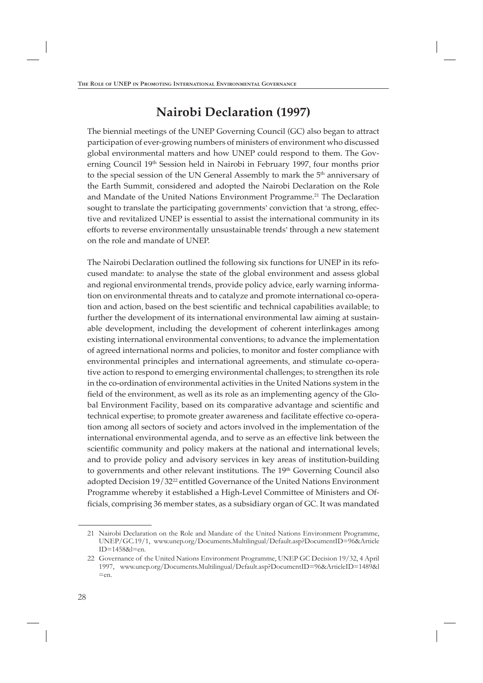## **Nairobi Declaration (1997)**

The biennial meetings of the UNEP Governing Council (GC) also began to attract participation of ever-growing numbers of ministers of environment who discussed global environmental matters and how UNEP could respond to them. The Governing Council 19<sup>th</sup> Session held in Nairobi in February 1997, four months prior to the special session of the UN General Assembly to mark the  $5<sup>th</sup>$  anniversary of the Earth Summit, considered and adopted the Nairobi Declaration on the Role and Mandate of the United Nations Environment Programme.21 The Declaration sought to translate the participating governments' conviction that 'a strong, effective and revitalized UNEP is essential to assist the international community in its efforts to reverse environmentally unsustainable trends' through a new statement on the role and mandate of UNEP.

The Nairobi Declaration outlined the following six functions for UNEP in its refocused mandate: to analyse the state of the global environment and assess global and regional environmental trends, provide policy advice, early warning information on environmental threats and to catalyze and promote international co-operation and action, based on the best scientific and technical capabilities available; to further the development of its international environmental law aiming at sustainable development, including the development of coherent interlinkages among existing international environmental conventions; to advance the implementation of agreed international norms and policies, to monitor and foster compliance with environmental principles and international agreements, and stimulate co-operative action to respond to emerging environmental challenges; to strengthen its role in the co-ordination of environmental activities in the United Nations system in the field of the environment, as well as its role as an implementing agency of the Global Environment Facility, based on its comparative advantage and scientific and technical expertise; to promote greater awareness and facilitate effective co-operation among all sectors of society and actors involved in the implementation of the international environmental agenda, and to serve as an effective link between the scientific community and policy makers at the national and international levels; and to provide policy and advisory services in key areas of institution-building to governments and other relevant institutions. The 19<sup>th</sup> Governing Council also adopted Decision 19/32<sup>22</sup> entitled Governance of the United Nations Environment Programme whereby it established a High-Level Committee of Ministers and Officials, comprising 36 member states, as a subsidiary organ of GC. It was mandated

<sup>21</sup> Nairobi Declaration on the Role and Mandate of the United Nations Environment Programme, UNEP/GC.19/1, www.unep.org/Documents.Multilingual/Default.asp?DocumentID=96&Article ID=1458&l=en.

<sup>22</sup> Governance of the United Nations Environment Programme, UNEP GC Decision 19/32, 4 April 1997, www.unep.org/Documents.Multilingual/Default.asp?DocumentID=96&ArticleID=1489&l  $=$ en.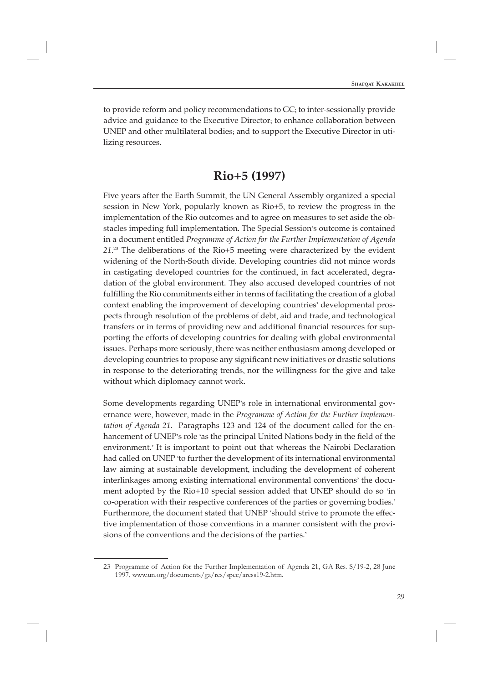to provide reform and policy recommendations to GC; to inter-sessionally provide advice and guidance to the Executive Director; to enhance collaboration between UNEP and other multilateral bodies; and to support the Executive Director in utilizing resources.

## **Rio+5 (1997)**

Five years after the Earth Summit, the UN General Assembly organized a special session in New York, popularly known as Rio+5, to review the progress in the implementation of the Rio outcomes and to agree on measures to set aside the obstacles impeding full implementation. The Special Session's outcome is contained in a document entitled *Programme of Action for the Further Implementation of Agenda 21*. 23 The deliberations of the Rio+5 meeting were characterized by the evident widening of the North-South divide. Developing countries did not mince words in castigating developed countries for the continued, in fact accelerated, degradation of the global environment. They also accused developed countries of not fulfilling the Rio commitments either in terms of facilitating the creation of a global context enabling the improvement of developing countries' developmental prospects through resolution of the problems of debt, aid and trade, and technological transfers or in terms of providing new and additional financial resources for supporting the efforts of developing countries for dealing with global environmental issues. Perhaps more seriously, there was neither enthusiasm among developed or developing countries to propose any significant new initiatives or drastic solutions in response to the deteriorating trends, nor the willingness for the give and take without which diplomacy cannot work.

Some developments regarding UNEP's role in international environmental governance were, however, made in the *Programme of Action for the Further Implementation of Agenda 21*. Paragraphs 123 and 124 of the document called for the enhancement of UNEP's role 'as the principal United Nations body in the field of the environment.' It is important to point out that whereas the Nairobi Declaration had called on UNEP 'to further the development of its international environmental law aiming at sustainable development, including the development of coherent interlinkages among existing international environmental conventions' the document adopted by the Rio+10 special session added that UNEP should do so 'in co-operation with their respective conferences of the parties or governing bodies.' Furthermore, the document stated that UNEP 'should strive to promote the effective implementation of those conventions in a manner consistent with the provisions of the conventions and the decisions of the parties.'

<sup>23</sup> Programme of Action for the Further Implementation of Agenda 21, GA Res. S/19-2, 28 June 1997, www.un.org/documents/ga/res/spec/aress19-2.htm.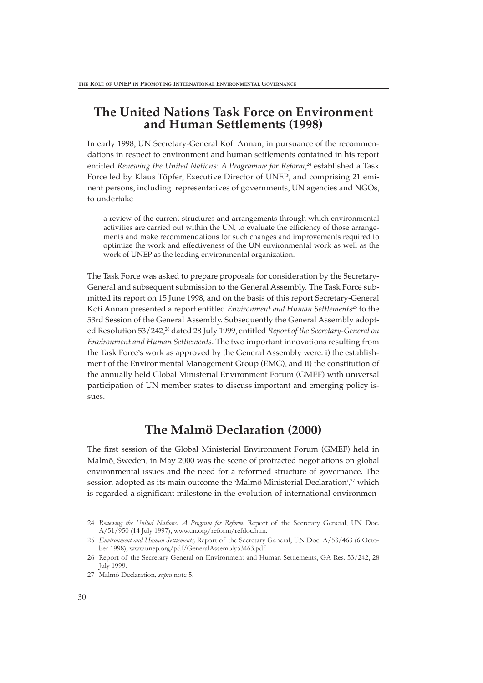## **The United Nations Task Force on Environment and Human Settlements (1998)**

In early 1998, UN Secretary-General Kofi Annan, in pursuance of the recommendations in respect to environment and human settlements contained in his report entitled *Renewing the United Nations: A Programme for Reform*, 24 established a Task Force led by Klaus Töpfer, Executive Director of UNEP, and comprising 21 eminent persons, including representatives of governments, UN agencies and NGOs, to undertake

a review of the current structures and arrangements through which environmental activities are carried out within the UN, to evaluate the efficiency of those arrangements and make recommendations for such changes and improvements required to optimize the work and effectiveness of the UN environmental work as well as the work of UNEP as the leading environmental organization.

The Task Force was asked to prepare proposals for consideration by the Secretary-General and subsequent submission to the General Assembly. The Task Force submitted its report on 15 June 1998, and on the basis of this report Secretary-General Kofi Annan presented a report entitled *Environment and Human Settlements*25 to the 53rd Session of the General Assembly. Subsequently the General Assembly adopted Resolution 53/242, 26 dated 28 July 1999, entitled *Report of the Secretary-General on Environment and Human Settlements*. The two important innovations resulting from the Task Force's work as approved by the General Assembly were: i) the establishment of the Environmental Management Group (EMG), and ii) the constitution of the annually held Global Ministerial Environment Forum (GMEF) with universal participation of UN member states to discuss important and emerging policy issues.

## **The Malmö Declaration (2000)**

The first session of the Global Ministerial Environment Forum (GMEF) held in Malmö, Sweden, in May 2000 was the scene of protracted negotiations on global environmental issues and the need for a reformed structure of governance. The session adopted as its main outcome the 'Malmö Ministerial Declaration',<sup>27</sup> which is regarded a significant milestone in the evolution of international environmen-

<sup>24</sup> *Renewing the United Nations: A Program for Reform*, Report of the Secretary General, UN Doc. A/51/950 (14 July 1997), www.un.org/reform/refdoc.htm.

<sup>25</sup> *Environment and Human Settlements,* Report of the Secretary General, UN Doc. A/53/463 (6 October 1998), www.unep.org/pdf/GeneralAssembly53463.pdf.

<sup>26</sup> Report of the Secretary General on Environment and Human Settlements, GA Res. 53/242, 28 July 1999.

<sup>27</sup> Malmö Declaration, *supra* note 5.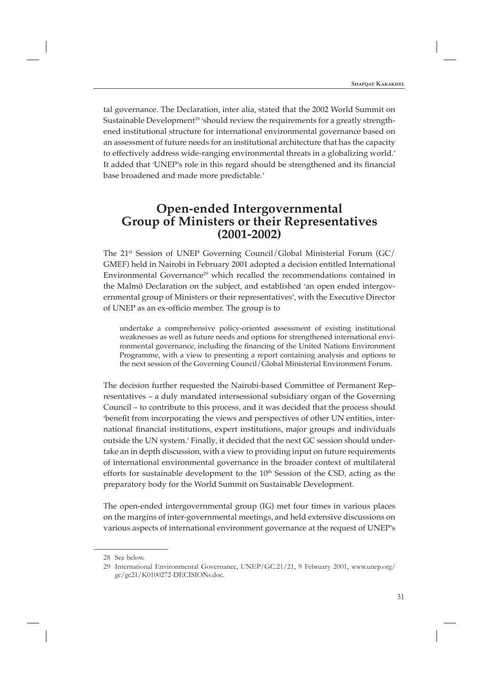tal governance. The Declaration, inter alia, stated that the 2002 World Summit on Sustainable Development<sup>28</sup> 'should review the requirements for a greatly strengthened institutional structure for international environmental governance based on an assessment of future needs for an institutional architecture that has the capacity to effectively address wide-ranging environmental threats in a globalizing world.' It added that 'UNEP's role in this regard should be strengthened and its financial base broadened and made more predictable.'

## **Open-ended Intergovernmental Group of Ministers or their Representatives (2001-2002)**

The 21st Session of UNEP Governing Council/Global Ministerial Forum (GC/ GMEF) held in Nairobi in February 2001 adopted a decision entitled International Environmental Governance<sup>29</sup> which recalled the recommendations contained in the Malmö Declaration on the subject, and established 'an open ended intergovernmental group of Ministers or their representatives', with the Executive Director of UNEP as an ex-officio member. The group is to

undertake a comprehensive policy-oriented assessment of existing institutional weaknesses as well as future needs and options for strengthened international environmental governance, including the financing of the United Nations Environment Programme, with a view to presenting a report containing analysis and options to the next session of the Governing Council/Global Ministerial Environment Forum.

The decision further requested the Nairobi-based Committee of Permanent Representatives – a duly mandated intersessional subsidiary organ of the Governing Council – to contribute to this process, and it was decided that the process should 'benefit from incorporating the views and perspectives of other UN entities, international financial institutions, expert institutions, major groups and individuals outside the UN system.' Finally, it decided that the next GC session should undertake an in depth discussion, with a view to providing input on future requirements of international environmental governance in the broader context of multilateral efforts for sustainable development to the 10<sup>th</sup> Session of the CSD, acting as the preparatory body for the World Summit on Sustainable Development.

The open-ended intergovernmental group (IG) met four times in various places on the margins of inter-governmental meetings, and held extensive discussions on various aspects of international environment governance at the request of UNEP's

<sup>28</sup> See below.

<sup>29</sup> International Environmental Governance, UNEP/GC.21/21, 9 February 2001, www.unep.org/ gc/gc21/K0100272-DECISIONs.doc.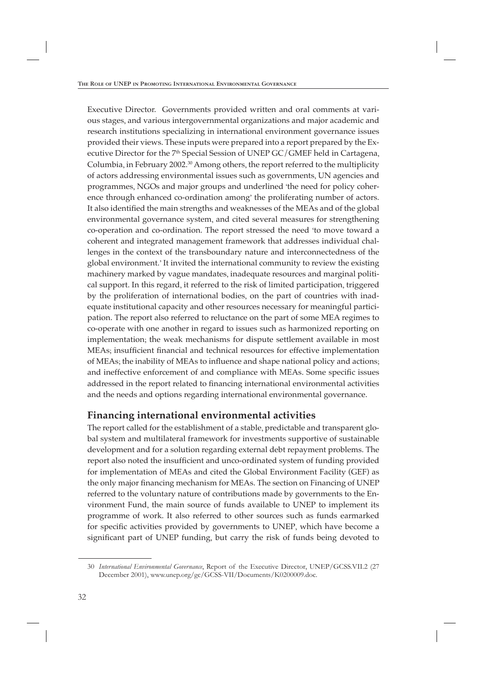Executive Director. Governments provided written and oral comments at various stages, and various intergovernmental organizations and major academic and research institutions specializing in international environment governance issues provided their views. These inputs were prepared into a report prepared by the Executive Director for the 7<sup>th</sup> Special Session of UNEP GC/GMEF held in Cartagena, Columbia, in February 2002.30 Among others, the report referred to the multiplicity of actors addressing environmental issues such as governments, UN agencies and programmes, NGOs and major groups and underlined 'the need for policy coherence through enhanced co-ordination among' the proliferating number of actors. It also identified the main strengths and weaknesses of the MEAs and of the global environmental governance system, and cited several measures for strengthening co-operation and co-ordination. The report stressed the need 'to move toward a coherent and integrated management framework that addresses individual challenges in the context of the transboundary nature and interconnectedness of the global environment.' It invited the international community to review the existing machinery marked by vague mandates, inadequate resources and marginal political support. In this regard, it referred to the risk of limited participation, triggered by the proliferation of international bodies, on the part of countries with inadequate institutional capacity and other resources necessary for meaningful participation. The report also referred to reluctance on the part of some MEA regimes to co-operate with one another in regard to issues such as harmonized reporting on implementation; the weak mechanisms for dispute settlement available in most MEAs; insufficient financial and technical resources for effective implementation of MEAs; the inability of MEAs to influence and shape national policy and actions; and ineffective enforcement of and compliance with MEAs. Some specific issues addressed in the report related to financing international environmental activities and the needs and options regarding international environmental governance.

#### **Financing international environmental activities**

The report called for the establishment of a stable, predictable and transparent global system and multilateral framework for investments supportive of sustainable development and for a solution regarding external debt repayment problems. The report also noted the insufficient and unco-ordinated system of funding provided for implementation of MEAs and cited the Global Environment Facility (GEF) as the only major financing mechanism for MEAs. The section on Financing of UNEP referred to the voluntary nature of contributions made by governments to the Environment Fund, the main source of funds available to UNEP to implement its programme of work. It also referred to other sources such as funds earmarked for specific activities provided by governments to UNEP, which have become a significant part of UNEP funding, but carry the risk of funds being devoted to

<sup>30</sup> *International Environmental Governance*, Report of the Executive Director, UNEP/GCSS.VII.2 (27 December 2001), www.unep.org/gc/GCSS-VII/Documents/K0200009.doc.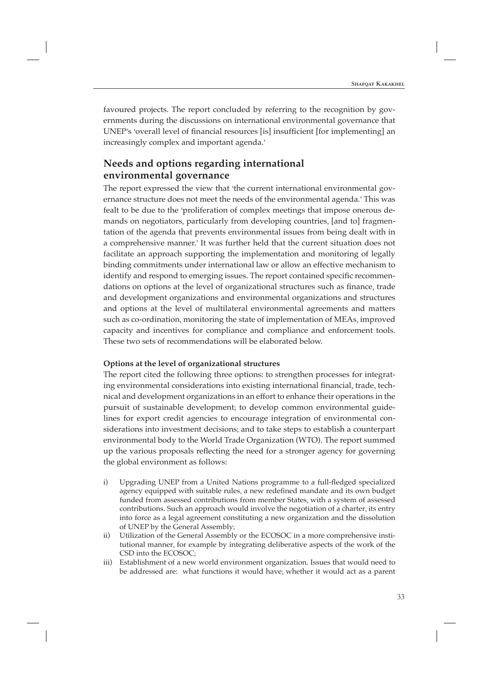favoured projects. The report concluded by referring to the recognition by governments during the discussions on international environmental governance that UNEP's 'overall level of financial resources [is] insufficient [for implementing] an increasingly complex and important agenda.'

### **Needs and options regarding international environmental governance**

The report expressed the view that 'the current international environmental governance structure does not meet the needs of the environmental agenda.' This was fealt to be due to the 'proliferation of complex meetings that impose onerous demands on negotiators, particularly from developing countries, [and to] fragmentation of the agenda that prevents environmental issues from being dealt with in a comprehensive manner.' It was further held that the current situation does not facilitate an approach supporting the implementation and monitoring of legally binding commitments under international law or allow an effective mechanism to identify and respond to emerging issues. The report contained specific recommendations on options at the level of organizational structures such as finance, trade and development organizations and environmental organizations and structures and options at the level of multilateral environmental agreements and matters such as co-ordination, monitoring the state of implementation of MEAs, improved capacity and incentives for compliance and compliance and enforcement tools. These two sets of recommendations will be elaborated below.

#### **Options at the level of organizational structures**

The report cited the following three options: to strengthen processes for integrating environmental considerations into existing international financial, trade, technical and development organizations in an effort to enhance their operations in the pursuit of sustainable development; to develop common environmental guidelines for export credit agencies to encourage integration of environmental considerations into investment decisions; and to take steps to establish a counterpart environmental body to the World Trade Organization (WTO). The report summed up the various proposals reflecting the need for a stronger agency for governing the global environment as follows:

- i) Upgrading UNEP from a United Nations programme to a full-fledged specialized agency equipped with suitable rules, a new redefined mandate and its own budget funded from assessed contributions from member States, with a system of assessed contributions. Such an approach would involve the negotiation of a charter, its entry into force as a legal agreement constituting a new organization and the dissolution of UNEP by the General Assembly;
- ii) Utilization of the General Assembly or the ECOSOC in a more comprehensive institutional manner, for example by integrating deliberative aspects of the work of the CSD into the ECOSOC;
- iii) Establishment of a new world environment organization. Issues that would need to be addressed are: what functions it would have; whether it would act as a parent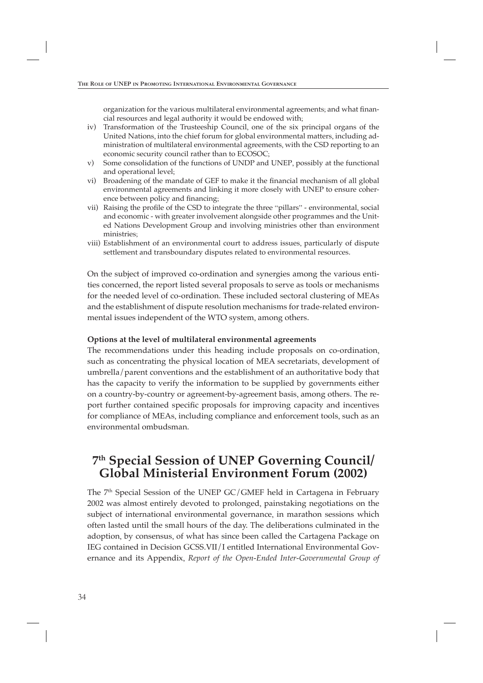organization for the various multilateral environmental agreements; and what financial resources and legal authority it would be endowed with;

- iv) Transformation of the Trusteeship Council, one of the six principal organs of the United Nations, into the chief forum for global environmental matters, including administration of multilateral environmental agreements, with the CSD reporting to an economic security council rather than to ECOSOC;
- v) Some consolidation of the functions of UNDP and UNEP, possibly at the functional and operational level;
- vi) Broadening of the mandate of GEF to make it the financial mechanism of all global environmental agreements and linking it more closely with UNEP to ensure coherence between policy and financing;
- vii) Raising the profile of the CSD to integrate the three "pillars" environmental, social and economic - with greater involvement alongside other programmes and the United Nations Development Group and involving ministries other than environment ministries;
- viii) Establishment of an environmental court to address issues, particularly of dispute settlement and transboundary disputes related to environmental resources.

On the subject of improved co-ordination and synergies among the various entities concerned, the report listed several proposals to serve as tools or mechanisms for the needed level of co-ordination. These included sectoral clustering of MEAs and the establishment of dispute resolution mechanisms for trade-related environmental issues independent of the WTO system, among others.

#### **Options at the level of multilateral environmental agreements**

The recommendations under this heading include proposals on co-ordination, such as concentrating the physical location of MEA secretariats, development of umbrella/parent conventions and the establishment of an authoritative body that has the capacity to verify the information to be supplied by governments either on a country-by-country or agreement-by-agreement basis, among others. The report further contained specific proposals for improving capacity and incentives for compliance of MEAs, including compliance and enforcement tools, such as an environmental ombudsman.

## **7th Special Session of UNEP Governing Council/ Global Ministerial Environment Forum (2002)**

The  $7<sup>th</sup>$  Special Session of the UNEP GC/GMEF held in Cartagena in February 2002 was almost entirely devoted to prolonged, painstaking negotiations on the subject of international environmental governance, in marathon sessions which often lasted until the small hours of the day. The deliberations culminated in the adoption, by consensus, of what has since been called the Cartagena Package on IEG contained in Decision GCSS.VII/I entitled International Environmental Governance and its Appendix, *Report of the Open-Ended Inter-Governmental Group of*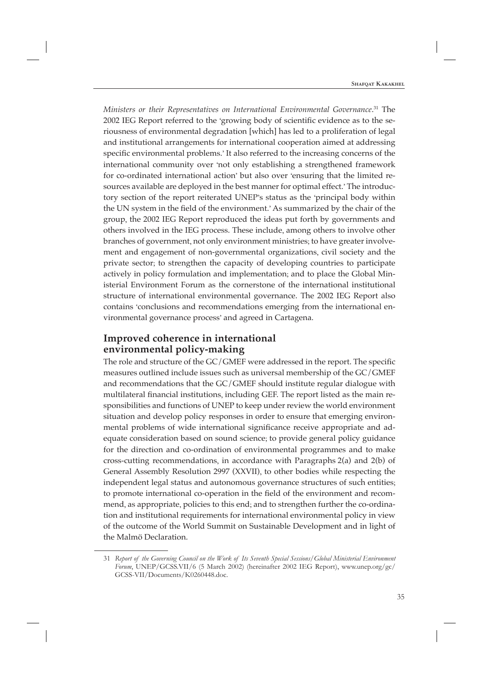*Ministers or their Representatives on International Environmental Governance*. 31 The 2002 IEG Report referred to the 'growing body of scientific evidence as to the seriousness of environmental degradation [which] has led to a proliferation of legal and institutional arrangements for international cooperation aimed at addressing specific environmental problems.' It also referred to the increasing concerns of the international community over 'not only establishing a strengthened framework for co-ordinated international action' but also over 'ensuring that the limited resources available are deployed in the best manner for optimal effect.' The introductory section of the report reiterated UNEP's status as the 'principal body within the UN system in the field of the environment.' As summarized by the chair of the group, the 2002 IEG Report reproduced the ideas put forth by governments and others involved in the IEG process. These include, among others to involve other branches of government, not only environment ministries; to have greater involvement and engagement of non-governmental organizations, civil society and the private sector; to strengthen the capacity of developing countries to participate actively in policy formulation and implementation; and to place the Global Ministerial Environment Forum as the cornerstone of the international institutional structure of international environmental governance. The 2002 IEG Report also contains 'conclusions and recommendations emerging from the international environmental governance process' and agreed in Cartagena.

#### **Improved coherence in international environmental policy-making**

The role and structure of the GC/GMEF were addressed in the report. The specific measures outlined include issues such as universal membership of the GC/GMEF and recommendations that the GC/GMEF should institute regular dialogue with multilateral financial institutions, including GEF. The report listed as the main responsibilities and functions of UNEP to keep under review the world environment situation and develop policy responses in order to ensure that emerging environmental problems of wide international significance receive appropriate and adequate consideration based on sound science; to provide general policy guidance for the direction and co-ordination of environmental programmes and to make cross-cutting recommendations, in accordance with Paragraphs 2(a) and 2(b) of General Assembly Resolution 2997 (XXVII), to other bodies while respecting the independent legal status and autonomous governance structures of such entities; to promote international co-operation in the field of the environment and recommend, as appropriate, policies to this end; and to strengthen further the co-ordination and institutional requirements for international environmental policy in view of the outcome of the World Summit on Sustainable Development and in light of the Malmö Declaration.

<sup>31</sup> *Report of the Governing Council on the Work of Its Seventh Special Sessions/Global Ministerial Environment Forum*, UNEP/GCSS.VII/6 (5 March 2002) (hereinafter 2002 IEG Report), www.unep.org/gc/ GCSS-VII/Documents/K0260448.doc.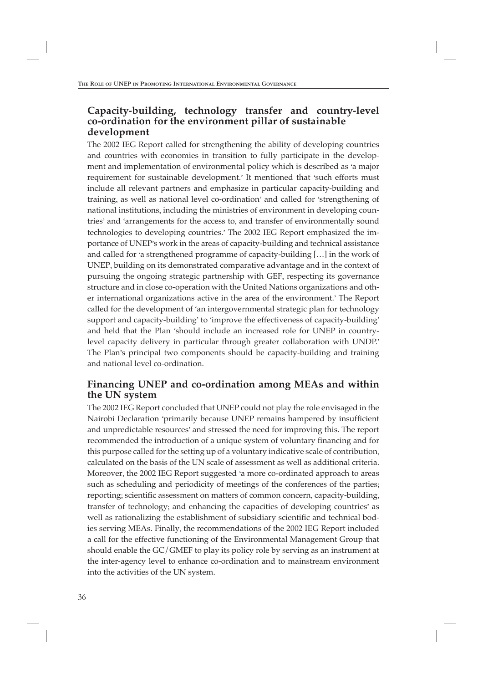#### **Capacity-building, technology transfer and country-level co-ordination for the environment pillar of sustainable development**

The 2002 IEG Report called for strengthening the ability of developing countries and countries with economies in transition to fully participate in the development and implementation of environmental policy which is described as 'a major requirement for sustainable development.' It mentioned that 'such efforts must include all relevant partners and emphasize in particular capacity-building and training, as well as national level co-ordination' and called for 'strengthening of national institutions, including the ministries of environment in developing countries' and 'arrangements for the access to, and transfer of environmentally sound technologies to developing countries.' The 2002 IEG Report emphasized the importance of UNEP's work in the areas of capacity-building and technical assistance and called for 'a strengthened programme of capacity-building […] in the work of UNEP, building on its demonstrated comparative advantage and in the context of pursuing the ongoing strategic partnership with GEF, respecting its governance structure and in close co-operation with the United Nations organizations and other international organizations active in the area of the environment.' The Report called for the development of 'an intergovernmental strategic plan for technology support and capacity-building' to 'improve the effectiveness of capacity-building' and held that the Plan 'should include an increased role for UNEP in countrylevel capacity delivery in particular through greater collaboration with UNDP.' The Plan's principal two components should be capacity-building and training and national level co-ordination.

#### **Financing UNEP and co-ordination among MEAs and within the UN system**

The 2002 IEG Report concluded that UNEP could not play the role envisaged in the Nairobi Declaration 'primarily because UNEP remains hampered by insufficient and unpredictable resources' and stressed the need for improving this. The report recommended the introduction of a unique system of voluntary financing and for this purpose called for the setting up of a voluntary indicative scale of contribution, calculated on the basis of the UN scale of assessment as well as additional criteria. Moreover, the 2002 IEG Report suggested 'a more co-ordinated approach to areas such as scheduling and periodicity of meetings of the conferences of the parties; reporting; scientific assessment on matters of common concern, capacity-building, transfer of technology; and enhancing the capacities of developing countries' as well as rationalizing the establishment of subsidiary scientific and technical bodies serving MEAs. Finally, the recommendations of the 2002 IEG Report included a call for the effective functioning of the Environmental Management Group that should enable the GC/GMEF to play its policy role by serving as an instrument at the inter-agency level to enhance co-ordination and to mainstream environment into the activities of the UN system.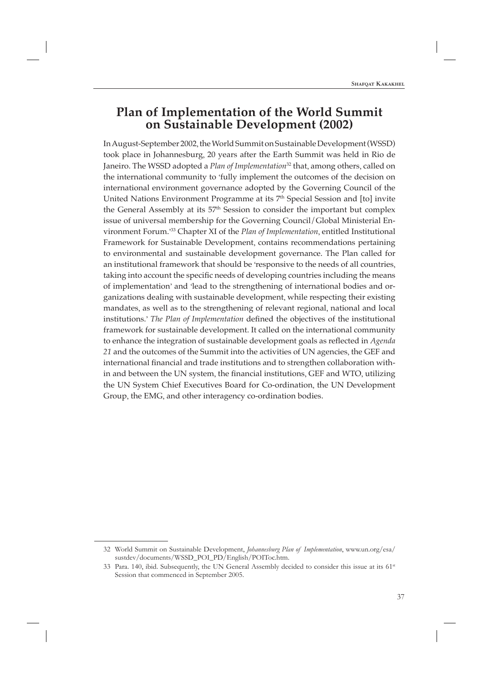## **Plan of Implementation of the World Summit on Sustainable Development (2002)**

In August-September 2002, the World Summit on Sustainable Development (WSSD) took place in Johannesburg, 20 years after the Earth Summit was held in Rio de Janeiro. The WSSD adopted a *Plan of Implementation*32 that, among others, called on the international community to 'fully implement the outcomes of the decision on international environment governance adopted by the Governing Council of the United Nations Environment Programme at its 7<sup>th</sup> Special Session and [to] invite the General Assembly at its 57th Session to consider the important but complex issue of universal membership for the Governing Council/Global Ministerial Environment Forum.' 33 Chapter XI of the *Plan of Implementation*, entitled Institutional Framework for Sustainable Development, contains recommendations pertaining to environmental and sustainable development governance. The Plan called for an institutional framework that should be 'responsive to the needs of all countries, taking into account the specific needs of developing countries including the means of implementation' and 'lead to the strengthening of international bodies and organizations dealing with sustainable development, while respecting their existing mandates, as well as to the strengthening of relevant regional, national and local institutions.' The Plan of Implementation defined the objectives of the institutional framework for sustainable development. It called on the international community to enhance the integration of sustainable development goals as reflected in *Agenda 21* and the outcomes of the Summit into the activities of UN agencies, the GEF and international financial and trade institutions and to strengthen collaboration within and between the UN system, the financial institutions, GEF and WTO, utilizing the UN System Chief Executives Board for Co-ordination, the UN Development Group, the EMG, and other interagency co-ordination bodies.

<sup>32</sup> World Summit on Sustainable Development, *Johannesburg Plan of Implementation*, www.un.org/esa/ sustdev/documents/WSSD\_POI\_PD/English/POIToc.htm.

<sup>33</sup> Para. 140, ibid. Subsequently, the UN General Assembly decided to consider this issue at its  $61<sup>st</sup>$ Session that commenced in September 2005.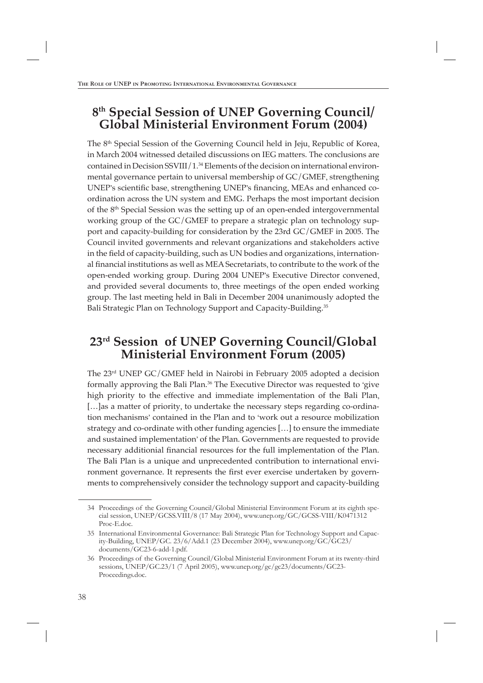## **8th Special Session of UNEP Governing Council/ Global Ministerial Environment Forum (2004)**

The 8th Special Session of the Governing Council held in Jeju, Republic of Korea, in March 2004 witnessed detailed discussions on IEG matters. The conclusions are contained in Decision SSVIII/1.34 Elements of the decision on international environmental governance pertain to universal membership of GC/GMEF, strengthening UNEP's scientific base, strengthening UNEP's financing, MEAs and enhanced coordination across the UN system and EMG. Perhaps the most important decision of the  $8<sup>th</sup>$  Special Session was the setting up of an open-ended intergovernmental working group of the GC/GMEF to prepare a strategic plan on technology support and capacity-building for consideration by the 23rd GC/GMEF in 2005. The Council invited governments and relevant organizations and stakeholders active in the field of capacity-building, such as UN bodies and organizations, international financial institutions as well as MEA Secretariats, to contribute to the work of the open-ended working group. During 2004 UNEP's Executive Director convened, and provided several documents to, three meetings of the open ended working group. The last meeting held in Bali in December 2004 unanimously adopted the Bali Strategic Plan on Technology Support and Capacity-Building.<sup>35</sup>

## **23rd Session of UNEP Governing Council/Global Ministerial Environment Forum (2005)**

The 23rd UNEP GC/GMEF held in Nairobi in February 2005 adopted a decision formally approving the Bali Plan.<sup>36</sup> The Executive Director was requested to 'give high priority to the effective and immediate implementation of the Bali Plan, [...]as a matter of priority, to undertake the necessary steps regarding co-ordination mechanisms' contained in the Plan and to 'work out a resource mobilization strategy and co-ordinate with other funding agencies […] to ensure the immediate and sustained implementation' of the Plan. Governments are requested to provide necessary additionial financial resources for the full implementation of the Plan. The Bali Plan is a unique and unprecedented contribution to international environment governance. It represents the first ever exercise undertaken by governments to comprehensively consider the technology support and capacity-building

<sup>34</sup> Proceedings of the Governing Council/Global Ministerial Environment Forum at its eighth special session, UNEP/GCSS.VIII/8 (17 May 2004), www.unep.org/GC/GCSS-VIII/K0471312 Proc-E.doc.

<sup>35</sup> International Environmental Governance: Bali Strategic Plan for Technology Support and Capacity-Building, UNEP/GC. 23/6/Add.1 (23 December 2004), www.unep.org/GC/GC23/ documents/GC23-6-add-1.pdf.

<sup>36</sup> Proceedings of the Governing Council/Global Ministerial Environment Forum at its twenty-third sessions, UNEP/GC.23/1 (7 April 2005), www.unep.org/gc/gc23/documents/GC23- Proceedings.doc.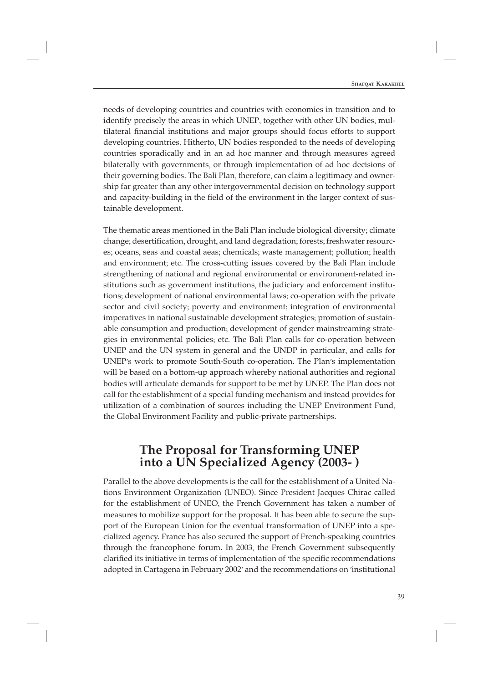needs of developing countries and countries with economies in transition and to identify precisely the areas in which UNEP, together with other UN bodies, multilateral financial institutions and major groups should focus efforts to support developing countries. Hitherto, UN bodies responded to the needs of developing countries sporadically and in an ad hoc manner and through measures agreed bilaterally with governments, or through implementation of ad hoc decisions of their governing bodies. The Bali Plan, therefore, can claim a legitimacy and ownership far greater than any other intergovernmental decision on technology support and capacity-building in the field of the environment in the larger context of sustainable development.

The thematic areas mentioned in the Bali Plan include biological diversity; climate change; desertification, drought, and land degradation; forests; freshwater resources; oceans, seas and coastal aeas; chemicals; waste management; pollution; health and environment; etc. The cross-cutting issues covered by the Bali Plan include strengthening of national and regional environmental or environment-related institutions such as government institutions, the judiciary and enforcement institutions; development of national environmental laws; co-operation with the private sector and civil society; poverty and environment; integration of environmental imperatives in national sustainable development strategies; promotion of sustainable consumption and production; development of gender mainstreaming strategies in environmental policies; etc. The Bali Plan calls for co-operation between UNEP and the UN system in general and the UNDP in particular, and calls for UNEP's work to promote South-South co-operation. The Plan's implementation will be based on a bottom-up approach whereby national authorities and regional bodies will articulate demands for support to be met by UNEP. The Plan does not call for the establishment of a special funding mechanism and instead provides for utilization of a combination of sources including the UNEP Environment Fund, the Global Environment Facility and public-private partnerships.

## **The Proposal for Transforming UNEP into a UN Specialized Agency (2003- )**

Parallel to the above developments is the call for the establishment of a United Nations Environment Organization (UNEO). Since President Jacques Chirac called for the establishment of UNEO, the French Government has taken a number of measures to mobilize support for the proposal. It has been able to secure the support of the European Union for the eventual transformation of UNEP into a specialized agency. France has also secured the support of French-speaking countries through the francophone forum. In 2003, the French Government subsequently clarified its initiative in terms of implementation of 'the specific recommendations adopted in Cartagena in February 2002' and the recommendations on 'institutional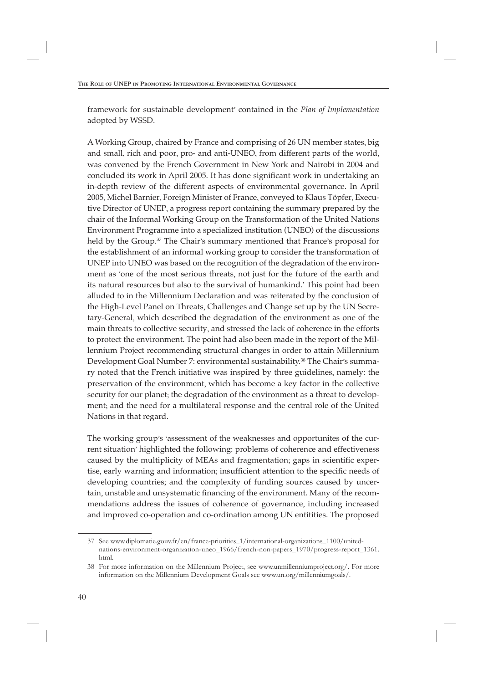framework for sustainable development' contained in the *Plan of Implementation*  adopted by WSSD.

A Working Group, chaired by France and comprising of 26 UN member states, big and small, rich and poor, pro- and anti-UNEO, from different parts of the world, was convened by the French Government in New York and Nairobi in 2004 and concluded its work in April 2005. It has done significant work in undertaking an in-depth review of the different aspects of environmental governance. In April 2005, Michel Barnier, Foreign Minister of France, conveyed to Klaus Töpfer, Executive Director of UNEP, a progress report containing the summary prepared by the chair of the Informal Working Group on the Transformation of the United Nations Environment Programme into a specialized institution (UNEO) of the discussions held by the Group.<sup>37</sup> The Chair's summary mentioned that France's proposal for the establishment of an informal working group to consider the transformation of UNEP into UNEO was based on the recognition of the degradation of the environment as 'one of the most serious threats, not just for the future of the earth and its natural resources but also to the survival of humankind.' This point had been alluded to in the Millennium Declaration and was reiterated by the conclusion of the High-Level Panel on Threats, Challenges and Change set up by the UN Secretary-General, which described the degradation of the environment as one of the main threats to collective security, and stressed the lack of coherence in the efforts to protect the environment. The point had also been made in the report of the Millennium Project recommending structural changes in order to attain Millennium Development Goal Number 7: environmental sustainability.<sup>38</sup> The Chair's summary noted that the French initiative was inspired by three guidelines, namely: the preservation of the environment, which has become a key factor in the collective security for our planet; the degradation of the environment as a threat to development; and the need for a multilateral response and the central role of the United Nations in that regard.

The working group's 'assessment of the weaknesses and opportunites of the current situation' highlighted the following: problems of coherence and effectiveness caused by the multiplicity of MEAs and fragmentation; gaps in scientific expertise, early warning and information; insufficient attention to the specific needs of developing countries; and the complexity of funding sources caused by uncertain, unstable and unsystematic financing of the environment. Many of the recommendations address the issues of coherence of governance, including increased and improved co-operation and co-ordination among UN entitities. The proposed

<sup>37</sup> See www.diplomatie.gouv.fr/en/france-priorities\_1/international-organizations\_1100/united nations-environment-organization-uneo\_1966/french-non-papers\_1970/progress-report\_1361. html.

<sup>38</sup> For more information on the Millennium Project, see www.unmillenniumproject.org/. For more information on the Millennium Development Goals see www.un.org/millenniumgoals/.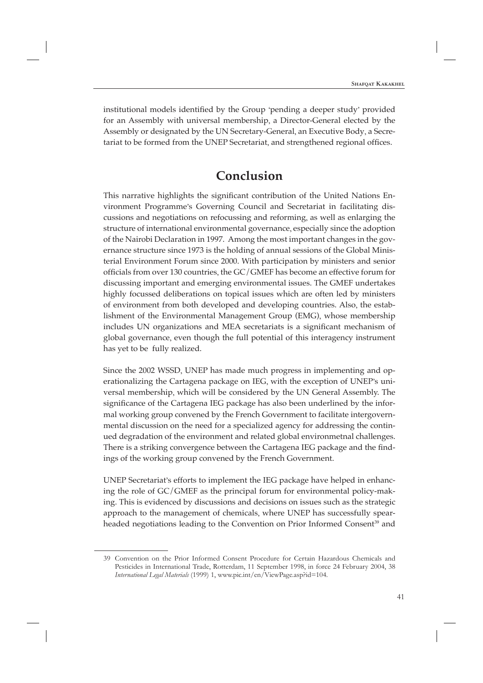institutional models identified by the Group 'pending a deeper study' provided for an Assembly with universal membership, a Director-General elected by the Assembly or designated by the UN Secretary-General, an Executive Body, a Secretariat to be formed from the UNEP Secretariat, and strengthened regional offices.

## **Conclusion**

This narrative highlights the significant contribution of the United Nations Environment Programme's Governing Council and Secretariat in facilitating discussions and negotiations on refocussing and reforming, as well as enlarging the structure of international environmental governance, especially since the adoption of the Nairobi Declaration in 1997. Among the most important changes in the governance structure since 1973 is the holding of annual sessions of the Global Ministerial Environment Forum since 2000. With participation by ministers and senior officials from over 130 countries, the GC/GMEF has become an effective forum for discussing important and emerging environmental issues. The GMEF undertakes highly focussed deliberations on topical issues which are often led by ministers of environment from both developed and developing countries. Also, the establishment of the Environmental Management Group (EMG), whose membership includes UN organizations and MEA secretariats is a significant mechanism of global governance, even though the full potential of this interagency instrument has yet to be fully realized.

Since the 2002 WSSD, UNEP has made much progress in implementing and operationalizing the Cartagena package on IEG, with the exception of UNEP's universal membership, which will be considered by the UN General Assembly. The significance of the Cartagena IEG package has also been underlined by the informal working group convened by the French Government to facilitate intergovernmental discussion on the need for a specialized agency for addressing the continued degradation of the environment and related global environmetnal challenges. There is a striking convergence between the Cartagena IEG package and the findings of the working group convened by the French Government.

UNEP Secretariat's efforts to implement the IEG package have helped in enhancing the role of GC/GMEF as the principal forum for environmental policy-making. This is evidenced by discussions and decisions on issues such as the strategic approach to the management of chemicals, where UNEP has successfully spearheaded negotiations leading to the Convention on Prior Informed Consent<sup>39</sup> and

<sup>39</sup> Convention on the Prior Informed Consent Procedure for Certain Hazardous Chemicals and Pesticides in International Trade, Rotterdam, 11 September 1998, in force 24 February 2004, 38 *International Legal Materials* (1999) 1, www.pic.int/en/ViewPage.asp?id=104.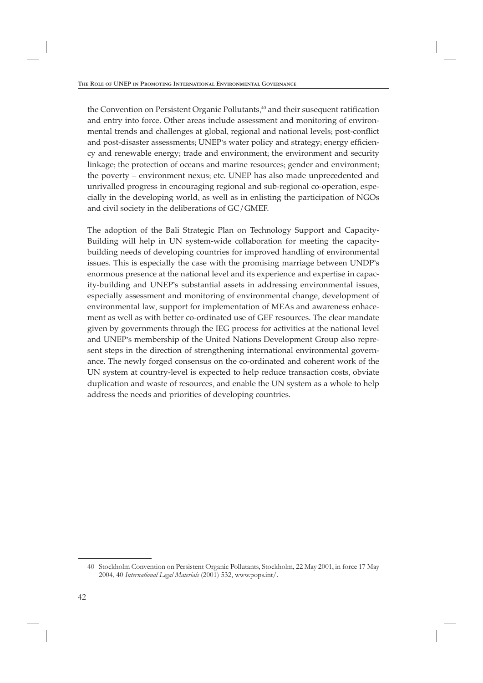the Convention on Persistent Organic Pollutants, 40 and their susequent ratifi cation and entry into force. Other areas include assessment and monitoring of environmental trends and challenges at global, regional and national levels; post-conflict and post-disaster assessments; UNEP's water policy and strategy; energy efficiency and renewable energy; trade and environment; the environment and security linkage; the protection of oceans and marine resources; gender and environment; the poverty – environment nexus; etc. UNEP has also made unprecedented and unrivalled progress in encouraging regional and sub-regional co-operation, especially in the developing world, as well as in enlisting the participation of NGOs and civil society in the deliberations of GC/GMEF.

The adoption of the Bali Strategic Plan on Technology Support and Capacity-Building will help in UN system-wide collaboration for meeting the capacitybuilding needs of developing countries for improved handling of environmental issues. This is especially the case with the promising marriage between UNDP's enormous presence at the national level and its experience and expertise in capacity-building and UNEP's substantial assets in addressing environmental issues, especially assessment and monitoring of environmental change, development of environmental law, support for implementation of MEAs and awareness enhacement as well as with better co-ordinated use of GEF resources. The clear mandate given by governments through the IEG process for activities at the national level and UNEP's membership of the United Nations Development Group also represent steps in the direction of strengthening international environmental governance. The newly forged consensus on the co-ordinated and coherent work of the UN system at country-level is expected to help reduce transaction costs, obviate duplication and waste of resources, and enable the UN system as a whole to help address the needs and priorities of developing countries.

<sup>40</sup> Stockholm Convention on Persistent Organic Pollutants, Stockholm, 22 May 2001, in force 17 May 2004, 40 *International Legal Materials* (2001) 532, www.pops.int/.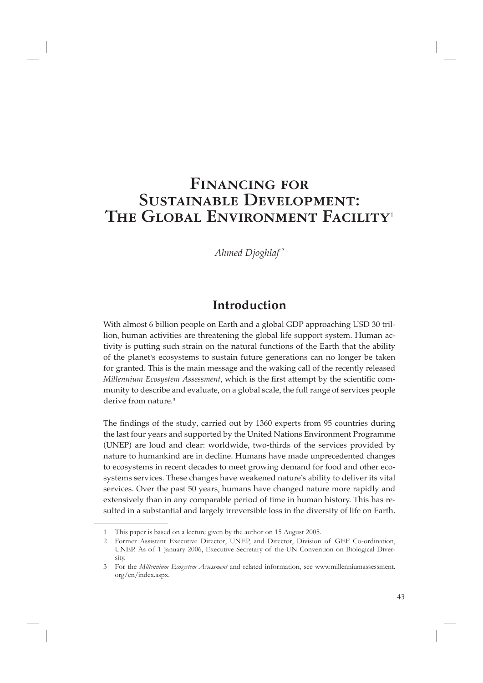# **Financing for Sustainable Development: The Global Environment Facility**<sup>1</sup>

*Ahmed Djoghlaf 2*

## **Introduction**

With almost 6 billion people on Earth and a global GDP approaching USD 30 trillion, human activities are threatening the global life support system. Human activity is putting such strain on the natural functions of the Earth that the ability of the planet's ecosystems to sustain future generations can no longer be taken for granted. This is the main message and the waking call of the recently released *Millennium Ecosystem Assessment*, which is the first attempt by the scientific community to describe and evaluate, on a global scale, the full range of services people derive from nature.3

The findings of the study, carried out by 1360 experts from 95 countries during the last four years and supported by the United Nations Environment Programme (UNEP) are loud and clear: worldwide, two-thirds of the services provided by nature to humankind are in decline. Humans have made unprecedented changes to ecosystems in recent decades to meet growing demand for food and other ecosystems services. These changes have weakened nature's ability to deliver its vital services. Over the past 50 years, humans have changed nature more rapidly and extensively than in any comparable period of time in human history. This has resulted in a substantial and largely irreversible loss in the diversity of life on Earth.

This paper is based on a lecture given by the author on 15 August 2005.

<sup>2</sup> Former Assistant Executive Director, UNEP, and Director, Division of GEF Co-ordination, UNEP. As of 1 January 2006, Executive Secretary of the UN Convention on Biological Diversity.

<sup>3</sup> For the *Millennium Ecosystem Assessment* and related information, see www.millenniumassessment. org/en/index.aspx.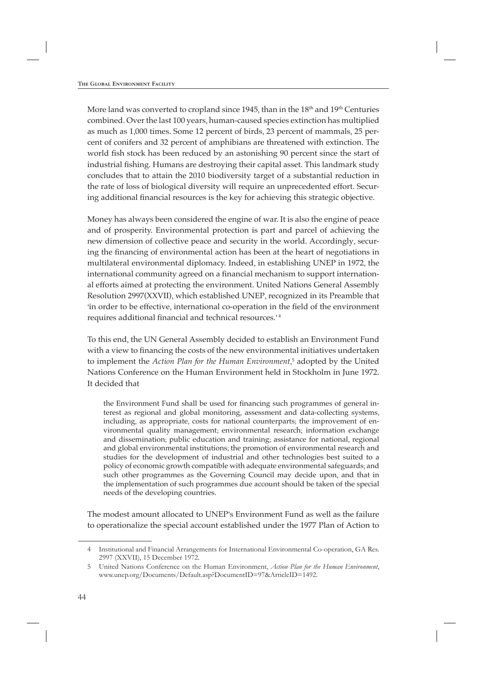More land was converted to cropland since 1945, than in the 18<sup>th</sup> and 19<sup>th</sup> Centuries combined. Over the last 100 years, human-caused species extinction has multiplied as much as 1,000 times. Some 12 percent of birds, 23 percent of mammals, 25 percent of conifers and 32 percent of amphibians are threatened with extinction. The world fish stock has been reduced by an astonishing 90 percent since the start of industrial fishing. Humans are destroying their capital asset. This landmark study concludes that to attain the 2010 biodiversity target of a substantial reduction in the rate of loss of biological diversity will require an unprecedented effort. Securing additional financial resources is the key for achieving this strategic objective.

Money has always been considered the engine of war. It is also the engine of peace and of prosperity. Environmental protection is part and parcel of achieving the new dimension of collective peace and security in the world. Accordingly, securing the financing of environmental action has been at the heart of negotiations in multilateral environmental diplomacy. Indeed, in establishing UNEP in 1972, the international community agreed on a financial mechanism to support international efforts aimed at protecting the environment. United Nations General Assembly Resolution 2997(XXVII), which established UNEP, recognized in its Preamble that 'in order to be effective, international co-operation in the field of the environment requires additional financial and technical resources.'<sup>4</sup>

To this end, the UN General Assembly decided to establish an Environment Fund with a view to financing the costs of the new environmental initiatives undertaken to implement the *Action Plan for the Human Environment*, 5 adopted by the United Nations Conference on the Human Environment held in Stockholm in June 1972. It decided that

the Environment Fund shall be used for financing such programmes of general interest as regional and global monitoring, assessment and data-collecting systems, including, as appropriate, costs for national counterparts; the improvement of environmental quality management; environmental research; information exchange and dissemination; public education and training; assistance for national, regional and global environmental institutions; the promotion of environmental research and studies for the development of industrial and other technologies best suited to a policy of economic growth compatible with adequate environmental safeguards; and such other programmes as the Governing Council may decide upon, and that in the implementation of such programmes due account should be taken of the special needs of the developing countries.

The modest amount allocated to UNEP's Environment Fund as well as the failure to operationalize the special account established under the 1977 Plan of Action to

<sup>4</sup> Institutional and Financial Arrangements for International Environmental Co-operation, GA Res. 2997 (XXVII), 15 December 1972.

<sup>5</sup> United Nations Conference on the Human Environment, *Action Plan for the Human Environment*, www.unep.org/Documents/Default.asp?DocumentID=97&ArticleID=1492.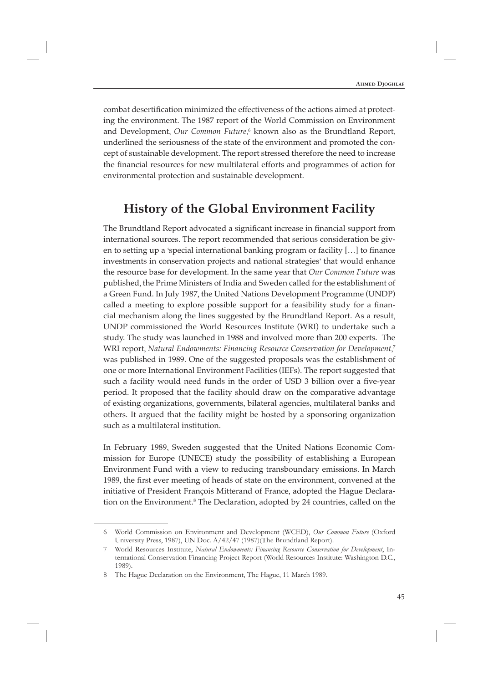combat desertification minimized the effectiveness of the actions aimed at protecting the environment. The 1987 report of the World Commission on Environment and Development, *Our Common Future*, 6 known also as the Brundtland Report, underlined the seriousness of the state of the environment and promoted the concept of sustainable development. The report stressed therefore the need to increase the financial resources for new multilateral efforts and programmes of action for environmental protection and sustainable development.

## **History of the Global Environment Facility**

The Brundtland Report advocated a significant increase in financial support from international sources. The report recommended that serious consideration be given to setting up a 'special international banking program or facility  $[...]$  to finance investments in conservation projects and national strategies' that would enhance the resource base for development. In the same year that *Our Common Future* was published, the Prime Ministers of India and Sweden called for the establishment of a Green Fund. In July 1987, the United Nations Development Programme (UNDP) called a meeting to explore possible support for a feasibility study for a financial mechanism along the lines suggested by the Brundtland Report. As a result, UNDP commissioned the World Resources Institute (WRI) to undertake such a study. The study was launched in 1988 and involved more than 200 experts. The WRI report, *Natural Endowments: Financing Resource Conservation for Development*, 7 was published in 1989. One of the suggested proposals was the establishment of one or more International Environment Facilities (IEFs). The report suggested that such a facility would need funds in the order of USD 3 billion over a five-year period. It proposed that the facility should draw on the comparative advantage of existing organizations, governments, bilateral agencies, multilateral banks and others. It argued that the facility might be hosted by a sponsoring organization such as a multilateral institution.

In February 1989, Sweden suggested that the United Nations Economic Commission for Europe (UNECE) study the possibility of establishing a European Environment Fund with a view to reducing transboundary emissions. In March 1989, the first ever meeting of heads of state on the environment, convened at the initiative of President François Mitterand of France, adopted the Hague Declaration on the Environment.<sup>8</sup> The Declaration, adopted by 24 countries, called on the

<sup>6</sup> World Commission on Environment and Development (WCED), *Our Common Future* (Oxford University Press, 1987), UN Doc. A/42/47 (1987)(The Brundtland Report).

<sup>7</sup> World Resources Institute, *Natural Endowments: Financing Resource Conservation for Development*, International Conservation Financing Project Report (World Resources Institute: Washington D.C., 1989).

<sup>8</sup> The Hague Declaration on the Environment, The Hague, 11 March 1989.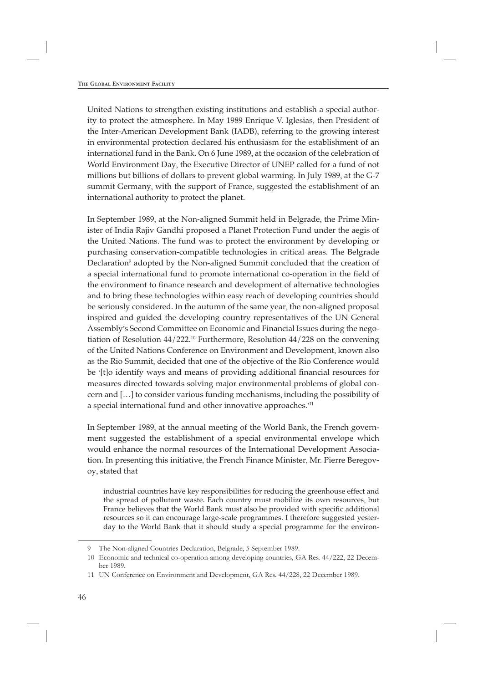United Nations to strengthen existing institutions and establish a special authority to protect the atmosphere. In May 1989 Enrique V. Iglesias, then President of the Inter-American Development Bank (IADB), referring to the growing interest in environmental protection declared his enthusiasm for the establishment of an international fund in the Bank. On 6 June 1989, at the occasion of the celebration of World Environment Day, the Executive Director of UNEP called for a fund of not millions but billions of dollars to prevent global warming. In July 1989, at the G-7 summit Germany, with the support of France, suggested the establishment of an international authority to protect the planet.

In September 1989, at the Non-aligned Summit held in Belgrade, the Prime Minister of India Rajiv Gandhi proposed a Planet Protection Fund under the aegis of the United Nations. The fund was to protect the environment by developing or purchasing conservation-compatible technologies in critical areas. The Belgrade Declaration<sup>9</sup> adopted by the Non-aligned Summit concluded that the creation of a special international fund to promote international co-operation in the field of the environment to finance research and development of alternative technologies and to bring these technologies within easy reach of developing countries should be seriously considered. In the autumn of the same year, the non-aligned proposal inspired and guided the developing country representatives of the UN General Assembly's Second Committee on Economic and Financial Issues during the negotiation of Resolution 44/222.10 Furthermore, Resolution 44/228 on the convening of the United Nations Conference on Environment and Development, known also as the Rio Summit, decided that one of the objective of the Rio Conference would be '[t]o identify ways and means of providing additional financial resources for measures directed towards solving major environmental problems of global concern and […] to consider various funding mechanisms, including the possibility of a special international fund and other innovative approaches.<sup>11</sup>

In September 1989, at the annual meeting of the World Bank, the French government suggested the establishment of a special environmental envelope which would enhance the normal resources of the International Development Association. In presenting this initiative, the French Finance Minister, Mr. Pierre Beregovoy, stated that

industrial countries have key responsibilities for reducing the greenhouse effect and the spread of pollutant waste. Each country must mobilize its own resources, but France believes that the World Bank must also be provided with specific additional resources so it can encourage large-scale programmes. I therefore suggested yesterday to the World Bank that it should study a special programme for the environ-

<sup>9</sup> The Non-aligned Countries Declaration, Belgrade, 5 September 1989.

<sup>10</sup> Economic and technical co-operation among developing countries, GA Res. 44/222, 22 December 1989.

<sup>11</sup> UN Conference on Environment and Development, GA Res. 44/228, 22 December 1989.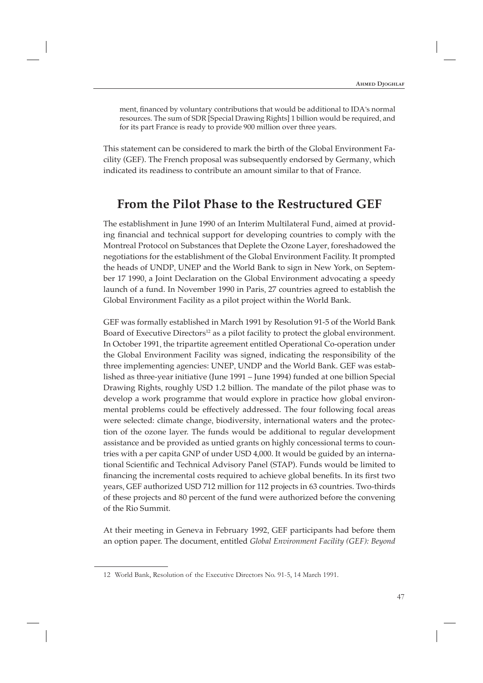ment, financed by voluntary contributions that would be additional to IDA's normal resources. The sum of SDR [Special Drawing Rights] 1 billion would be required, and for its part France is ready to provide 900 million over three years.

This statement can be considered to mark the birth of the Global Environment Facility (GEF). The French proposal was subsequently endorsed by Germany, which indicated its readiness to contribute an amount similar to that of France.

## **From the Pilot Phase to the Restructured GEF**

The establishment in June 1990 of an Interim Multilateral Fund, aimed at providing financial and technical support for developing countries to comply with the Montreal Protocol on Substances that Deplete the Ozone Layer, foreshadowed the negotiations for the establishment of the Global Environment Facility. It prompted the heads of UNDP, UNEP and the World Bank to sign in New York, on September 17 1990, a Joint Declaration on the Global Environment advocating a speedy launch of a fund. In November 1990 in Paris, 27 countries agreed to establish the Global Environment Facility as a pilot project within the World Bank.

GEF was formally established in March 1991 by Resolution 91-5 of the World Bank Board of Executive Directors<sup>12</sup> as a pilot facility to protect the global environment. In October 1991, the tripartite agreement entitled Operational Co-operation under the Global Environment Facility was signed, indicating the responsibility of the three implementing agencies: UNEP, UNDP and the World Bank. GEF was established as three-year initiative (June 1991 – June 1994) funded at one billion Special Drawing Rights, roughly USD 1.2 billion. The mandate of the pilot phase was to develop a work programme that would explore in practice how global environmental problems could be effectively addressed. The four following focal areas were selected: climate change, biodiversity, international waters and the protection of the ozone layer. The funds would be additional to regular development assistance and be provided as untied grants on highly concessional terms to countries with a per capita GNP of under USD 4,000. It would be guided by an international Scientific and Technical Advisory Panel (STAP). Funds would be limited to financing the incremental costs required to achieve global benefits. In its first two years, GEF authorized USD 712 million for 112 projects in 63 countries. Two-thirds of these projects and 80 percent of the fund were authorized before the convening of the Rio Summit.

At their meeting in Geneva in February 1992, GEF participants had before them an option paper. The document, entitled *Global Environment Facility (GEF): Beyond*

<sup>12</sup> World Bank, Resolution of the Executive Directors No. 91-5, 14 March 1991.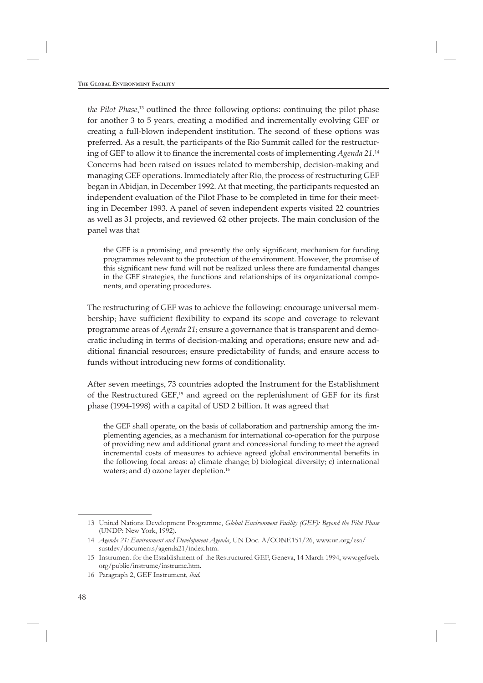*the Pilot Phase*, 13 outlined the three following options: continuing the pilot phase for another 3 to 5 years, creating a modified and incrementally evolving GEF or creating a full-blown independent institution. The second of these options was preferred. As a result, the participants of the Rio Summit called for the restructuring of GEF to allow it to finance the incremental costs of implementing *Agenda* 21.<sup>14</sup> Concerns had been raised on issues related to membership, decision-making and managing GEF operations. Immediately after Rio, the process of restructuring GEF began in Abidjan, in December 1992. At that meeting, the participants requested an independent evaluation of the Pilot Phase to be completed in time for their meeting in December 1993. A panel of seven independent experts visited 22 countries as well as 31 projects, and reviewed 62 other projects. The main conclusion of the panel was that

the GEF is a promising, and presently the only significant, mechanism for funding programmes relevant to the protection of the environment. However, the promise of this significant new fund will not be realized unless there are fundamental changes in the GEF strategies, the functions and relationships of its organizational components, and operating procedures.

The restructuring of GEF was to achieve the following: encourage universal membership; have sufficient flexibility to expand its scope and coverage to relevant programme areas of *Agenda 21*; ensure a governance that is transparent and democratic including in terms of decision-making and operations; ensure new and additional financial resources; ensure predictability of funds; and ensure access to funds without introducing new forms of conditionality.

After seven meetings, 73 countries adopted the Instrument for the Establishment of the Restructured GEF,<sup>15</sup> and agreed on the replenishment of GEF for its first phase (1994-1998) with a capital of USD 2 billion. It was agreed that

the GEF shall operate, on the basis of collaboration and partnership among the implementing agencies, as a mechanism for international co-operation for the purpose of providing new and additional grant and concessional funding to meet the agreed incremental costs of measures to achieve agreed global environmental benefits in the following focal areas: a) climate change; b) biological diversity; c) international waters; and d) ozone layer depletion.<sup>16</sup>

<sup>13</sup> United Nations Development Programme, *Global Environment Facility (GEF): Beyond the Pilot Phase* (UNDP: New York, 1992).

<sup>14</sup> *Agenda 21: Environment and Development Agenda*, UN Doc. A/CONF.151/26, www.un.org/esa/ sustdev/documents/agenda21/index.htm.

<sup>15</sup> Instrument for the Establishment of the Restructured GEF, Geneva, 14 March 1994, www.gefweb. org/public/instrume/instrume.htm.

<sup>16</sup> Paragraph 2, GEF Instrument, *ibid*.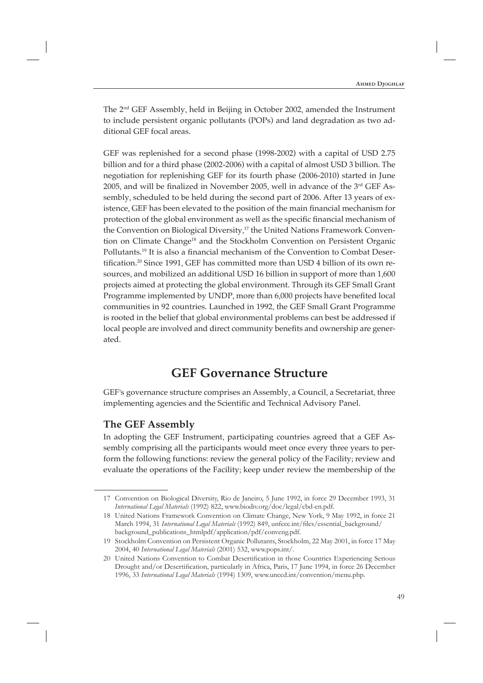The 2nd GEF Assembly, held in Beijing in October 2002, amended the Instrument to include persistent organic pollutants (POPs) and land degradation as two additional GEF focal areas.

GEF was replenished for a second phase (1998-2002) with a capital of USD 2.75 billion and for a third phase (2002-2006) with a capital of almost USD 3 billion. The negotiation for replenishing GEF for its fourth phase (2006-2010) started in June 2005, and will be finalized in November 2005, well in advance of the  $3<sup>rd</sup> GEF As$ sembly, scheduled to be held during the second part of 2006. After 13 years of existence, GEF has been elevated to the position of the main financial mechanism for protection of the global environment as well as the specific financial mechanism of the Convention on Biological Diversity, 17 the United Nations Framework Convention on Climate Change<sup>18</sup> and the Stockholm Convention on Persistent Organic Pollutants.<sup>19</sup> It is also a financial mechanism of the Convention to Combat Desertification.<sup>20</sup> Since 1991, GEF has committed more than USD 4 billion of its own resources, and mobilized an additional USD 16 billion in support of more than 1,600 projects aimed at protecting the global environment. Through its GEF Small Grant Programme implemented by UNDP, more than 6,000 projects have benefited local communities in 92 countries. Launched in 1992, the GEF Small Grant Programme is rooted in the belief that global environmental problems can best be addressed if local people are involved and direct community benefits and ownership are generated.

## **GEF Governance Structure**

GEF's governance structure comprises an Assembly, a Council, a Secretariat, three implementing agencies and the Scientific and Technical Advisory Panel.

#### **The GEF Assembly**

In adopting the GEF Instrument, participating countries agreed that a GEF Assembly comprising all the participants would meet once every three years to perform the following functions: review the general policy of the Facility; review and evaluate the operations of the Facility; keep under review the membership of the

<sup>17</sup> Convention on Biological Diversity, Rio de Janeiro, 5 June 1992, in force 29 December 1993, 31 *International Legal Materials* (1992) 822, www.biodiv.org/doc/legal/cbd-en.pdf.

<sup>18</sup> United Nations Framework Convention on Climate Change, New York, 9 May 1992, in force 21 March 1994, 31 *International Legal Materials* (1992) 849, unfccc.int/files/essential\_background/ background\_publications\_htmlpdf/application/pdf/conveng.pdf.

<sup>19</sup> Stockholm Convention on Persistent Organic Pollutants, Stockholm, 22 May 2001, in force 17 May 2004, 40 *International Legal Materials* (2001) 532, www.pops.int/.

<sup>20</sup> United Nations Convention to Combat Desertification in those Countries Experiencing Serious Drought and/or Desertification, particularly in Africa, Paris, 17 June 1994, in force 26 December 1996, 33 *International Legal Materials* (1994) 1309, www.unccd.int/convention/menu.php.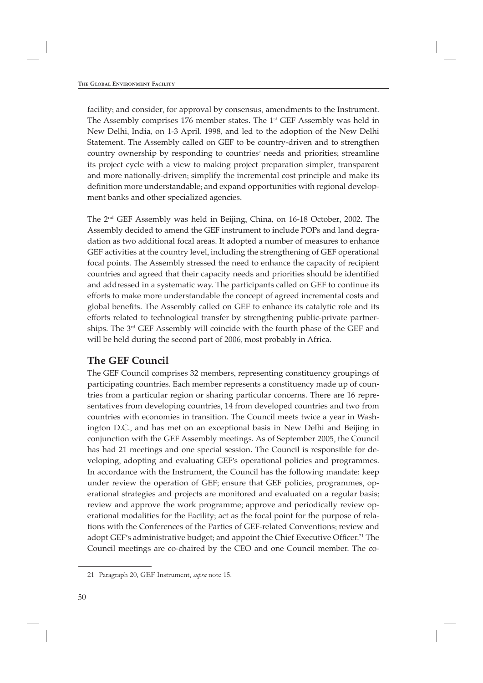facility; and consider, for approval by consensus, amendments to the Instrument. The Assembly comprises  $176$  member states. The  $1<sup>st</sup> GEF$  Assembly was held in New Delhi, India, on 1-3 April, 1998, and led to the adoption of the New Delhi Statement. The Assembly called on GEF to be country-driven and to strengthen country ownership by responding to countries' needs and priorities; streamline its project cycle with a view to making project preparation simpler, transparent and more nationally-driven; simplify the incremental cost principle and make its definition more understandable; and expand opportunities with regional development banks and other specialized agencies.

The 2nd GEF Assembly was held in Beijing, China, on 16-18 October, 2002. The Assembly decided to amend the GEF instrument to include POPs and land degradation as two additional focal areas. It adopted a number of measures to enhance GEF activities at the country level, including the strengthening of GEF operational focal points. The Assembly stressed the need to enhance the capacity of recipient countries and agreed that their capacity needs and priorities should be identified and addressed in a systematic way. The participants called on GEF to continue its efforts to make more understandable the concept of agreed incremental costs and global benefits. The Assembly called on GEF to enhance its catalytic role and its efforts related to technological transfer by strengthening public-private partnerships. The 3<sup>rd</sup> GEF Assembly will coincide with the fourth phase of the GEF and will be held during the second part of 2006, most probably in Africa.

#### **The GEF Council**

The GEF Council comprises 32 members, representing constituency groupings of participating countries. Each member represents a constituency made up of countries from a particular region or sharing particular concerns. There are 16 representatives from developing countries, 14 from developed countries and two from countries with economies in transition. The Council meets twice a year in Washington D.C., and has met on an exceptional basis in New Delhi and Beijing in conjunction with the GEF Assembly meetings. As of September 2005, the Council has had 21 meetings and one special session. The Council is responsible for developing, adopting and evaluating GEF's operational policies and programmes. In accordance with the Instrument, the Council has the following mandate: keep under review the operation of GEF; ensure that GEF policies, programmes, operational strategies and projects are monitored and evaluated on a regular basis; review and approve the work programme; approve and periodically review operational modalities for the Facility; act as the focal point for the purpose of relations with the Conferences of the Parties of GEF-related Conventions; review and adopt GEF's administrative budget; and appoint the Chief Executive Officer.<sup>21</sup> The Council meetings are co-chaired by the CEO and one Council member. The co-

<sup>21</sup> Paragraph 20, GEF Instrument, *supra* note 15.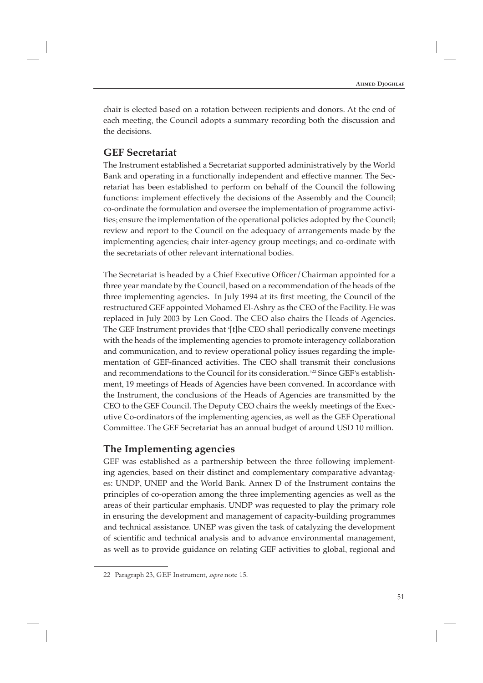chair is elected based on a rotation between recipients and donors. At the end of each meeting, the Council adopts a summary recording both the discussion and the decisions.

#### **GEF Secretariat**

The Instrument established a Secretariat supported administratively by the World Bank and operating in a functionally independent and effective manner. The Secretariat has been established to perform on behalf of the Council the following functions: implement effectively the decisions of the Assembly and the Council; co-ordinate the formulation and oversee the implementation of programme activities; ensure the implementation of the operational policies adopted by the Council; review and report to the Council on the adequacy of arrangements made by the implementing agencies; chair inter-agency group meetings; and co-ordinate with the secretariats of other relevant international bodies.

The Secretariat is headed by a Chief Executive Officer/Chairman appointed for a three year mandate by the Council, based on a recommendation of the heads of the three implementing agencies. In July 1994 at its first meeting, the Council of the restructured GEF appointed Mohamed El-Ashry as the CEO of the Facility. He was replaced in July 2003 by Len Good. The CEO also chairs the Heads of Agencies. The GEF Instrument provides that '[t]he CEO shall periodically convene meetings with the heads of the implementing agencies to promote interagency collaboration and communication, and to review operational policy issues regarding the implementation of GEF-financed activities. The CEO shall transmit their conclusions and recommendations to the Council for its consideration.' 22 Since GEF's establishment, 19 meetings of Heads of Agencies have been convened. In accordance with the Instrument, the conclusions of the Heads of Agencies are transmitted by the CEO to the GEF Council. The Deputy CEO chairs the weekly meetings of the Executive Co-ordinators of the implementing agencies, as well as the GEF Operational Committee. The GEF Secretariat has an annual budget of around USD 10 million.

#### **The Implementing agencies**

GEF was established as a partnership between the three following implementing agencies, based on their distinct and complementary comparative advantages: UNDP, UNEP and the World Bank. Annex D of the Instrument contains the principles of co-operation among the three implementing agencies as well as the areas of their particular emphasis. UNDP was requested to play the primary role in ensuring the development and management of capacity-building programmes and technical assistance. UNEP was given the task of catalyzing the development of scientific and technical analysis and to advance environmental management, as well as to provide guidance on relating GEF activities to global, regional and

<sup>22</sup> Paragraph 23, GEF Instrument, *supra* note 15.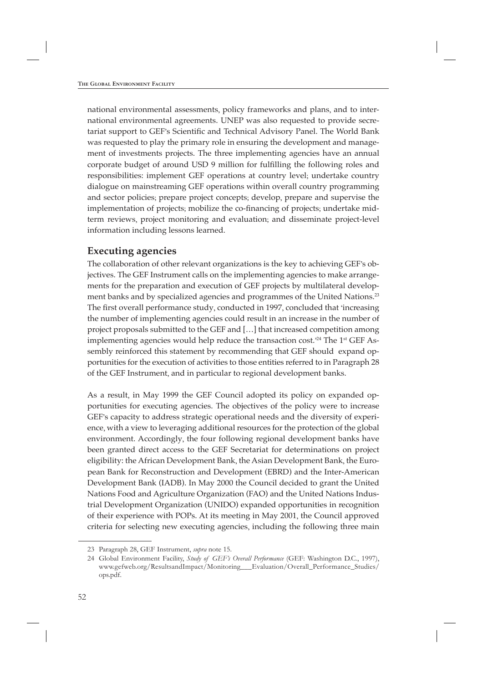national environmental assessments, policy frameworks and plans, and to international environmental agreements. UNEP was also requested to provide secretariat support to GEF's Scientific and Technical Advisory Panel. The World Bank was requested to play the primary role in ensuring the development and management of investments projects. The three implementing agencies have an annual corporate budget of around USD 9 million for fulfilling the following roles and responsibilities: implement GEF operations at country level; undertake country dialogue on mainstreaming GEF operations within overall country programming and sector policies; prepare project concepts; develop, prepare and supervise the implementation of projects; mobilize the co-financing of projects; undertake midterm reviews, project monitoring and evaluation; and disseminate project-level information including lessons learned.

#### **Executing agencies**

The collaboration of other relevant organizations is the key to achieving GEF's objectives. The GEF Instrument calls on the implementing agencies to make arrangements for the preparation and execution of GEF projects by multilateral development banks and by specialized agencies and programmes of the United Nations.<sup>23</sup> The first overall performance study, conducted in 1997, concluded that 'increasing the number of implementing agencies could result in an increase in the number of project proposals submitted to the GEF and […] that increased competition among implementing agencies would help reduce the transaction cost.<sup>24</sup> The 1<sup>st</sup> GEF Assembly reinforced this statement by recommending that GEF should expand opportunities for the execution of activities to those entities referred to in Paragraph 28 of the GEF Instrument, and in particular to regional development banks.

As a result, in May 1999 the GEF Council adopted its policy on expanded opportunities for executing agencies. The objectives of the policy were to increase GEF's capacity to address strategic operational needs and the diversity of experience, with a view to leveraging additional resources for the protection of the global environment. Accordingly, the four following regional development banks have been granted direct access to the GEF Secretariat for determinations on project eligibility: the African Development Bank, the Asian Development Bank, the European Bank for Reconstruction and Development (EBRD) and the Inter-American Development Bank (IADB). In May 2000 the Council decided to grant the United Nations Food and Agriculture Organization (FAO) and the United Nations Industrial Development Organization (UNIDO) expanded opportunities in recognition of their experience with POPs. At its meeting in May 2001, the Council approved criteria for selecting new executing agencies, including the following three main

<sup>23</sup> Paragraph 28, GEF Instrument, *supra* note 15.

<sup>24</sup> Global Environment Facility, *Study of GEF's Overall Performance* (GEF: Washington D.C., 1997), www.gefweb.org/ResultsandImpact/Monitoring\_\_\_Evaluation/Overall\_Performance\_Studies/ ops.pdf.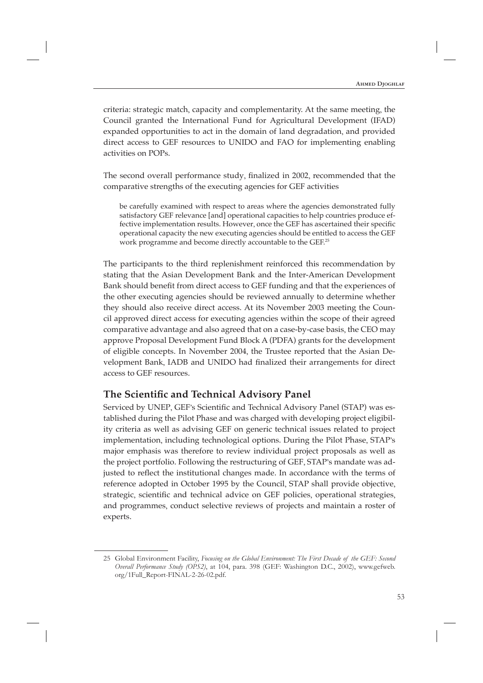criteria: strategic match, capacity and complementarity. At the same meeting, the Council granted the International Fund for Agricultural Development (IFAD) expanded opportunities to act in the domain of land degradation, and provided direct access to GEF resources to UNIDO and FAO for implementing enabling activities on POPs.

The second overall performance study, finalized in 2002, recommended that the comparative strengths of the executing agencies for GEF activities

be carefully examined with respect to areas where the agencies demonstrated fully satisfactory GEF relevance [and] operational capacities to help countries produce effective implementation results. However, once the GEF has ascertained their specific operational capacity the new executing agencies should be entitled to access the GEF work programme and become directly accountable to the GEF.25

The participants to the third replenishment reinforced this recommendation by stating that the Asian Development Bank and the Inter-American Development Bank should benefit from direct access to GEF funding and that the experiences of the other executing agencies should be reviewed annually to determine whether they should also receive direct access. At its November 2003 meeting the Council approved direct access for executing agencies within the scope of their agreed comparative advantage and also agreed that on a case-by-case basis, the CEO may approve Proposal Development Fund Block A (PDFA) grants for the development of eligible concepts. In November 2004, the Trustee reported that the Asian Development Bank, IADB and UNIDO had finalized their arrangements for direct access to GEF resources.

#### **The Scientific and Technical Advisory Panel**

Serviced by UNEP, GEF's Scientific and Technical Advisory Panel (STAP) was established during the Pilot Phase and was charged with developing project eligibility criteria as well as advising GEF on generic technical issues related to project implementation, including technological options. During the Pilot Phase, STAP's major emphasis was therefore to review individual project proposals as well as the project portfolio. Following the restructuring of GEF, STAP's mandate was adjusted to reflect the institutional changes made. In accordance with the terms of reference adopted in October 1995 by the Council, STAP shall provide objective, strategic, scientific and technical advice on GEF policies, operational strategies, and programmes, conduct selective reviews of projects and maintain a roster of experts.

<sup>25</sup> Global Environment Facility, *Focusing on the Global Environment: The First Decade of the GEF: Second Overall Performance Study (OPS2)*, at 104, para. 398 (GEF: Washington D.C., 2002), www.gefweb. org/1Full\_Report-FINAL-2-26-02.pdf.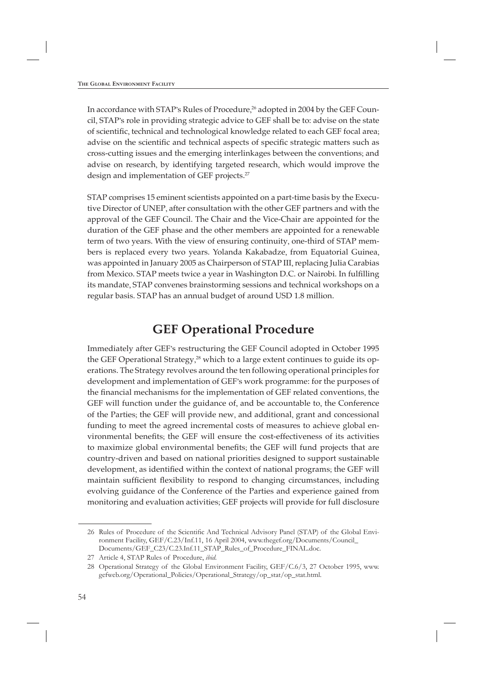In accordance with STAP's Rules of Procedure, 26 adopted in 2004 by the GEF Council, STAP's role in providing strategic advice to GEF shall be to: advise on the state of scientific, technical and technological knowledge related to each GEF focal area; advise on the scientific and technical aspects of specific strategic matters such as cross-cutting issues and the emerging interlinkages between the conventions; and advise on research, by identifying targeted research, which would improve the design and implementation of GEF projects.<sup>27</sup>

STAP comprises 15 eminent scientists appointed on a part-time basis by the Executive Director of UNEP, after consultation with the other GEF partners and with the approval of the GEF Council. The Chair and the Vice-Chair are appointed for the duration of the GEF phase and the other members are appointed for a renewable term of two years. With the view of ensuring continuity, one-third of STAP members is replaced every two years. Yolanda Kakabadze, from Equatorial Guinea, was appointed in January 2005 as Chairperson of STAP III, replacing Julia Carabias from Mexico. STAP meets twice a year in Washington D.C. or Nairobi. In fulfilling its mandate, STAP convenes brainstorming sessions and technical workshops on a regular basis. STAP has an annual budget of around USD 1.8 million.

## **GEF Operational Procedure**

Immediately after GEF's restructuring the GEF Council adopted in October 1995 the GEF Operational Strategy, 28 which to a large extent continues to guide its operations. The Strategy revolves around the ten following operational principles for development and implementation of GEF's work programme: for the purposes of the financial mechanisms for the implementation of GEF related conventions, the GEF will function under the guidance of, and be accountable to, the Conference of the Parties; the GEF will provide new, and additional, grant and concessional funding to meet the agreed incremental costs of measures to achieve global environmental benefits; the GEF will ensure the cost-effectiveness of its activities to maximize global environmental benefits; the GEF will fund projects that are country-driven and based on national priorities designed to support sustainable development, as identified within the context of national programs; the GEF will maintain sufficient flexibility to respond to changing circumstances, including evolving guidance of the Conference of the Parties and experience gained from monitoring and evaluation activities; GEF projects will provide for full disclosure

<sup>26</sup> Rules of Procedure of the Scientific And Technical Advisory Panel (STAP) of the Global Environment Facility, GEF/C.23/Inf.11, 16 April 2004, www.thegef.org/Documents/Council\_ Documents/GEF\_C23/C.23.Inf.11\_STAP\_Rules\_of\_Procedure\_FINAL.doc.

<sup>27</sup> Article 4, STAP Rules of Procedure, *ibid*.

<sup>28</sup> Operational Strategy of the Global Environment Facility, GEF/C.6/3, 27 October 1995, www. gefweb.org/Operational\_Policies/Operational\_Strategy/op\_stat/op\_stat.html.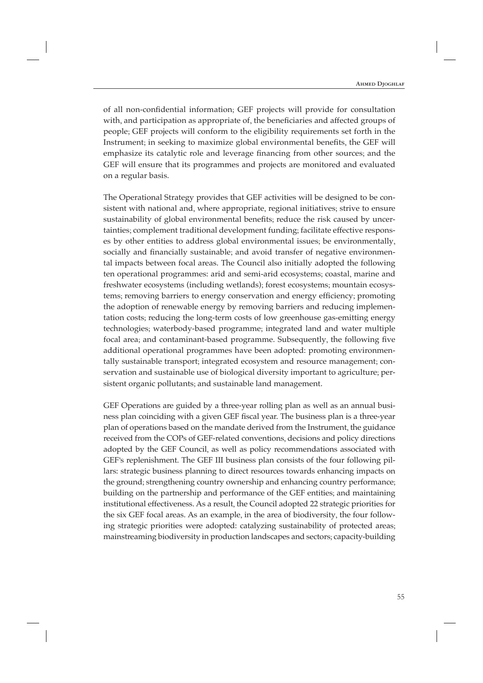of all non-confidential information; GEF projects will provide for consultation with, and participation as appropriate of, the beneficiaries and affected groups of people; GEF projects will conform to the eligibility requirements set forth in the Instrument; in seeking to maximize global environmental benefits, the GEF will emphasize its catalytic role and leverage financing from other sources; and the GEF will ensure that its programmes and projects are monitored and evaluated on a regular basis.

The Operational Strategy provides that GEF activities will be designed to be consistent with national and, where appropriate, regional initiatives; strive to ensure sustainability of global environmental benefits; reduce the risk caused by uncertainties; complement traditional development funding; facilitate effective responses by other entities to address global environmental issues; be environmentally, socially and financially sustainable; and avoid transfer of negative environmental impacts between focal areas. The Council also initially adopted the following ten operational programmes: arid and semi-arid ecosystems; coastal, marine and freshwater ecosystems (including wetlands); forest ecosystems; mountain ecosystems; removing barriers to energy conservation and energy efficiency; promoting the adoption of renewable energy by removing barriers and reducing implementation costs; reducing the long-term costs of low greenhouse gas-emitting energy technologies; waterbody-based programme; integrated land and water multiple focal area; and contaminant-based programme. Subsequently, the following five additional operational programmes have been adopted: promoting environmentally sustainable transport; integrated ecosystem and resource management; conservation and sustainable use of biological diversity important to agriculture; persistent organic pollutants; and sustainable land management.

GEF Operations are guided by a three-year rolling plan as well as an annual business plan coinciding with a given GEF fiscal year. The business plan is a three-year plan of operations based on the mandate derived from the Instrument, the guidance received from the COPs of GEF-related conventions, decisions and policy directions adopted by the GEF Council, as well as policy recommendations associated with GEF's replenishment. The GEF III business plan consists of the four following pillars: strategic business planning to direct resources towards enhancing impacts on the ground; strengthening country ownership and enhancing country performance; building on the partnership and performance of the GEF entities; and maintaining institutional effectiveness. As a result, the Council adopted 22 strategic priorities for the six GEF focal areas. As an example, in the area of biodiversity, the four following strategic priorities were adopted: catalyzing sustainability of protected areas; mainstreaming biodiversity in production landscapes and sectors; capacity-building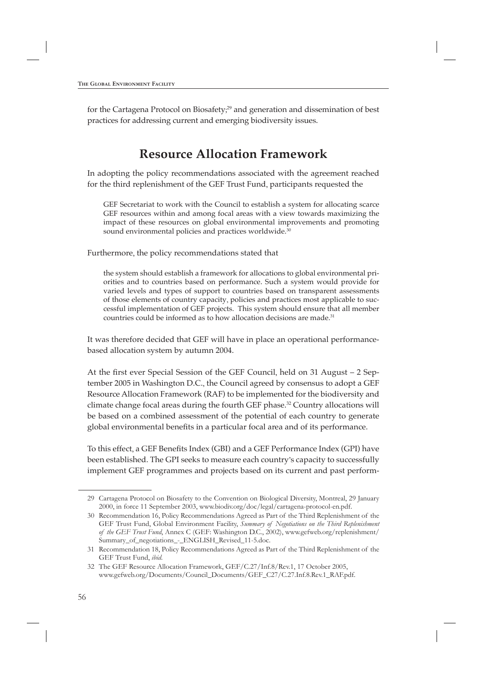for the Cartagena Protocol on Biosafety; 29 and generation and dissemination of best practices for addressing current and emerging biodiversity issues.

## **Resource Allocation Framework**

In adopting the policy recommendations associated with the agreement reached for the third replenishment of the GEF Trust Fund, participants requested the

GEF Secretariat to work with the Council to establish a system for allocating scarce GEF resources within and among focal areas with a view towards maximizing the impact of these resources on global environmental improvements and promoting sound environmental policies and practices worldwide.<sup>30</sup>

Furthermore, the policy recommendations stated that

the system should establish a framework for allocations to global environmental priorities and to countries based on performance. Such a system would provide for varied levels and types of support to countries based on transparent assessments of those elements of country capacity, policies and practices most applicable to successful implementation of GEF projects. This system should ensure that all member countries could be informed as to how allocation decisions are made.<sup>31</sup>

It was therefore decided that GEF will have in place an operational performancebased allocation system by autumn 2004.

At the first ever Special Session of the GEF Council, held on 31 August – 2 September 2005 in Washington D.C., the Council agreed by consensus to adopt a GEF Resource Allocation Framework (RAF) to be implemented for the biodiversity and climate change focal areas during the fourth GEF phase.32 Country allocations will be based on a combined assessment of the potential of each country to generate global environmental benefits in a particular focal area and of its performance.

To this effect, a GEF Benefits Index (GBI) and a GEF Performance Index (GPI) have been established. The GPI seeks to measure each country's capacity to successfully implement GEF programmes and projects based on its current and past perform-

<sup>29</sup> Cartagena Protocol on Biosafety to the Convention on Biological Diversity, Montreal, 29 January 2000, in force 11 September 2003, www.biodiv.org/doc/legal/cartagena-protocol-en.pdf.

<sup>30</sup> Recommendation 16, Policy Recommendations Agreed as Part of the Third Replenishment of the GEF Trust Fund, Global Environment Facility, *Summary of Negotiations on the Third Replenishment of the GEF Trust Fund*, Annex C (GEF: Washington D.C., 2002), www.gefweb.org/replenishment/ Summary\_of\_negotiations\_-\_ENGLISH\_Revised\_11-5.doc.

<sup>31</sup> Recommendation 18, Policy Recommendations Agreed as Part of the Third Replenishment of the GEF Trust Fund, *ibid*.

<sup>32</sup> The GEF Resource Allocation Framework, GEF/C.27/Inf.8/Rev.1, 17 October 2005, www.gefweb.org/Documents/Council\_Documents/GEF\_C27/C.27.Inf.8.Rev.1\_RAF.pdf.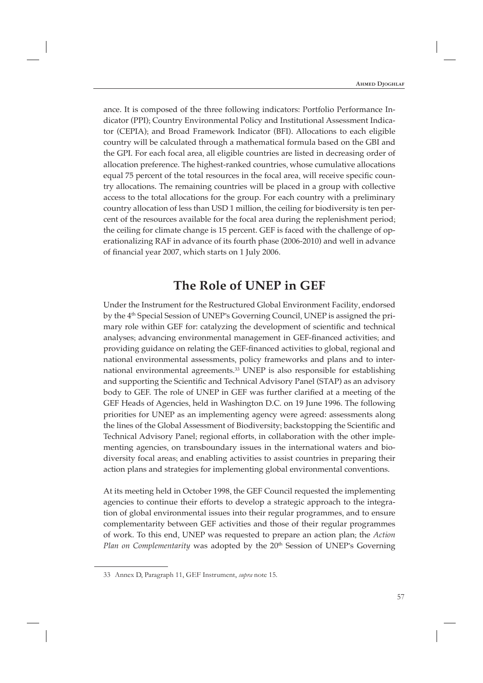ance. It is composed of the three following indicators: Portfolio Performance Indicator (PPI); Country Environmental Policy and Institutional Assessment Indicator (CEPIA); and Broad Framework Indicator (BFI). Allocations to each eligible country will be calculated through a mathematical formula based on the GBI and the GPI. For each focal area, all eligible countries are listed in decreasing order of allocation preference. The highest-ranked countries, whose cumulative allocations equal 75 percent of the total resources in the focal area, will receive specific country allocations. The remaining countries will be placed in a group with collective access to the total allocations for the group. For each country with a preliminary country allocation of less than USD 1 million, the ceiling for biodiversity is ten percent of the resources available for the focal area during the replenishment period; the ceiling for climate change is 15 percent. GEF is faced with the challenge of operationalizing RAF in advance of its fourth phase (2006-2010) and well in advance of financial year 2007, which starts on 1 July 2006.

## **The Role of UNEP in GEF**

Under the Instrument for the Restructured Global Environment Facility, endorsed by the 4th Special Session of UNEP's Governing Council, UNEP is assigned the primary role within GEF for: catalyzing the development of scientific and technical analyses; advancing environmental management in GEF-financed activities; and providing guidance on relating the GEF-financed activities to global, regional and national environmental assessments, policy frameworks and plans and to international environmental agreements.33 UNEP is also responsible for establishing and supporting the Scientific and Technical Advisory Panel (STAP) as an advisory body to GEF. The role of UNEP in GEF was further clarified at a meeting of the GEF Heads of Agencies, held in Washington D.C. on 19 June 1996. The following priorities for UNEP as an implementing agency were agreed: assessments along the lines of the Global Assessment of Biodiversity; backstopping the Scientific and Technical Advisory Panel; regional efforts, in collaboration with the other implementing agencies, on transboundary issues in the international waters and biodiversity focal areas; and enabling activities to assist countries in preparing their action plans and strategies for implementing global environmental conventions.

At its meeting held in October 1998, the GEF Council requested the implementing agencies to continue their efforts to develop a strategic approach to the integration of global environmental issues into their regular programmes, and to ensure complementarity between GEF activities and those of their regular programmes of work. To this end, UNEP was requested to prepare an action plan; the *Action Plan on Complementarity* was adopted by the 20<sup>th</sup> Session of UNEP's Governing

<sup>33</sup> Annex D, Paragraph 11, GEF Instrument, *supra* note 15.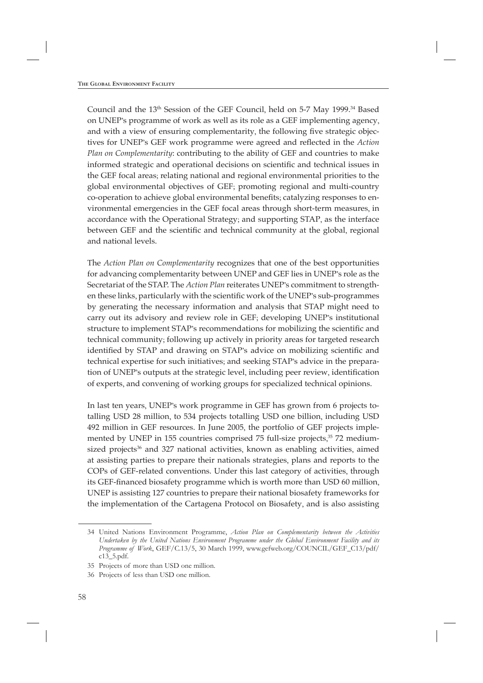Council and the 13<sup>th</sup> Session of the GEF Council, held on 5-7 May 1999.<sup>34</sup> Based on UNEP's programme of work as well as its role as a GEF implementing agency, and with a view of ensuring complementarity, the following five strategic objectives for UNEP's GEF work programme were agreed and reflected in the *Action Plan on Complementarity*: contributing to the ability of GEF and countries to make informed strategic and operational decisions on scientific and technical issues in the GEF focal areas; relating national and regional environmental priorities to the global environmental objectives of GEF; promoting regional and multi-country co-operation to achieve global environmental benefits; catalyzing responses to environmental emergencies in the GEF focal areas through short-term measures, in accordance with the Operational Strategy; and supporting STAP, as the interface between GEF and the scientific and technical community at the global, regional and national levels.

The *Action Plan on Complementarity* recognizes that one of the best opportunities for advancing complementarity between UNEP and GEF lies in UNEP's role as the Secretariat of the STAP. The *Action Plan* reiterates UNEP's commitment to strengthen these links, particularly with the scientific work of the UNEP's sub-programmes by generating the necessary information and analysis that STAP might need to carry out its advisory and review role in GEF; developing UNEP's institutional structure to implement STAP's recommendations for mobilizing the scientific and technical community; following up actively in priority areas for targeted research identified by STAP and drawing on STAP's advice on mobilizing scientific and technical expertise for such initiatives; and seeking STAP's advice in the preparation of UNEP's outputs at the strategic level, including peer review, identification of experts, and convening of working groups for specialized technical opinions.

In last ten years, UNEP's work programme in GEF has grown from 6 projects totalling USD 28 million, to 534 projects totalling USD one billion, including USD 492 million in GEF resources. In June 2005, the portfolio of GEF projects implemented by UNEP in 155 countries comprised 75 full-size projects, 35 72 mediumsized projects $36$  and 327 national activities, known as enabling activities, aimed at assisting parties to prepare their nationals strategies, plans and reports to the COPs of GEF-related conventions. Under this last category of activities, through its GEF-financed biosafety programme which is worth more than USD 60 million, UNEP is assisting 127 countries to prepare their national biosafety frameworks for the implementation of the Cartagena Protocol on Biosafety, and is also assisting

<sup>34</sup> United Nations Environment Programme, *Action Plan on Complementarity between the Activities Undertaken by the United Nations Environment Programme under the Global Environment Facility and its Programme of Work*, GEF/C.13/5, 30 March 1999, www.gefweb.org/COUNCIL/GEF\_C13/pdf/ c13\_5.pdf.

<sup>35</sup> Projects of more than USD one million.

<sup>36</sup> Projects of less than USD one million.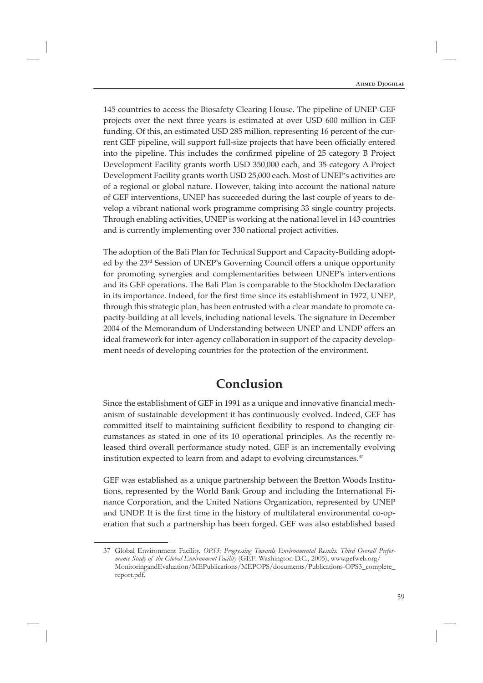145 countries to access the Biosafety Clearing House. The pipeline of UNEP-GEF projects over the next three years is estimated at over USD 600 million in GEF funding. Of this, an estimated USD 285 million, representing 16 percent of the current GEF pipeline, will support full-size projects that have been officially entered into the pipeline. This includes the confirmed pipeline of 25 category B Project Development Facility grants worth USD 350,000 each, and 35 category A Project Development Facility grants worth USD 25,000 each. Most of UNEP's activities are of a regional or global nature. However, taking into account the national nature of GEF interventions, UNEP has succeeded during the last couple of years to develop a vibrant national work programme comprising 33 single country projects. Through enabling activities, UNEP is working at the national level in 143 countries and is currently implementing over 330 national project activities.

The adoption of the Bali Plan for Technical Support and Capacity-Building adopted by the 23rd Session of UNEP's Governing Council offers a unique opportunity for promoting synergies and complementarities between UNEP's interventions and its GEF operations. The Bali Plan is comparable to the Stockholm Declaration in its importance. Indeed, for the first time since its establishment in 1972, UNEP, through this strategic plan, has been entrusted with a clear mandate to promote capacity-building at all levels, including national levels. The signature in December 2004 of the Memorandum of Understanding between UNEP and UNDP offers an ideal framework for inter-agency collaboration in support of the capacity development needs of developing countries for the protection of the environment.

## **Conclusion**

Since the establishment of GEF in 1991 as a unique and innovative financial mechanism of sustainable development it has continuously evolved. Indeed, GEF has committed itself to maintaining sufficient flexibility to respond to changing circumstances as stated in one of its 10 operational principles. As the recently released third overall performance study noted, GEF is an incrementally evolving institution expected to learn from and adapt to evolving circumstances.<sup>37</sup>

GEF was established as a unique partnership between the Bretton Woods Institutions, represented by the World Bank Group and including the International Finance Corporation, and the United Nations Organization, represented by UNEP and UNDP. It is the first time in the history of multilateral environmental co-operation that such a partnership has been forged. GEF was also established based

<sup>37</sup> Global Environment Facility, *OPS3: Progressing Towards Environmental Results. Third Overall Performance Study of the Global Environment Facility* (GEF: Washington D.C., 2005), www.gefweb.org/ MonitoringandEvaluation/MEPublications/MEPOPS/documents/Publications-OPS3\_complete\_ report.pdf.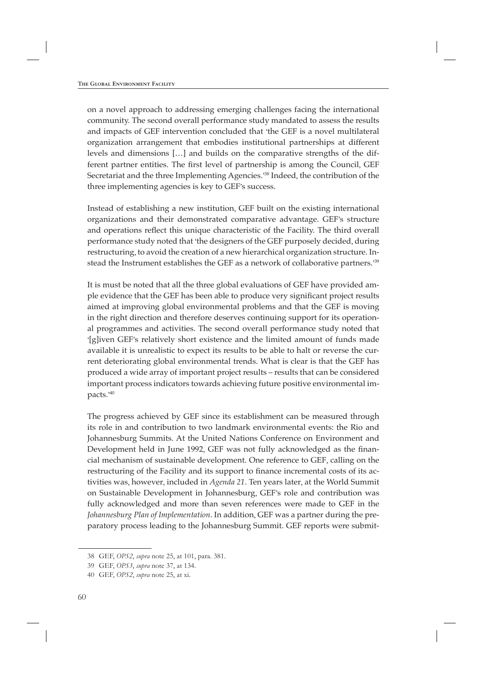on a novel approach to addressing emerging challenges facing the international community. The second overall performance study mandated to assess the results and impacts of GEF intervention concluded that 'the GEF is a novel multilateral organization arrangement that embodies institutional partnerships at different levels and dimensions […] and builds on the comparative strengths of the different partner entities. The first level of partnership is among the Council, GEF Secretariat and the three Implementing Agencies.' 38 Indeed, the contribution of the three implementing agencies is key to GEF's success.

Instead of establishing a new institution, GEF built on the existing international organizations and their demonstrated comparative advantage. GEF's structure and operations reflect this unique characteristic of the Facility. The third overall performance study noted that 'the designers of the GEF purposely decided, during restructuring, to avoid the creation of a new hierarchical organization structure. Instead the Instrument establishes the GEF as a network of collaborative partners.'<sup>39</sup>

It is must be noted that all the three global evaluations of GEF have provided ample evidence that the GEF has been able to produce very significant project results aimed at improving global environmental problems and that the GEF is moving in the right direction and therefore deserves continuing support for its operational programmes and activities. The second overall performance study noted that '[g]iven GEF's relatively short existence and the limited amount of funds made available it is unrealistic to expect its results to be able to halt or reverse the current deteriorating global environmental trends. What is clear is that the GEF has produced a wide array of important project results – results that can be considered important process indicators towards achieving future positive environmental impacts.' 40

The progress achieved by GEF since its establishment can be measured through its role in and contribution to two landmark environmental events: the Rio and Johannesburg Summits. At the United Nations Conference on Environment and Development held in June 1992, GEF was not fully acknowledged as the financial mechanism of sustainable development. One reference to GEF, calling on the restructuring of the Facility and its support to finance incremental costs of its activities was, however, included in *Agenda 21*. Ten years later, at the World Summit on Sustainable Development in Johannesburg, GEF's role and contribution was fully acknowledged and more than seven references were made to GEF in the *Johannesburg Plan of Implementation*. In addition, GEF was a partner during the preparatory process leading to the Johannesburg Summit. GEF reports were submit-

<sup>38</sup> GEF, *OPS2*, *supra* note 25, at 101, para. 381.

<sup>39</sup> GEF, *OPS3*, *supra* note 37, at 134.

<sup>40</sup> GEF, *OPS2*, *supra* note 25, at xi.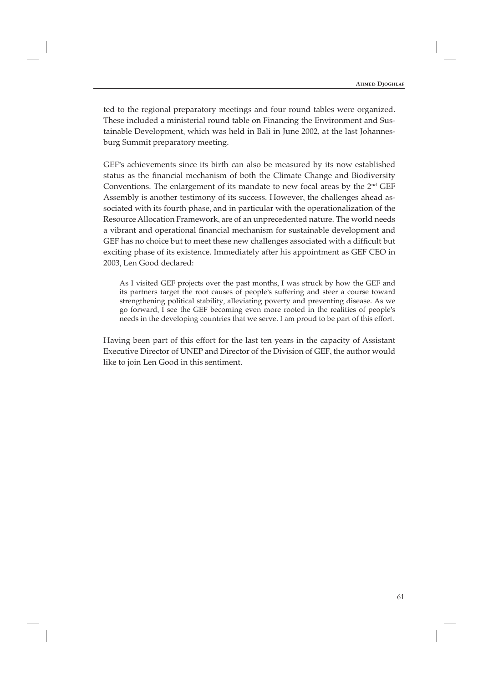ted to the regional preparatory meetings and four round tables were organized. These included a ministerial round table on Financing the Environment and Sustainable Development, which was held in Bali in June 2002, at the last Johannesburg Summit preparatory meeting.

GEF's achievements since its birth can also be measured by its now established status as the financial mechanism of both the Climate Change and Biodiversity Conventions. The enlargement of its mandate to new focal areas by the 2nd GEF Assembly is another testimony of its success. However, the challenges ahead associated with its fourth phase, and in particular with the operationalization of the Resource Allocation Framework, are of an unprecedented nature. The world needs a vibrant and operational financial mechanism for sustainable development and GEF has no choice but to meet these new challenges associated with a difficult but exciting phase of its existence. Immediately after his appointment as GEF CEO in 2003, Len Good declared:

As I visited GEF projects over the past months, I was struck by how the GEF and its partners target the root causes of people's suffering and steer a course toward strengthening political stability, alleviating poverty and preventing disease. As we go forward, I see the GEF becoming even more rooted in the realities of people's needs in the developing countries that we serve. I am proud to be part of this effort.

Having been part of this effort for the last ten years in the capacity of Assistant Executive Director of UNEP and Director of the Division of GEF, the author would like to join Len Good in this sentiment.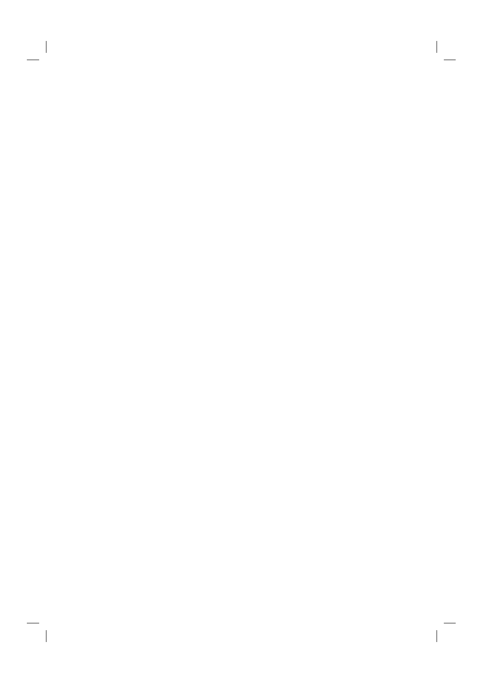$\frac{1}{\sqrt{2}} \int_{-\infty}^{\infty} \frac{1}{\sqrt{2}} \, d \mu \, d \mu$  $\frac{1}{2}$  $\begin{array}{c} - \\ | \end{array}$  $\frac{1}{\sqrt{2}}$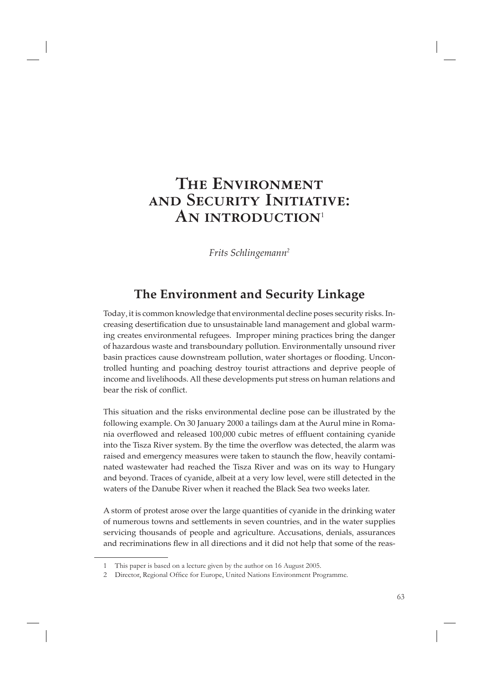# **The Environment and Security Initiative: An introduction**<sup>1</sup>

*Frits Schlingemann2*

## **The Environment and Security Linkage**

Today, it is common knowledge that environmental decline poses security risks. Increasing desertification due to unsustainable land management and global warming creates environmental refugees. Improper mining practices bring the danger of hazardous waste and transboundary pollution. Environmentally unsound river basin practices cause downstream pollution, water shortages or flooding. Uncontrolled hunting and poaching destroy tourist attractions and deprive people of income and livelihoods. All these developments put stress on human relations and bear the risk of conflict.

This situation and the risks environmental decline pose can be illustrated by the following example. On 30 January 2000 a tailings dam at the Aurul mine in Romania overflowed and released 100,000 cubic metres of effluent containing cyanide into the Tisza River system. By the time the overflow was detected, the alarm was raised and emergency measures were taken to staunch the flow, heavily contaminated wastewater had reached the Tisza River and was on its way to Hungary and beyond. Traces of cyanide, albeit at a very low level, were still detected in the waters of the Danube River when it reached the Black Sea two weeks later.

A storm of protest arose over the large quantities of cyanide in the drinking water of numerous towns and settlements in seven countries, and in the water supplies servicing thousands of people and agriculture. Accusations, denials, assurances and recriminations flew in all directions and it did not help that some of the reas-

<sup>1</sup> This paper is based on a lecture given by the author on 16 August 2005.

<sup>2</sup> Director, Regional Office for Europe, United Nations Environment Programme.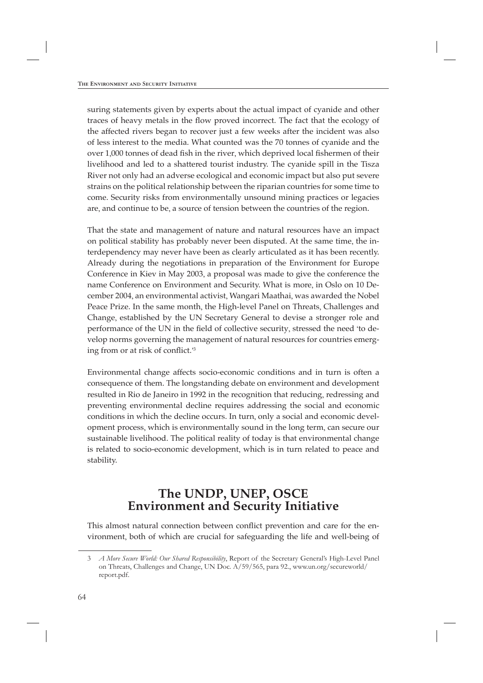suring statements given by experts about the actual impact of cyanide and other traces of heavy metals in the flow proved incorrect. The fact that the ecology of the affected rivers began to recover just a few weeks after the incident was also of less interest to the media. What counted was the 70 tonnes of cyanide and the over 1,000 tonnes of dead fish in the river, which deprived local fishermen of their livelihood and led to a shattered tourist industry. The cyanide spill in the Tisza River not only had an adverse ecological and economic impact but also put severe strains on the political relationship between the riparian countries for some time to come. Security risks from environmentally unsound mining practices or legacies are, and continue to be, a source of tension between the countries of the region.

That the state and management of nature and natural resources have an impact on political stability has probably never been disputed. At the same time, the interdependency may never have been as clearly articulated as it has been recently. Already during the negotiations in preparation of the Environment for Europe Conference in Kiev in May 2003, a proposal was made to give the conference the name Conference on Environment and Security. What is more, in Oslo on 10 December 2004, an environmental activist, Wangari Maathai, was awarded the Nobel Peace Prize. In the same month, the High-level Panel on Threats, Challenges and Change, established by the UN Secretary General to devise a stronger role and performance of the UN in the field of collective security, stressed the need 'to develop norms governing the management of natural resources for countries emerging from or at risk of conflict.<sup>3</sup>

Environmental change affects socio-economic conditions and in turn is often a consequence of them. The longstanding debate on environment and development resulted in Rio de Janeiro in 1992 in the recognition that reducing, redressing and preventing environmental decline requires addressing the social and economic conditions in which the decline occurs. In turn, only a social and economic development process, which is environmentally sound in the long term, can secure our sustainable livelihood. The political reality of today is that environmental change is related to socio-economic development, which is in turn related to peace and stability.

## **The UNDP, UNEP, OSCE Environment and Security Initiative**

This almost natural connection between conflict prevention and care for the environment, both of which are crucial for safeguarding the life and well-being of

<sup>3</sup> *A More Secure World: Our Shared Responsibility*, Report of the Secretary General's High-Level Panel on Threats, Challenges and Change, UN Doc. A/59/565, para 92., www.un.org/secureworld/ report.pdf.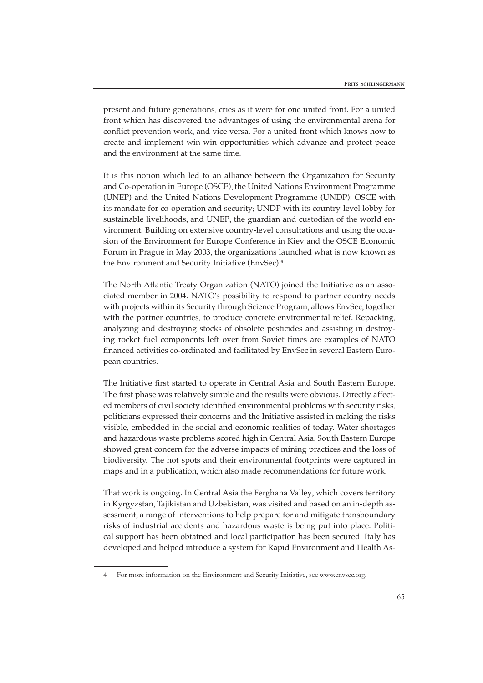present and future generations, cries as it were for one united front. For a united front which has discovered the advantages of using the environmental arena for conflict prevention work, and vice versa. For a united front which knows how to create and implement win-win opportunities which advance and protect peace and the environment at the same time.

It is this notion which led to an alliance between the Organization for Security and Co-operation in Europe (OSCE), the United Nations Environment Programme (UNEP) and the United Nations Development Programme (UNDP): OSCE with its mandate for co-operation and security; UNDP with its country-level lobby for sustainable livelihoods; and UNEP, the guardian and custodian of the world environment. Building on extensive country-level consultations and using the occasion of the Environment for Europe Conference in Kiev and the OSCE Economic Forum in Prague in May 2003, the organizations launched what is now known as the Environment and Security Initiative (EnvSec).<sup>4</sup>

The North Atlantic Treaty Organization (NATO) joined the Initiative as an associated member in 2004. NATO's possibility to respond to partner country needs with projects within its Security through Science Program, allows EnvSec, together with the partner countries, to produce concrete environmental relief. Repacking, analyzing and destroying stocks of obsolete pesticides and assisting in destroying rocket fuel components left over from Soviet times are examples of NATO financed activities co-ordinated and facilitated by EnvSec in several Eastern European countries.

The Initiative first started to operate in Central Asia and South Eastern Europe. The first phase was relatively simple and the results were obvious. Directly affected members of civil society identified environmental problems with security risks, politicians expressed their concerns and the Initiative assisted in making the risks visible, embedded in the social and economic realities of today. Water shortages and hazardous waste problems scored high in Central Asia; South Eastern Europe showed great concern for the adverse impacts of mining practices and the loss of biodiversity. The hot spots and their environmental footprints were captured in maps and in a publication, which also made recommendations for future work.

That work is ongoing. In Central Asia the Ferghana Valley, which covers territory in Kyrgyzstan, Tajikistan and Uzbekistan, was visited and based on an in-depth assessment, a range of interventions to help prepare for and mitigate transboundary risks of industrial accidents and hazardous waste is being put into place. Political support has been obtained and local participation has been secured. Italy has developed and helped introduce a system for Rapid Environment and Health As-

<sup>4</sup> For more information on the Environment and Security Initiative, see www.envsec.org.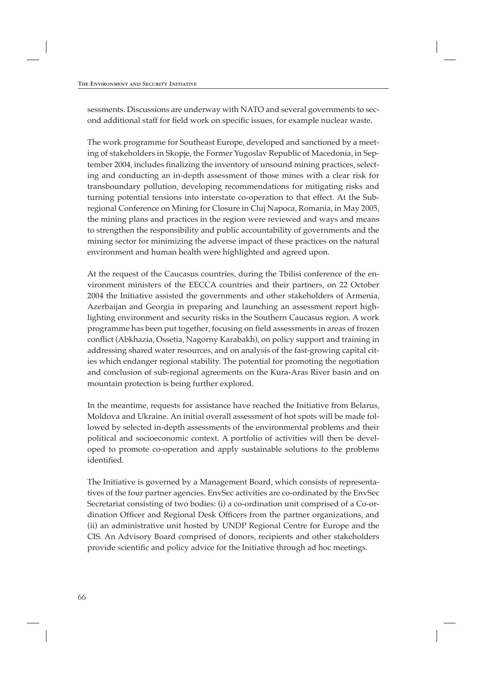sessments. Discussions are underway with NATO and several governments to second additional staff for field work on specific issues, for example nuclear waste.

The work programme for Southeast Europe, developed and sanctioned by a meeting of stakeholders in Skopje, the Former Yugoslav Republic of Macedonia, in September 2004, includes finalizing the inventory of unsound mining practices, selecting and conducting an in-depth assessment of those mines with a clear risk for transboundary pollution, developing recommendations for mitigating risks and turning potential tensions into interstate co-operation to that effect. At the Subregional Conference on Mining for Closure in Cluj Napoca, Romania, in May 2005, the mining plans and practices in the region were reviewed and ways and means to strengthen the responsibility and public accountability of governments and the mining sector for minimizing the adverse impact of these practices on the natural environment and human health were highlighted and agreed upon.

At the request of the Caucasus countries, during the Tbilisi conference of the environment ministers of the EECCA countries and their partners, on 22 October 2004 the Initiative assisted the governments and other stakeholders of Armenia, Azerbaijan and Georgia in preparing and launching an assessment report highlighting environment and security risks in the Southern Caucasus region. A work programme has been put together, focusing on field assessments in areas of frozen conflict (Abkhazia, Ossetia, Nagorny Karabakh), on policy support and training in addressing shared water resources, and on analysis of the fast-growing capital cities which endanger regional stability. The potential for promoting the negotiation and conclusion of sub-regional agreements on the Kura-Aras River basin and on mountain protection is being further explored.

In the meantime, requests for assistance have reached the Initiative from Belarus, Moldova and Ukraine. An initial overall assessment of hot spots will be made followed by selected in-depth assessments of the environmental problems and their political and socioeconomic context. A portfolio of activities will then be developed to promote co-operation and apply sustainable solutions to the problems identified.

The Initiative is governed by a Management Board, which consists of representatives of the four partner agencies. EnvSec activities are co-ordinated by the EnvSec Secretariat consisting of two bodies: (i) a co-ordination unit comprised of a Co-ordination Officer and Regional Desk Officers from the partner organizations, and (ii) an administrative unit hosted by UNDP Regional Centre for Europe and the CIS. An Advisory Board comprised of donors, recipients and other stakeholders provide scientific and policy advice for the Initiative through ad hoc meetings.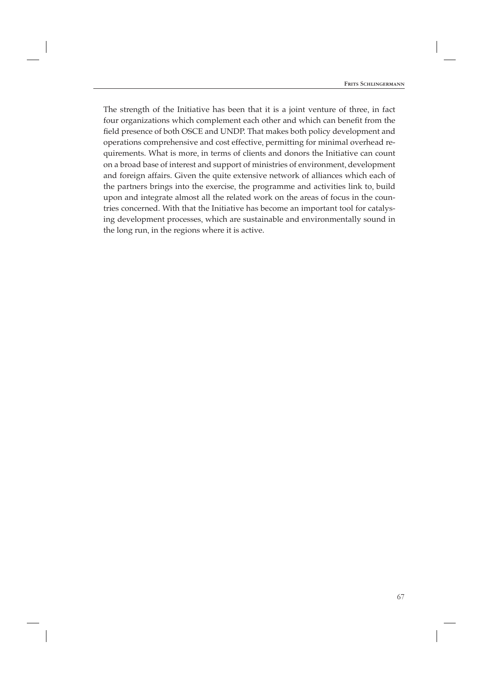The strength of the Initiative has been that it is a joint venture of three, in fact four organizations which complement each other and which can benefit from the field presence of both OSCE and UNDP. That makes both policy development and operations comprehensive and cost effective, permitting for minimal overhead requirements. What is more, in terms of clients and donors the Initiative can count on a broad base of interest and support of ministries of environment, development and foreign affairs. Given the quite extensive network of alliances which each of the partners brings into the exercise, the programme and activities link to, build upon and integrate almost all the related work on the areas of focus in the countries concerned. With that the Initiative has become an important tool for catalysing development processes, which are sustainable and environmentally sound in the long run, in the regions where it is active.